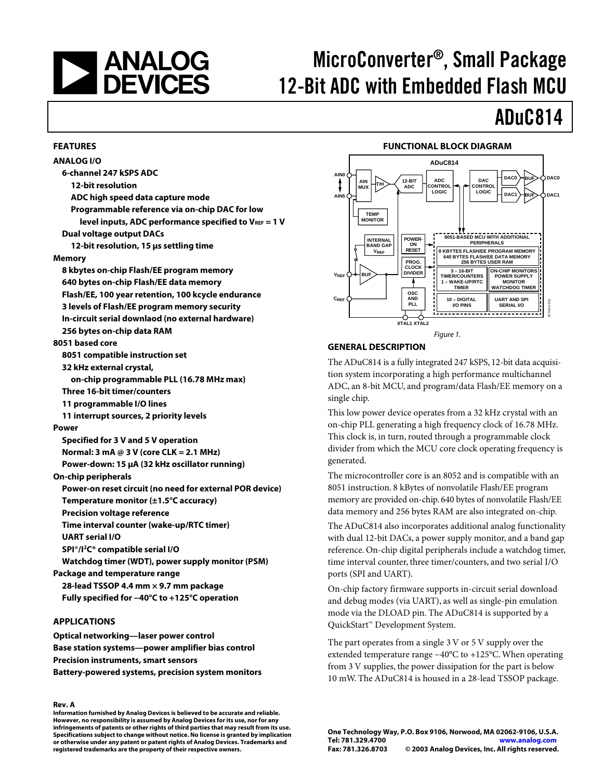# **EXAMALOG**<br>DEVICES

**FEATURES** 

# MicroConverter®, Small Package 12-Bit ADC with Embedded Flash MCU

# ADuC814

#### **FUNCTIONAL BLOCK DIAGRAM**



### **APPLICATIONS**

**Optical networking—laser power control Base station systems—power amplifier bias control Precision instruments, smart sensors Battery-powered systems, precision system monitors** 

#### **Rev. A**

**Information furnished by Analog Devices is believed to be accurate and reliable. However, no responsibility is assumed by Analog Devices for its use, nor for any infringements of patents or other rights of third parties that may result from its use. Specifications subject to change without notice. No license is granted by implication or otherwise under any patent or patent rights of Analog Devices. Trademarks and registered trademarks are the property of their respective owners.**



#### Figure 1.

#### **GENERAL DESCRIPTION**

The ADuC814 is a fully integrated 247 kSPS, 12-bit data acquisition system incorporating a high performance multichannel ADC, an 8-bit MCU, and program/data Flash/EE memory on a single chip.

This low power device operates from a 32 kHz crystal with an on-chip PLL generating a high frequency clock of 16.78 MHz. This clock is, in turn, routed through a programmable clock divider from which the MCU core clock operating frequency is generated.

The microcontroller core is an 8052 and is compatible with an 8051 instruction. 8 kBytes of nonvolatile Flash/EE program memory are provided on-chip. 640 bytes of nonvolatile Flash/EE data memory and 256 bytes RAM are also integrated on-chip.

The ADuC814 also incorporates additional analog functionality with dual 12-bit DACs, a power supply monitor, and a band gap reference. On-chip digital peripherals include a watchdog timer, time interval counter, three timer/counters, and two serial I/O ports (SPI and UART).

On-chip factory firmware supports in-circuit serial download and debug modes (via UART), as well as single-pin emulation mode via the DLOAD pin. The ADuC814 is supported by a QuickStart™ Development System.

The part operates from a single 3 V or 5 V supply over the extended temperature range −40°C to +125°C. When operating from 3 V supplies, the power dissipation for the part is below 10 mW. The ADuC814 is housed in a 28-lead TSSOP package.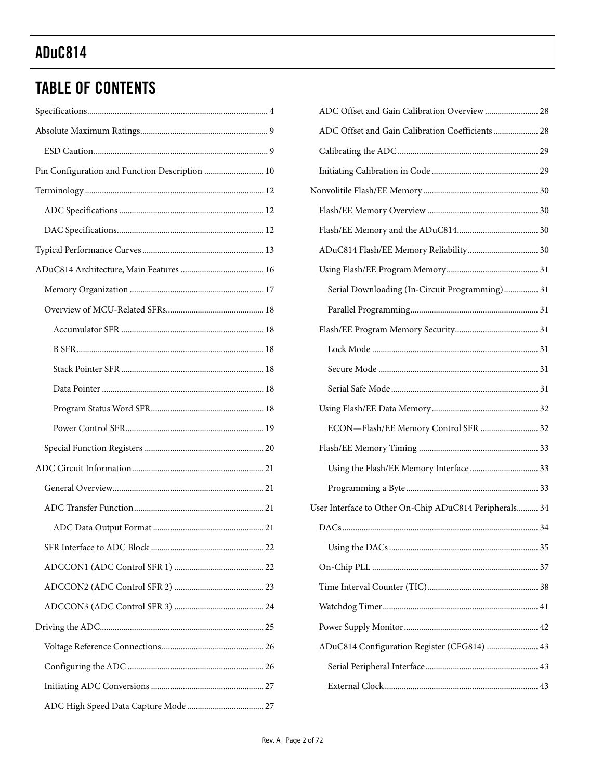# **TABLE OF CONTENTS**

| Pin Configuration and Function Description  10 |
|------------------------------------------------|
|                                                |
|                                                |
|                                                |
|                                                |
|                                                |
|                                                |
|                                                |
|                                                |
|                                                |
|                                                |
|                                                |
|                                                |
|                                                |
|                                                |
|                                                |
|                                                |
|                                                |
|                                                |
| SFR Interface to ADC Block<br>22               |
|                                                |
|                                                |
|                                                |
|                                                |
|                                                |
|                                                |
|                                                |
|                                                |

| ADC Offset and Gain Calibration Overview  28           |  |
|--------------------------------------------------------|--|
| ADC Offset and Gain Calibration Coefficients  28       |  |
|                                                        |  |
|                                                        |  |
|                                                        |  |
|                                                        |  |
|                                                        |  |
| ADuC814 Flash/EE Memory Reliability 30                 |  |
|                                                        |  |
| Serial Downloading (In-Circuit Programming) 31         |  |
|                                                        |  |
|                                                        |  |
|                                                        |  |
|                                                        |  |
|                                                        |  |
|                                                        |  |
| ECON-Flash/EE Memory Control SFR  32                   |  |
|                                                        |  |
| Using the Flash/EE Memory Interface  33                |  |
|                                                        |  |
| User Interface to Other On-Chip ADuC814 Peripherals 34 |  |
|                                                        |  |
|                                                        |  |
|                                                        |  |
|                                                        |  |
|                                                        |  |
|                                                        |  |
| ADuC814 Configuration Register (CFG814)  43            |  |
|                                                        |  |
|                                                        |  |
|                                                        |  |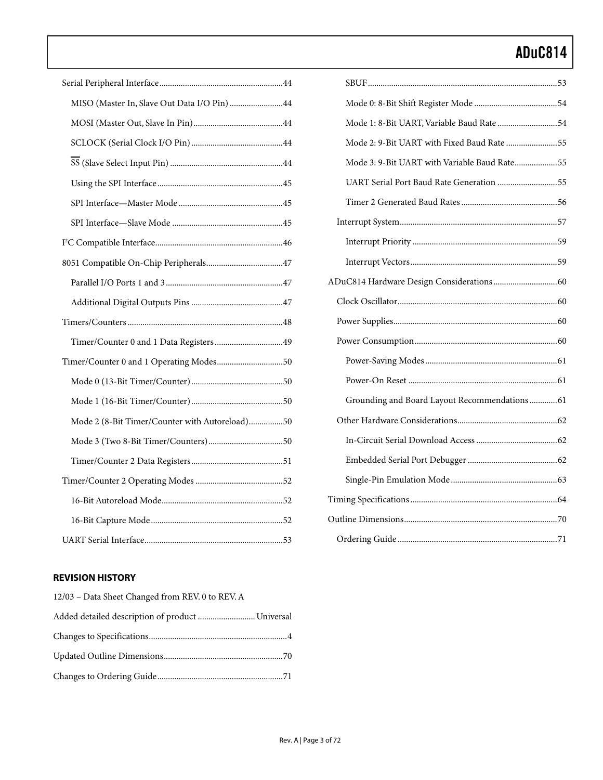| MISO (Master In, Slave Out Data I/O Pin) 44    |
|------------------------------------------------|
|                                                |
|                                                |
|                                                |
|                                                |
|                                                |
|                                                |
|                                                |
|                                                |
|                                                |
|                                                |
|                                                |
| Timer/Counter 0 and 1 Data Registers49         |
| Timer/Counter 0 and 1 Operating Modes50        |
|                                                |
|                                                |
| Mode 2 (8-Bit Timer/Counter with Autoreload)50 |
|                                                |
|                                                |
|                                                |
|                                                |
|                                                |
|                                                |

### **REVISION HISTORY**

| 12/03 – Data Sheet Changed from REV. 0 to REV. A |
|--------------------------------------------------|
| Added detailed description of product  Universal |
|                                                  |
|                                                  |
|                                                  |

| Mode 1: 8-Bit UART, Variable Baud Rate 54      |  |
|------------------------------------------------|--|
| Mode 2: 9-Bit UART with Fixed Baud Rate 55     |  |
| Mode 3: 9-Bit UART with Variable Baud Rate55   |  |
| UART Serial Port Baud Rate Generation 55       |  |
|                                                |  |
|                                                |  |
|                                                |  |
|                                                |  |
|                                                |  |
|                                                |  |
|                                                |  |
|                                                |  |
|                                                |  |
|                                                |  |
| Grounding and Board Layout Recommendations  61 |  |
|                                                |  |
|                                                |  |
|                                                |  |
|                                                |  |
|                                                |  |
|                                                |  |
|                                                |  |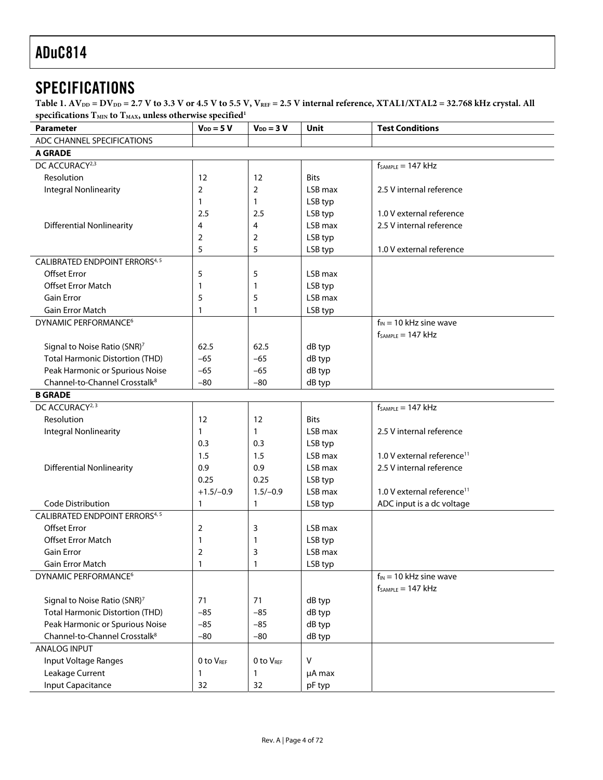# <span id="page-3-0"></span>**SPECIFICATIONS**

Table 1. AV<sub>DD</sub> = DV<sub>DD</sub> = 2.7 V to 3.3 V or 4.5 V to 5.5 V, V<sub>REF</sub> = 2.5 V internal reference, XTAL1/XTAL2 = 32.768 kHz crystal. All specifications  $T_{MIN}$  to  $T_{MAX}$ , unless otherwise specified<sup>[1](#page-7-0)</sup>

<span id="page-3-7"></span><span id="page-3-6"></span><span id="page-3-5"></span><span id="page-3-4"></span><span id="page-3-3"></span><span id="page-3-2"></span><span id="page-3-1"></span>

| <b>Parameter</b>                          | $V_{DD} = 5 V$ | $V_{DD} = 3 V$ | <b>Unit</b> | <b>Test Conditions</b>                 |
|-------------------------------------------|----------------|----------------|-------------|----------------------------------------|
| ADC CHANNEL SPECIFICATIONS                |                |                |             |                                        |
| <b>A GRADE</b>                            |                |                |             |                                        |
| DC ACCURACY <sup>2,3</sup>                |                |                |             | $f_{SAMPLE} = 147$ kHz                 |
| Resolution                                | 12             | 12             | <b>Bits</b> |                                        |
| Integral Nonlinearity                     | 2              | 2              | LSB max     | 2.5 V internal reference               |
|                                           | 1              | 1              | LSB typ     |                                        |
|                                           | 2.5            | 2.5            | LSB typ     | 1.0 V external reference               |
| <b>Differential Nonlinearity</b>          | 4              | 4              | LSB max     | 2.5 V internal reference               |
|                                           | 2              | 2              | LSB typ     |                                        |
|                                           | 5              | 5              | LSB typ     | 1.0 V external reference               |
| <b>CALIBRATED ENDPOINT ERRORS4,5</b>      |                |                |             |                                        |
| <b>Offset Error</b>                       | 5              | 5              | LSB max     |                                        |
| <b>Offset Error Match</b>                 | 1              | 1              | LSB typ     |                                        |
| <b>Gain Error</b>                         | 5              | 5              | LSB max     |                                        |
| <b>Gain Error Match</b>                   | $\mathbf{1}$   | 1              | LSB typ     |                                        |
| DYNAMIC PERFORMANCE <sup>6</sup>          |                |                |             | $f_{IN}$ = 10 kHz sine wave            |
|                                           |                |                |             | $f_{SAMPLE} = 147$ kHz                 |
| Signal to Noise Ratio (SNR) <sup>7</sup>  | 62.5           | 62.5           | dB typ      |                                        |
| <b>Total Harmonic Distortion (THD)</b>    | $-65$          | $-65$          | dB typ      |                                        |
| Peak Harmonic or Spurious Noise           | $-65$          | $-65$          | dB typ      |                                        |
| Channel-to-Channel Crosstalk <sup>8</sup> | $-80$          | $-80$          | dB typ      |                                        |
| <b>B GRADE</b>                            |                |                |             |                                        |
| DC ACCURACY <sup>2, 3</sup>               |                |                |             | $f_{SAMPLE} = 147$ kHz                 |
| Resolution                                | 12             | 12             | <b>Bits</b> |                                        |
| Integral Nonlinearity                     | 1              | $\mathbf{1}$   | LSB max     | 2.5 V internal reference               |
|                                           | 0.3            | 0.3            | LSB typ     |                                        |
|                                           | 1.5            | 1.5            | LSB max     | 1.0 V external reference <sup>11</sup> |
| <b>Differential Nonlinearity</b>          | 0.9            | 0.9            | LSB max     | 2.5 V internal reference               |
|                                           | 0.25           | 0.25           | LSB typ     |                                        |
|                                           | $+1.5/-0.9$    | $1.5/-0.9$     | LSB max     | 1.0 V external reference <sup>11</sup> |
| <b>Code Distribution</b>                  | $\mathbf{1}$   | 1              | LSB typ     | ADC input is a dc voltage              |
| <b>CALIBRATED ENDPOINT ERRORS4, 5</b>     |                |                |             |                                        |
| <b>Offset Error</b>                       | 2              | 3              | LSB max     |                                        |
| <b>Offset Error Match</b>                 | 1              | 1              | LSB typ     |                                        |
| Gain Error                                | $\overline{2}$ | 3              | LSB max     |                                        |
| Gain Error Match                          | 1              | 1              | LSB typ     |                                        |
| DYNAMIC PERFORMANCE <sup>6</sup>          |                |                |             | $f_{IN}$ = 10 kHz sine wave            |
|                                           |                |                |             | $f_{SAMPLE} = 147$ kHz                 |
| Signal to Noise Ratio (SNR) <sup>7</sup>  | 71             | 71             | dB typ      |                                        |
| <b>Total Harmonic Distortion (THD)</b>    | $-85$          | $-85$          | dB typ      |                                        |
| Peak Harmonic or Spurious Noise           | $-85$          | $-85$          | dB typ      |                                        |
| Channel-to-Channel Crosstalk <sup>8</sup> | $-80$          | $-80$          | dB typ      |                                        |
| <b>ANALOG INPUT</b>                       |                |                |             |                                        |
| Input Voltage Ranges                      | 0 to VREF      | 0 to VREF      | $\vee$      |                                        |
| Leakage Current                           | $\mathbf{1}$   | 1              | µA max      |                                        |
| <b>Input Capacitance</b>                  | 32             | 32             | pF typ      |                                        |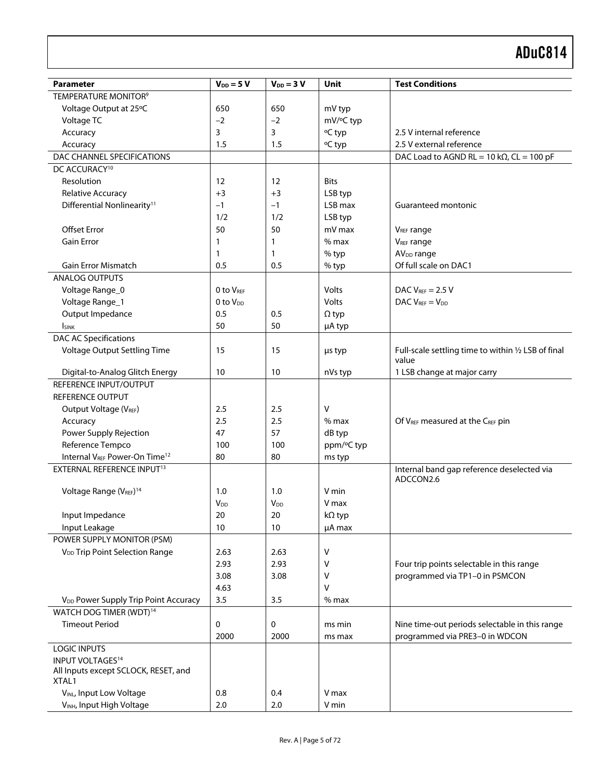<span id="page-4-1"></span><span id="page-4-0"></span>

| <b>Parameter</b>                                 | $V_{DD} = 5 V$         | $V_{DD} = 3 V$         | Unit          | <b>Test Conditions</b>                                  |
|--------------------------------------------------|------------------------|------------------------|---------------|---------------------------------------------------------|
| TEMPERATURE MONITOR <sup>9</sup>                 |                        |                        |               |                                                         |
| Voltage Output at 25°C                           | 650                    | 650                    | mV typ        |                                                         |
| Voltage TC                                       | $-2$                   | $-2$                   | mV/°C typ     |                                                         |
| Accuracy                                         | 3                      | 3                      | °C typ        | 2.5 V internal reference                                |
| Accuracy                                         | 1.5                    | 1.5                    | °C typ        | 2.5 V external reference                                |
| DAC CHANNEL SPECIFICATIONS                       |                        |                        |               | DAC Load to AGND RL = 10 k $\Omega$ , CL = 100 pF       |
| DC ACCURACY <sup>10</sup>                        |                        |                        |               |                                                         |
| Resolution                                       | 12                     | 12                     | <b>Bits</b>   |                                                         |
| Relative Accuracy                                | $+3$                   | $+3$                   | LSB typ       |                                                         |
| Differential Nonlinearity <sup>11</sup>          | $-1$                   | $-1$                   | LSB max       | Guaranteed montonic                                     |
|                                                  | 1/2                    | 1/2                    | LSB typ       |                                                         |
| <b>Offset Error</b>                              | 50                     | 50                     | mV max        | V <sub>REF</sub> range                                  |
| <b>Gain Error</b>                                | 1                      | 1                      | $%$ max       | V <sub>REF</sub> range                                  |
|                                                  | 1                      | 1                      | % typ         | AV <sub>DD</sub> range                                  |
| Gain Error Mismatch                              | 0.5                    | 0.5                    | % typ         | Of full scale on DAC1                                   |
| <b>ANALOG OUTPUTS</b>                            |                        |                        |               |                                                         |
| Voltage Range_0                                  | 0 to V <sub>REF</sub>  |                        | Volts         | DAC $V_{REF}$ = 2.5 V                                   |
| Voltage Range_1                                  | 0 to V <sub>DD</sub>   |                        | Volts         | DAC $V_{REF} = V_{DD}$                                  |
| Output Impedance                                 | 0.5                    | 0.5                    | $\Omega$ typ  |                                                         |
| <b>I</b> sink                                    | 50                     | 50                     | µA typ        |                                                         |
| <b>DAC AC Specifications</b>                     |                        |                        |               |                                                         |
| Voltage Output Settling Time                     | 15                     | 15                     | µs typ        | Full-scale settling time to within 1/2 LSB of final     |
|                                                  |                        |                        |               | value                                                   |
| Digital-to-Analog Glitch Energy                  | 10                     | 10                     | nVs typ       | 1 LSB change at major carry                             |
| REFERENCE INPUT/OUTPUT                           |                        |                        |               |                                                         |
| REFERENCE OUTPUT                                 |                        |                        |               |                                                         |
| Output Voltage (V <sub>REF</sub> )               | 2.5                    | 2.5                    | V             |                                                         |
| Accuracy                                         | 2.5                    | 2.5                    | $%$ max       | Of VREF measured at the CREF pin                        |
| Power Supply Rejection                           | 47                     | 57                     | dB typ        |                                                         |
| Reference Tempco                                 | 100                    | 100                    | ppm/°C typ    |                                                         |
| Internal VREF Power-On Time <sup>12</sup>        | 80                     | 80                     | ms typ        |                                                         |
| EXTERNAL REFERENCE INPUT <sup>13</sup>           |                        |                        |               | Internal band gap reference deselected via<br>ADCCON2.6 |
| Voltage Range (VREF) <sup>14</sup>               | 1.0                    | 1.0                    | V min         |                                                         |
|                                                  | <b>V</b> <sub>DD</sub> | <b>V</b> <sub>DD</sub> | V max         |                                                         |
| Input Impedance                                  | 20                     | 20                     | $k\Omega$ typ |                                                         |
| Input Leakage                                    | 10                     | 10                     | µA max        |                                                         |
| POWER SUPPLY MONITOR (PSM)                       |                        |                        |               |                                                         |
| V <sub>DD</sub> Trip Point Selection Range       | 2.63                   | 2.63                   | ٧             |                                                         |
|                                                  | 2.93                   | 2.93                   | ٧             | Four trip points selectable in this range               |
|                                                  | 3.08                   | 3.08                   | ٧             | programmed via TP1-0 in PSMCON                          |
|                                                  | 4.63                   |                        | ٧             |                                                         |
| V <sub>DD</sub> Power Supply Trip Point Accuracy | 3.5                    | 3.5                    | $%$ max       |                                                         |
| WATCH DOG TIMER (WDT) <sup>14</sup>              |                        |                        |               |                                                         |
| <b>Timeout Period</b>                            | 0                      | 0                      | ms min        | Nine time-out periods selectable in this range          |
|                                                  | 2000                   | 2000                   | ms max        | programmed via PRE3-0 in WDCON                          |
| <b>LOGIC INPUTS</b>                              |                        |                        |               |                                                         |
| <b>INPUT VOLTAGES<sup>14</sup></b>               |                        |                        |               |                                                         |
| All Inputs except SCLOCK, RESET, and<br>XTAL1    |                        |                        |               |                                                         |
| VINL, Input Low Voltage                          | 0.8                    | 0.4                    | V max         |                                                         |
| VINH, Input High Voltage                         | 2.0                    | 2.0                    | V min         |                                                         |
|                                                  |                        |                        |               |                                                         |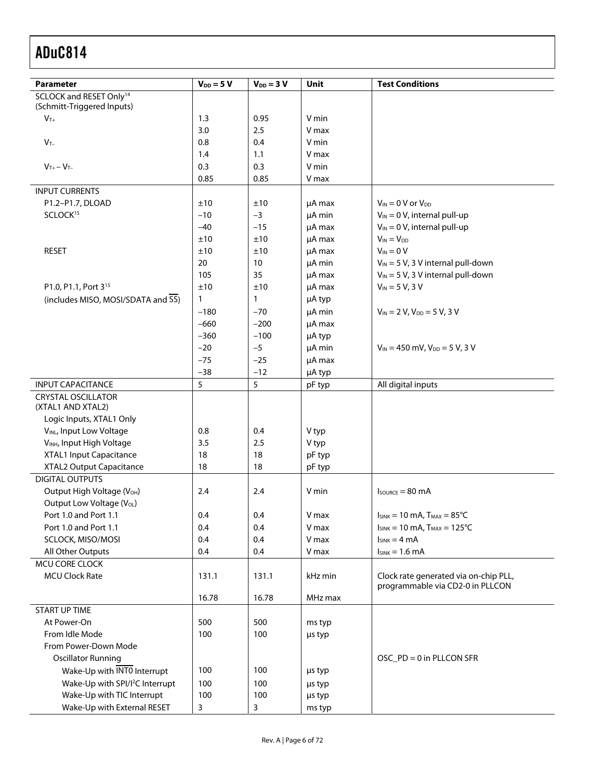<span id="page-5-0"></span>

|                                                                   |                |                 |         | <b>Test Conditions</b>                 |
|-------------------------------------------------------------------|----------------|-----------------|---------|----------------------------------------|
| <b>Parameter</b>                                                  | $V_{DD} = 5 V$ | $V_{DD} = 3 V$  | Unit    |                                        |
| SCLOCK and RESET Only <sup>14</sup><br>(Schmitt-Triggered Inputs) |                |                 |         |                                        |
| $V_{T+}$                                                          | 1.3            | 0.95            | V min   |                                        |
|                                                                   | 3.0            | 2.5             | V max   |                                        |
| $V_{T-}$                                                          | 0.8            | 0.4             | V min   |                                        |
|                                                                   | 1.4            | 1.1             | V max   |                                        |
| $V_{T+} - V_{T-}$                                                 | 0.3            | 0.3             | V min   |                                        |
|                                                                   | 0.85           | 0.85            | V max   |                                        |
| <b>INPUT CURRENTS</b>                                             |                |                 |         |                                        |
| P1.2-P1.7, DLOAD                                                  | ±10            | ±10             | µA max  | $V_{IN} = 0$ V or $V_{DD}$             |
| SCLOCK <sup>15</sup>                                              | $-10$          | $-3$            | μA min  | $V_{IN} = 0 V$ , internal pull-up      |
|                                                                   | $-40$          | $-15$           | µA max  | $V_{IN} = 0 V$ , internal pull-up      |
|                                                                   | ±10            | ±10             | µA max  | $V_{IN} = V_{DD}$                      |
| <b>RESET</b>                                                      | ±10            | ±10             | µA max  | $V_{IN} = 0 V$                         |
|                                                                   | 20             | 10 <sup>°</sup> | µA min  | $V_{IN}$ = 5 V, 3 V internal pull-down |
|                                                                   | 105            | 35              | µA max  | $V_{IN}$ = 5 V, 3 V internal pull-down |
| P1.0, P1.1, Port 3 <sup>15</sup>                                  | ±10            | ±10             | µA max  | $V_{IN} = 5 V, 3 V$                    |
|                                                                   |                |                 |         |                                        |
| (includes MISO, MOSI/SDATA and SS)                                | $\mathbf{1}$   | $\mathbf{1}$    | µA typ  |                                        |
|                                                                   | $-180$         | $-70$           | μA min  | $V_{IN}$ = 2 V, $V_{DD}$ = 5 V, 3 V    |
|                                                                   | $-660$         | $-200$          | µA max  |                                        |
|                                                                   | $-360$         | $-100$          | µA typ  |                                        |
|                                                                   | $-20$          | $-5$            | µA min  | $V_{IN}$ = 450 mV, $V_{DD}$ = 5 V, 3 V |
|                                                                   | $-75$          | $-25$           | µA max  |                                        |
|                                                                   | $-38$          | $-12$           | µA typ  |                                        |
| <b>INPUT CAPACITANCE</b>                                          | 5              | 5               | pF typ  | All digital inputs                     |
| <b>CRYSTAL OSCILLATOR</b>                                         |                |                 |         |                                        |
| (XTAL1 AND XTAL2)                                                 |                |                 |         |                                        |
| Logic Inputs, XTAL1 Only                                          |                |                 |         |                                        |
| VINL, Input Low Voltage                                           | 0.8            | 0.4             | V typ   |                                        |
| VINH, Input High Voltage                                          | 3.5            | 2.5             | V typ   |                                        |
| XTAL1 Input Capacitance                                           | 18             | 18              | pF typ  |                                        |
| XTAL2 Output Capacitance                                          | 18             | 18              | pF typ  |                                        |
| <b>DIGITAL OUTPUTS</b>                                            |                |                 |         |                                        |
| Output High Voltage (V <sub>OH</sub> )                            | 2.4            | 2.4             | V min   | $I_{\text{SOWRCE}} = 80 \text{ mA}$    |
| Output Low Voltage (V <sub>OL</sub> )                             |                |                 |         |                                        |
| Port 1.0 and Port 1.1                                             | 0.4            | 0.4             | V max   | $I_{SINK}$ = 10 mA, $T_{MAX}$ = 85°C   |
| Port 1.0 and Port 1.1                                             | 0.4            | 0.4             | V max   | $I_{SINK} = 10$ mA, $T_{MAX} = 125$ °C |
| SCLOCK, MISO/MOSI                                                 | 0.4            | 0.4             | V max   | $I_{SINK} = 4 mA$                      |
| All Other Outputs                                                 | 0.4            | 0.4             | V max   | $I_{SINK} = 1.6$ mA                    |
| MCU CORE CLOCK                                                    |                |                 |         |                                        |
| <b>MCU Clock Rate</b>                                             | 131.1          | 131.1           | kHz min | Clock rate generated via on-chip PLL,  |
|                                                                   |                |                 |         | programmable via CD2-0 in PLLCON       |
|                                                                   | 16.78          | 16.78           | MHz max |                                        |
| <b>START UP TIME</b>                                              |                |                 |         |                                        |
| At Power-On                                                       | 500            | 500             | ms typ  |                                        |
| From Idle Mode                                                    | 100            | 100             | us typ  |                                        |
| From Power-Down Mode                                              |                |                 |         |                                        |
| <b>Oscillator Running</b>                                         |                |                 |         | OSC_PD = 0 in PLLCON SFR               |
| Wake-Up with INTO Interrupt                                       | 100            | 100             | µs typ  |                                        |
| Wake-Up with SPI/I <sup>2</sup> C Interrupt                       | 100            | 100             | µs typ  |                                        |
| Wake-Up with TIC Interrupt                                        | 100            | 100             | µs typ  |                                        |
| Wake-Up with External RESET                                       | 3              | 3               | ms typ  |                                        |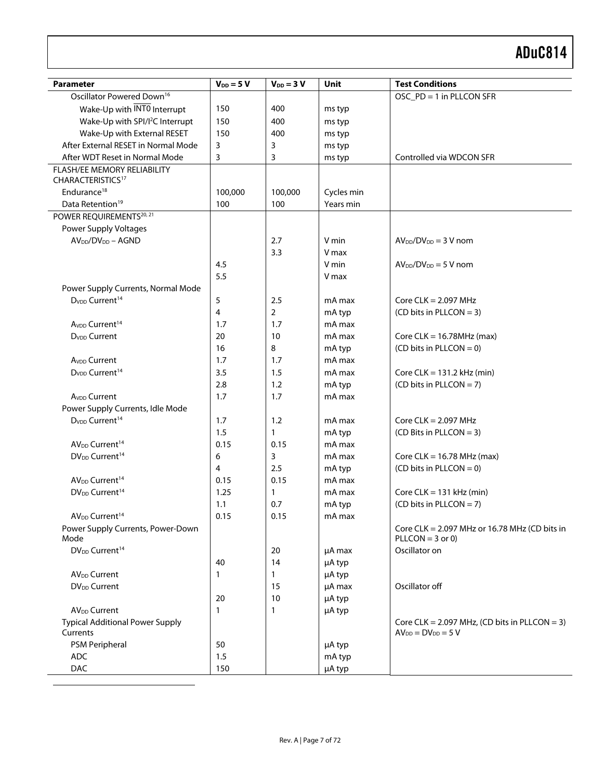| <b>Parameter</b>                            | $V_{DD} = 5 V$ | $V_{DD} = 3 V$ | Unit             | <b>Test Conditions</b>                                                |
|---------------------------------------------|----------------|----------------|------------------|-----------------------------------------------------------------------|
| Oscillator Powered Down <sup>16</sup>       |                |                |                  | OSC_PD = 1 in PLLCON SFR                                              |
| Wake-Up with INTO Interrupt                 | 150            | 400            | ms typ           |                                                                       |
| Wake-Up with SPI/I <sup>2</sup> C Interrupt | 150            | 400            | ms typ           |                                                                       |
| Wake-Up with External RESET                 | 150            | 400            | ms typ           |                                                                       |
| After External RESET in Normal Mode         | 3              | 3              | ms typ           |                                                                       |
| After WDT Reset in Normal Mode              | 3              | 3              | ms typ           | Controlled via WDCON SFR                                              |
| FLASH/EE MEMORY RELIABILITY                 |                |                |                  |                                                                       |
| CHARACTERISTICS <sup>17</sup>               |                |                |                  |                                                                       |
| Endurance <sup>18</sup>                     | 100,000        | 100,000        | Cycles min       |                                                                       |
| Data Retention <sup>19</sup>                | 100            | 100            | Years min        |                                                                       |
| POWER REQUIREMENTS <sup>20, 21</sup>        |                |                |                  |                                                                       |
| Power Supply Voltages                       |                |                |                  |                                                                       |
| $AV_{DD}/DV_{DD} - AGND$                    |                | 2.7            | V min            | $AVDD/DVDD = 3 V nom$                                                 |
|                                             |                | 3.3            | V max            |                                                                       |
|                                             | 4.5            |                | V min            | $AVDD/DVDD = 5 V nom$                                                 |
|                                             | 5.5            |                | V max            |                                                                       |
| Power Supply Currents, Normal Mode          |                |                |                  |                                                                       |
| D <sub>VDD</sub> Current <sup>14</sup>      | 5              | 2.5            | mA max           | Core $CLK = 2.097$ MHz                                                |
|                                             | 4              | $\overline{2}$ | mA typ           | (CD bits in PLLCON = 3)                                               |
| A <sub>VDD</sub> Current <sup>14</sup>      | 1.7            | 1.7            | mA max           |                                                                       |
| D <sub>VDD</sub> Current                    | 20             | 10             | mA max           | Core CLK = $16.78$ MHz (max)                                          |
|                                             | 16             | 8              | mA typ           | $(CD \text{ bits in } PLLOON = 0)$                                    |
| A <sub>VDD</sub> Current                    | 1.7            | 1.7            | mA max           |                                                                       |
| D <sub>VDD</sub> Current <sup>14</sup>      | 3.5            | 1.5            | mA max           | Core CLK = $131.2$ kHz (min)                                          |
|                                             | 2.8            | 1.2            | mA typ           | $(CD \text{ bits in } PLLOON = 7)$                                    |
| A <sub>VDD</sub> Current                    | 1.7            | 1.7            | mA max           |                                                                       |
| Power Supply Currents, Idle Mode            |                |                |                  |                                                                       |
| D <sub>VDD</sub> Current <sup>14</sup>      | 1.7            | 1.2            | mA max           | Core $CLK = 2.097$ MHz                                                |
|                                             | 1.5            | $\mathbf{1}$   | mA typ           | (CD Bits in PLLCON = 3)                                               |
| AV <sub>DD</sub> Current <sup>14</sup>      | 0.15           | 0.15           | mA max           |                                                                       |
| DV <sub>DD</sub> Current <sup>14</sup>      | 6              | 3              | mA max           | Core CLK = $16.78$ MHz (max)                                          |
|                                             | $\overline{4}$ | 2.5            | mA typ           | $(CD \text{ bits in } PLLON = 0)$                                     |
| AV <sub>DD</sub> Current <sup>14</sup>      | 0.15           | 0.15           | mA max           |                                                                       |
| DV <sub>DD</sub> Current <sup>14</sup>      | 1.25           | 1              | mA max           | Core CLK = $131$ kHz (min)                                            |
| AV <sub>DD</sub> Current <sup>14</sup>      | 1.1<br>0.15    | 0.7<br>0.15    | mA typ<br>mA max | $(CD \text{ bits in } PLLOON = 7)$                                    |
|                                             |                |                |                  |                                                                       |
| Power Supply Currents, Power-Down<br>Mode   |                |                |                  | Core CLK = $2.097$ MHz or 16.78 MHz (CD bits in<br>$PLLCDN = 3$ or 0) |
| DV <sub>DD</sub> Current <sup>14</sup>      |                | 20             | µA max           | Oscillator on                                                         |
|                                             | 40             | 14             | µA typ           |                                                                       |
| AV <sub>DD</sub> Current                    | 1              | 1              | µA typ           |                                                                       |
| <b>DV<sub>DD</sub></b> Current              |                | 15             | µA max           | Oscillator off                                                        |
|                                             | 20             | 10             | µA typ           |                                                                       |
| AV <sub>DD</sub> Current                    | 1              | 1              | µA typ           |                                                                       |
| <b>Typical Additional Power Supply</b>      |                |                |                  | Core CLK = $2.097$ MHz, (CD bits in PLLCON = 3)                       |
| Currents                                    |                |                |                  | $AV_{DD} = DV_{DD} = 5 V$                                             |
| PSM Peripheral                              | 50             |                | µA typ           |                                                                       |
| <b>ADC</b>                                  | 1.5            |                | mA typ           |                                                                       |
| DAC                                         | 150            |                | µA typ           |                                                                       |

 $\overline{a}$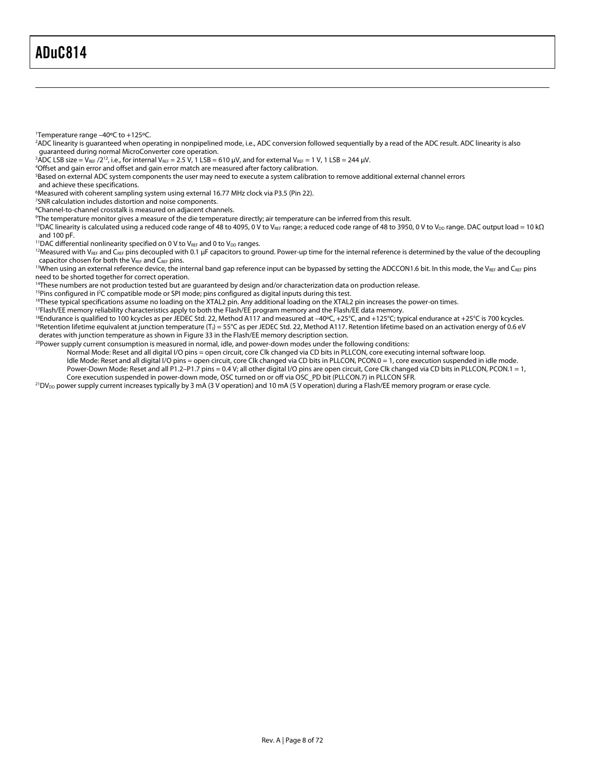<span id="page-7-0"></span> $\overline{a}$ 

1 Temperature range –40ºC to +125ºC.

<span id="page-7-1"></span>2 ADC linearity is guaranteed when operating in nonpipelined mode, i.e., ADC conversion followed sequentially by a read of the ADC result. ADC linearity is also guaranteed during normal MicroConverter core operation. 3

<span id="page-7-2"></span> $^3\bar{A}$ DC LSB size = V $_{\rm{REF}}$  /2 $^{12}$ , i.e., for internal V $_{\rm{REF}}$  = 2.5 V, 1 LSB = 610  $\mu$ V, and for external V $_{\rm{REF}}$  = 1 V, 1 LSB = 244  $\mu$ V.

<span id="page-7-3"></span><sup>4</sup>Offset and gain error and offset and gain error match are measured after factory calibration.

<span id="page-7-4"></span>Based on external ADC system components the user may need to execute a system calibration to remove additional external channel errors

and achieve these specifications.

<span id="page-7-5"></span>6 Measured with coherent sampling system using external 16.77 MHz clock via P3.5 (Pin 22).

<span id="page-7-6"></span><sup>7</sup>SNR calculation includes distortion and noise components.<br><sup>8</sup>Channel-to-channel crosstalk is measured on adjacent chan

<span id="page-7-7"></span><sup>8</sup>Channel-to-channel crosstalk is measured on adjacent channels.

<span id="page-7-8"></span><sup>9</sup>The temperature monitor gives a measure of the die temperature directly; air temperature can be inferred from this result.

<span id="page-7-9"></span><sup>10</sup>DAC linearity is calculated using a reduced code range of 48 to 4095, 0 V to V<sub>ßEF</sub> range; a reduced code range of 48 to 3950, 0 V to V<sub>DD</sub> range. DAC output load = 10 kΩ and 100 pF.<br>''DAC differential nonlinearity specified on 0 V to V<sub>REF</sub> and 0 to V<sub>DD</sub> ranges.

<span id="page-7-10"></span>

<span id="page-7-11"></span><sup>12</sup>Measured with V<sub>REF</sub> and C<sub>REF</sub> pins decoupled with 0.1 µF capacitors to ground. Power-up time for the internal reference is determined by the value of the decoupling capacitor chosen for both the V<sub>REF</sub> and C<sub>REF</sub> pi

<span id="page-7-12"></span><sup>13</sup>When using an external reference device, the internal band gap reference input can be bypassed by setting the ADCCON1.6 bit. In this mode, the V<sub>REF</sub> and C<sub>REF</sub> pins need to be shorted together for correct operation.

<span id="page-7-13"></span><sup>14</sup>These numbers are not production tested but are guaranteed by design and/or characterization data on production release.<br><sup>15</sup>Pins configured in I<sup>2</sup>C compatible mode or SPI mode; pins configured as digital inputs durin

<span id="page-7-14"></span>

<span id="page-7-15"></span>

<span id="page-7-18"></span><span id="page-7-17"></span>

<span id="page-7-16"></span><sup>17</sup>Flash/EE memory reliability characteristics apply to both the Flash/EE program memory and the Flash/EE data memory.<br><sup>18</sup>Endurance is qualified to 100 kcycles as per JEDEC Std. 22, Method A117 and measured at –40°C, +25

<span id="page-7-19"></span><sup>20</sup> Power supply current consumption is measured in normal, idle, and power-down modes under the following conditions:

Normal Mode: Reset and all digital I/O pins = open circuit, core Clk changed via CD bits in PLLCON, core executing internal software loop.

Idle Mode: Reset and all digital I/O pins = open circuit, core Clk changed via CD bits in PLLCON, PCON.0 = 1, core execution suspended in idle mode. Power-Down Mode: Reset and all P1.2-P1.7 pins = 0.4 V; all other digital I/O pins are open circuit, Core Clk changed via CD bits in PLLCON, PCON.1 = 1,

Core execution suspended in power-down mode, OSC turned on or off via OSC\_PD bit (PLLCON.7) in PLLCON SFR.

<sup>21</sup>DV<sub>DD</sub> power supply current increases typically by 3 mA (3 V operation) and 10 mA (5 V operation) during a Flash/EE memory program or erase cycle.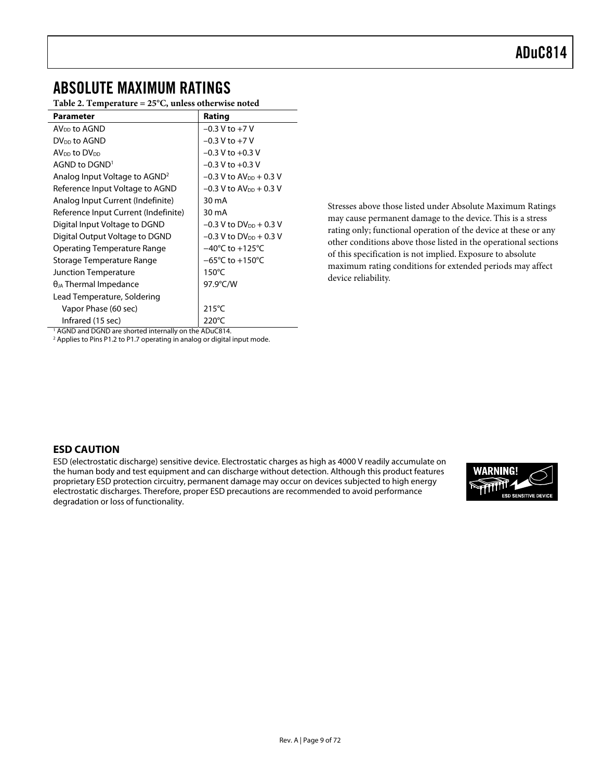# <span id="page-8-0"></span>ABSOLUTE MAXIMUM RATINGS

**Table 2. Temperature = 25°C, unless otherwise noted** 

| <b>Parameter</b>                                                  | Rating                                |
|-------------------------------------------------------------------|---------------------------------------|
| $AVDD$ to $AGND$                                                  | $-0.3 V$ to $+7 V$                    |
| DV <sub>DD</sub> to AGND                                          | $-0.3 V$ to $+7 V$                    |
| AV <sub>DD</sub> to DV <sub>DD</sub>                              | $-0.3$ V to $+0.3$ V                  |
| AGND to DGND <sup>1</sup>                                         | $-0.3$ V to $+0.3$ V                  |
| Analog Input Voltage to AGND <sup>2</sup>                         | $-0.3$ V to AV <sub>pp</sub> + 0.3 V  |
| Reference Input Voltage to AGND                                   | $-0.3$ V to AV <sub>pp</sub> $+0.3$ V |
| Analog Input Current (Indefinite)                                 | 30 mA                                 |
| Reference Input Current (Indefinite)                              | 30 mA                                 |
| Digital Input Voltage to DGND                                     | $-0.3$ V to DV <sub>DD</sub> + 0.3 V  |
| Digital Output Voltage to DGND                                    | $-0.3$ V to DV <sub>DD</sub> + 0.3 V  |
| <b>Operating Temperature Range</b>                                | $-40^{\circ}$ C to $+125^{\circ}$ C   |
| Storage Temperature Range                                         | $-65^{\circ}$ C to $+150^{\circ}$ C   |
| <b>Junction Temperature</b>                                       | $150^{\circ}$ C                       |
| $\theta_{JA}$ Thermal Impedance                                   | 97.9°C/W                              |
| Lead Temperature, Soldering                                       |                                       |
| Vapor Phase (60 sec)                                              | $215^{\circ}$ C                       |
| Infrared (15 sec)                                                 | $220^{\circ}$ C                       |
| <sup>1</sup> AGND and DGND are shorted internally on the ADuC814. |                                       |

Stresses above those listed under Absolute Maximum Ratings may cause permanent damage to the device. This is a stress rating only; functional operation of the device at these or any other conditions above those listed in the operational sections of this specification is not implied. Exposure to absolute maximum rating conditions for extended periods may affect device reliability.

<sup>1</sup> AGND and DGND are shorted internally on the ADuC814.<br><sup>2</sup> Applies to Pins P1.2 to P1.7 operating in analog or digital input mode.

### <span id="page-8-1"></span>**ESD CAUTION**

ESD (electrostatic discharge) sensitive device. Electrostatic charges as high as 4000 V readily accumulate on the human body and test equipment and can discharge without detection. Although this product features proprietary ESD protection circuitry, permanent damage may occur on devices subjected to high energy electrostatic discharges. Therefore, proper ESD precautions are recommended to avoid performance degradation or loss of functionality.

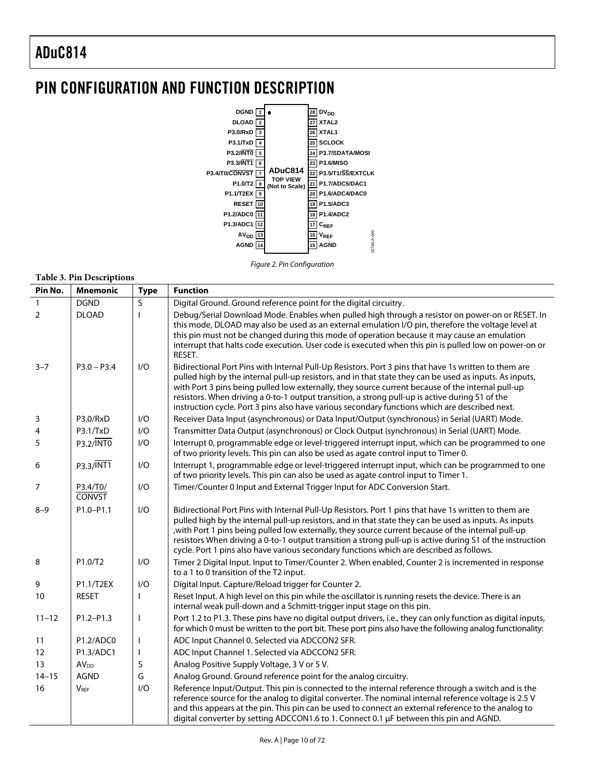# <span id="page-9-0"></span>PIN CONFIGURATION AND FUNCTION DESCRIPTION



Figure 2. Pin Configuration

|                | Table 3. Pin Descriptions          |             |                                                                                                                                                                                                                                                                                                                                                                                                                                                                                                                                |
|----------------|------------------------------------|-------------|--------------------------------------------------------------------------------------------------------------------------------------------------------------------------------------------------------------------------------------------------------------------------------------------------------------------------------------------------------------------------------------------------------------------------------------------------------------------------------------------------------------------------------|
| Pin No.        | <b>Mnemonic</b>                    | <b>Type</b> | <b>Function</b>                                                                                                                                                                                                                                                                                                                                                                                                                                                                                                                |
| $\mathbf{1}$   | <b>DGND</b>                        | S           | Digital Ground. Ground reference point for the digital circuitry.                                                                                                                                                                                                                                                                                                                                                                                                                                                              |
| $\overline{2}$ | <b>DLOAD</b>                       |             | Debug/Serial Download Mode. Enables when pulled high through a resistor on power-on or RESET. In<br>this mode, DLOAD may also be used as an external emulation I/O pin, therefore the voltage level at<br>this pin must not be changed during this mode of operation because it may cause an emulation<br>interrupt that halts code execution. User code is executed when this pin is pulled low on power-on or<br>RESET.                                                                                                      |
| $3 - 7$        | $P3.0 - P3.4$                      | I/O         | Bidirectional Port Pins with Internal Pull-Up Resistors. Port 3 pins that have 1s written to them are<br>pulled high by the internal pull-up resistors, and in that state they can be used as inputs. As inputs,<br>with Port 3 pins being pulled low externally, they source current because of the internal pull-up<br>resistors. When driving a 0-to-1 output transition, a strong pull-up is active during S1 of the<br>instruction cycle. Port 3 pins also have various secondary functions which are described next.     |
| 3              | P3.0/RxD                           | I/O         | Receiver Data Input (asynchronous) or Data Input/Output (synchronous) in Serial (UART) Mode.                                                                                                                                                                                                                                                                                                                                                                                                                                   |
| 4              | P3.1/TxD                           | 1/O         | Transmitter Data Output (asynchronous) or Clock Output (synchronous) in Serial (UART) Mode.                                                                                                                                                                                                                                                                                                                                                                                                                                    |
| 5              | P3.2/INTO                          | I/O         | Interrupt 0, programmable edge or level-triggered interrupt input, which can be programmed to one<br>of two priority levels. This pin can also be used as agate control input to Timer 0.                                                                                                                                                                                                                                                                                                                                      |
| 6              | $P3.3/\overline{INT1}$             | 1/O         | Interrupt 1, programmable edge or level-triggered interrupt input, which can be programmed to one<br>of two priority levels. This pin can also be used as agate control input to Timer 1.                                                                                                                                                                                                                                                                                                                                      |
| 7              | P3.4/T0/<br><b>CONVST</b>          | I/O         | Timer/Counter 0 Input and External Trigger Input for ADC Conversion Start.                                                                                                                                                                                                                                                                                                                                                                                                                                                     |
| $8 - 9$        | P1.0-P1.1                          | I/O         | Bidirectional Port Pins with Internal Pull-Up Resistors. Port 1 pins that have 1s written to them are<br>pulled high by the internal pull-up resistors, and in that state they can be used as inputs. As inputs<br>with Port 1 pins being pulled low externally, they source current because of the internal pull-up,<br>resistors When driving a 0-to-1 output transition a strong pull-up is active during S1 of the instruction<br>cycle. Port 1 pins also have various secondary functions which are described as follows. |
| 8              | P1.0/T2                            | I/O         | Timer 2 Digital Input. Input to Timer/Counter 2. When enabled, Counter 2 is incremented in response<br>to a 1 to 0 transition of the T2 input.                                                                                                                                                                                                                                                                                                                                                                                 |
| 9              | P1.1/T2EX                          | 1/O         | Digital Input. Capture/Reload trigger for Counter 2.                                                                                                                                                                                                                                                                                                                                                                                                                                                                           |
| 10             | <b>RESET</b>                       |             | Reset Input. A high level on this pin while the oscillator is running resets the device. There is an<br>internal weak pull-down and a Schmitt-trigger input stage on this pin.                                                                                                                                                                                                                                                                                                                                                 |
| $11 - 12$      | $P1.2 - P1.3$                      | <b>I</b>    | Port 1.2 to P1.3. These pins have no digital output drivers, i.e., they can only function as digital inputs,<br>for which 0 must be written to the port bit. These port pins also have the following analog functionality:                                                                                                                                                                                                                                                                                                     |
| 11             | P <sub>1.2</sub> /ADC <sub>0</sub> |             | ADC Input Channel 0. Selected via ADCCON2 SFR.                                                                                                                                                                                                                                                                                                                                                                                                                                                                                 |
| 12             | P1.3/ADC1                          |             | ADC Input Channel 1. Selected via ADCCON2 SFR.                                                                                                                                                                                                                                                                                                                                                                                                                                                                                 |
| 13             | <b>AV<sub>DD</sub></b>             | S           | Analog Positive Supply Voltage, 3 V or 5 V.                                                                                                                                                                                                                                                                                                                                                                                                                                                                                    |
| $14 - 15$      | <b>AGND</b>                        | G           | Analog Ground. Ground reference point for the analog circuitry.                                                                                                                                                                                                                                                                                                                                                                                                                                                                |
| 16             | <b>VRFF</b>                        | I/O         | Reference Input/Output. This pin is connected to the internal reference through a switch and is the<br>reference source for the analog to digital converter. The nominal internal reference voltage is 2.5 V<br>and this appears at the pin. This pin can be used to connect an external reference to the analog to<br>digital converter by setting ADCCON1.6 to 1. Connect 0.1 µF between this pin and AGND.                                                                                                                  |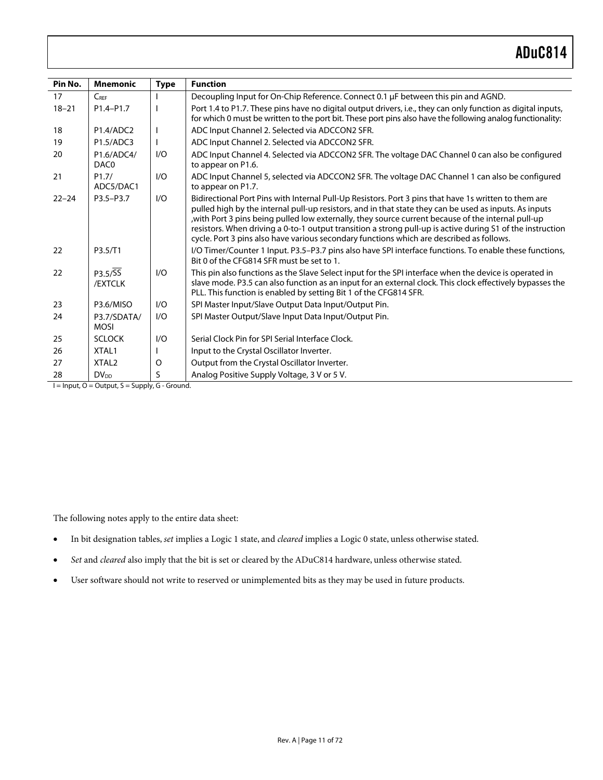| Pin No.   | <b>Mnemonic</b>                    | <b>Type</b> | <b>Function</b>                                                                                                                                                                                                                                                                                                                                                                                                                                                                                                                 |
|-----------|------------------------------------|-------------|---------------------------------------------------------------------------------------------------------------------------------------------------------------------------------------------------------------------------------------------------------------------------------------------------------------------------------------------------------------------------------------------------------------------------------------------------------------------------------------------------------------------------------|
| 17        | $C_{REF}$                          |             | Decoupling Input for On-Chip Reference. Connect 0.1 µF between this pin and AGND.                                                                                                                                                                                                                                                                                                                                                                                                                                               |
| $18 - 21$ | P1.4-P1.7                          |             | Port 1.4 to P1.7. These pins have no digital output drivers, i.e., they can only function as digital inputs,<br>for which 0 must be written to the port bit. These port pins also have the following analog functionality:                                                                                                                                                                                                                                                                                                      |
| 18        | P <sub>1.4</sub> /ADC <sub>2</sub> |             | ADC Input Channel 2. Selected via ADCCON2 SFR.                                                                                                                                                                                                                                                                                                                                                                                                                                                                                  |
| 19        | P1.5/ADC3                          |             | ADC Input Channel 2. Selected via ADCCON2 SFR.                                                                                                                                                                                                                                                                                                                                                                                                                                                                                  |
| 20        | P1.6/ADC4/<br>DAC0                 | 1/O         | ADC Input Channel 4. Selected via ADCCON2 SFR. The voltage DAC Channel 0 can also be configured<br>to appear on P1.6.                                                                                                                                                                                                                                                                                                                                                                                                           |
| 21        | P1.7/<br>ADC5/DAC1                 | 1/O         | ADC Input Channel 5, selected via ADCCON2 SFR. The voltage DAC Channel 1 can also be configured<br>to appear on P1.7.                                                                                                                                                                                                                                                                                                                                                                                                           |
| $22 - 24$ | P3.5-P3.7                          | 1/O         | Bidirectional Port Pins with Internal Pull-Up Resistors. Port 3 pins that have 1s written to them are<br>pulled high by the internal pull-up resistors, and in that state they can be used as inputs. As inputs<br>with Port 3 pins being pulled low externally, they source current because of the internal pull-up,<br>resistors. When driving a 0-to-1 output transition a strong pull-up is active during S1 of the instruction<br>cycle. Port 3 pins also have various secondary functions which are described as follows. |
| 22        | P3.5/T1                            |             | I/O Timer/Counter 1 Input. P3.5-P3.7 pins also have SPI interface functions. To enable these functions,<br>Bit 0 of the CFG814 SFR must be set to 1.                                                                                                                                                                                                                                                                                                                                                                            |
| 22        | P3.5/SS<br>/EXTCLK                 | 1/O         | This pin also functions as the Slave Select input for the SPI interface when the device is operated in<br>slave mode. P3.5 can also function as an input for an external clock. This clock effectively bypasses the<br>PLL. This function is enabled by setting Bit 1 of the CFG814 SFR.                                                                                                                                                                                                                                        |
| 23        | P3.6/MISO                          | 1/O         | SPI Master Input/Slave Output Data Input/Output Pin.                                                                                                                                                                                                                                                                                                                                                                                                                                                                            |
| 24        | P3.7/SDATA/<br><b>MOSI</b>         | 1/O         | SPI Master Output/Slave Input Data Input/Output Pin.                                                                                                                                                                                                                                                                                                                                                                                                                                                                            |
| 25        | <b>SCLOCK</b>                      | 1/O         | Serial Clock Pin for SPI Serial Interface Clock.                                                                                                                                                                                                                                                                                                                                                                                                                                                                                |
| 26        | XTAL1                              |             | Input to the Crystal Oscillator Inverter.                                                                                                                                                                                                                                                                                                                                                                                                                                                                                       |
| 27        | XTAL <sub>2</sub>                  | O           | Output from the Crystal Oscillator Inverter.                                                                                                                                                                                                                                                                                                                                                                                                                                                                                    |
| 28        | <b>DV<sub>DD</sub></b>             | S           | Analog Positive Supply Voltage, 3 V or 5 V.                                                                                                                                                                                                                                                                                                                                                                                                                                                                                     |

 $I = Input, O = Output, S = Supply, G - Ground.$ 

The following notes apply to the entire data sheet:

- In bit designation tables, *set* implies a Logic 1 state, and *cleared* implies a Logic 0 state, unless otherwise stated.
- *Set* and *cleared* also imply that the bit is set or cleared by the ADuC814 hardware, unless otherwise stated.
- User software should not write to reserved or unimplemented bits as they may be used in future products.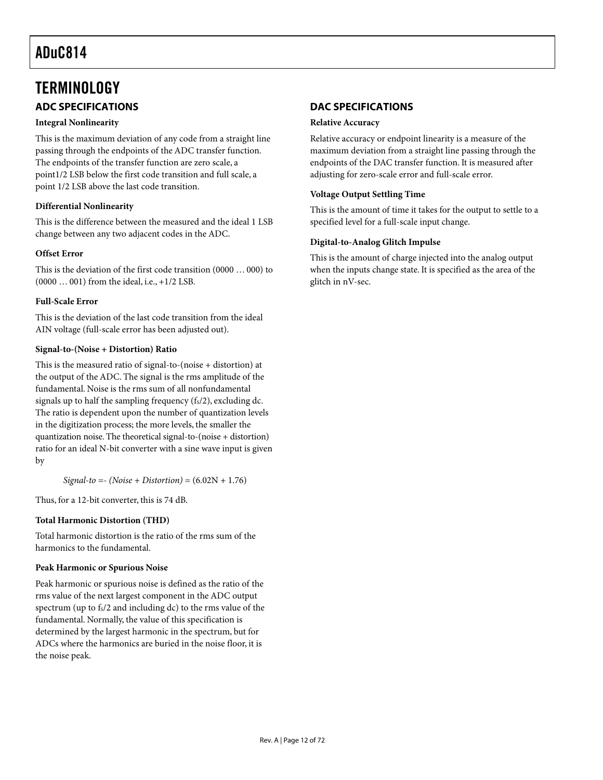# <span id="page-11-0"></span>**TERMINOLOGY ADC SPECIFICATIONS**

#### <span id="page-11-1"></span>**Integral Nonlinearity**

This is the maximum deviation of any code from a straight line passing through the endpoints of the ADC transfer function. The endpoints of the transfer function are zero scale, a point1/2 LSB below the first code transition and full scale, a point 1/2 LSB above the last code transition.

#### **Differential Nonlinearity**

This is the difference between the measured and the ideal 1 LSB change between any two adjacent codes in the ADC.

#### **Offset Error**

This is the deviation of the first code transition (0000 … 000) to (0000 … 001) from the ideal, i.e., +1/2 LSB.

#### **Full-Scale Error**

This is the deviation of the last code transition from the ideal AIN voltage (full-scale error has been adjusted out).

#### **Signal-to-(Noise + Distortion) Ratio**

This is the measured ratio of signal-to-(noise + distortion) at the output of the ADC. The signal is the rms amplitude of the fundamental. Noise is the rms sum of all nonfundamental signals up to half the sampling frequency  $(f_s/2)$ , excluding dc. The ratio is dependent upon the number of quantization levels in the digitization process; the more levels, the smaller the quantization noise. The theoretical signal-to-(noise + distortion) ratio for an ideal N-bit converter with a sine wave input is given by

*Signal-to =- (Noise + Distortion)* = (6.02N + 1.76)

Thus, for a 12-bit converter, this is 74 dB.

#### **Total Harmonic Distortion (THD)**

Total harmonic distortion is the ratio of the rms sum of the harmonics to the fundamental.

#### **Peak Harmonic or Spurious Noise**

Peak harmonic or spurious noise is defined as the ratio of the rms value of the next largest component in the ADC output spectrum (up to  $f_s/2$  and including dc) to the rms value of the fundamental. Normally, the value of this specification is determined by the largest harmonic in the spectrum, but for ADCs where the harmonics are buried in the noise floor, it is the noise peak.

### <span id="page-11-2"></span>**DAC SPECIFICATIONS**

#### **Relative Accuracy**

Relative accuracy or endpoint linearity is a measure of the maximum deviation from a straight line passing through the endpoints of the DAC transfer function. It is measured after adjusting for zero-scale error and full-scale error.

#### **Voltage Output Settling Time**

This is the amount of time it takes for the output to settle to a specified level for a full-scale input change.

#### **Digital-to-Analog Glitch Impulse**

This is the amount of charge injected into the analog output when the inputs change state. It is specified as the area of the glitch in nV-sec.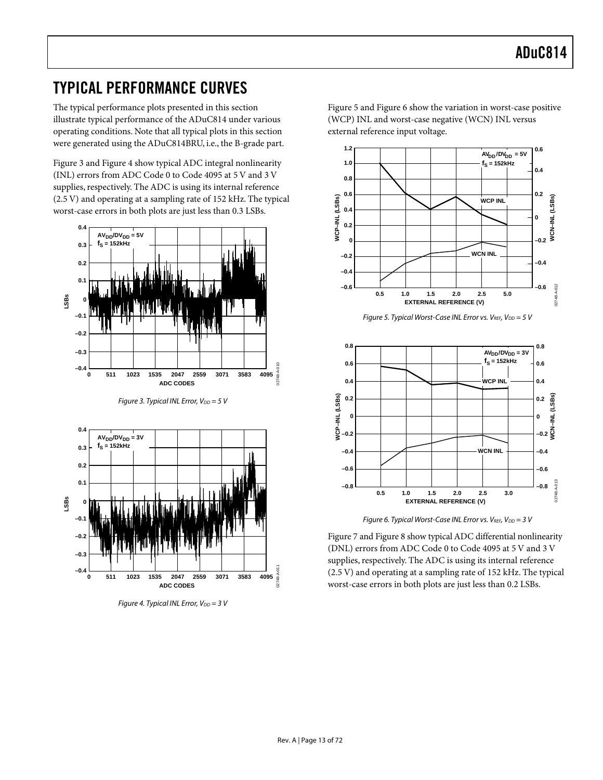# <span id="page-12-0"></span>TYPICAL PERFORMANCE CURVES

The typical performance plots presented in this section illustrate typical performance of the ADuC814 under various operating conditions. Note that all typical plots in this section were generated using the ADuC814BRU, i.e., the B-grade part.

[Figure 3](#page-12-1) and [Figure 4 s](#page-12-2)how typical ADC integral nonlinearity (INL) errors from ADC Code 0 to Code 4095 at 5 V and 3 V supplies, respectively. The ADC is using its internal reference (2.5 V) and operating at a sampling rate of 152 kHz. The typical worst-case errors in both plots are just less than 0.3 LSBs.

<span id="page-12-1"></span>

<span id="page-12-2"></span>Figure 3. Typical INL Error,  $V_{DD} = 5 V$ 



Figure 4. Typical INL Error,  $V_{DD} = 3 V$ 

[Figure 5](#page-12-3) and [Figure 6 s](#page-12-4)how the variation in worst-case positive (WCP) INL and worst-case negative (WCN) INL versus external reference input voltage.

<span id="page-12-3"></span>

<span id="page-12-4"></span>Figure 6. Typical Worst-Case INL Error vs.  $V_{REF}$ ,  $V_{DD} = 3$  V

[Figure 7 a](#page-13-0)nd [Figure 8 s](#page-13-1)how typical ADC differential nonlinearity (DNL) errors from ADC Code 0 to Code 4095 at 5 V and 3 V supplies, respectively. The ADC is using its internal reference (2.5 V) and operating at a sampling rate of 152 kHz. The typical worst-case errors in both plots are just less than 0.2 LSBs.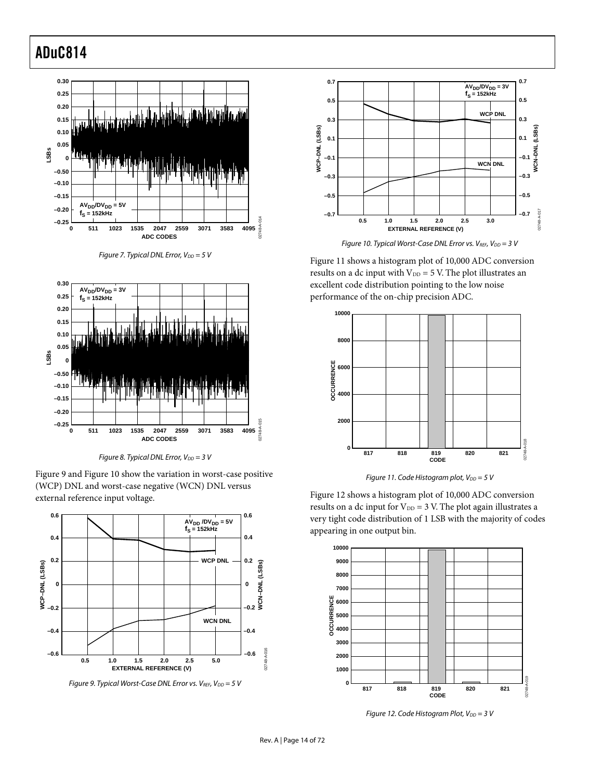<span id="page-13-0"></span>

<span id="page-13-1"></span>



Figure 8. Typical DNL Error,  $V_{DD} = 3 V$ 



<span id="page-13-2"></span>

Figure 9. Typical Worst-Case DNL Error vs.  $V_{REF}$ ,  $V_{DD} = 5$  V

<span id="page-13-3"></span>

Figure 10. Typical Worst-Case DNL Error vs.  $V_{REF}$ ,  $V_{DD} = 3$  V

[Figure 11 s](#page-13-4)hows a histogram plot of 10,000 ADC conversion results on a dc input with  $V_{DD} = 5$  V. The plot illustrates an excellent code distribution pointing to the low noise performance of the on-chip precision ADC.

<span id="page-13-4"></span>



[Figure 12 s](#page-13-5)hows a histogram plot of 10,000 ADC conversion results on a dc input for  $V_{DD} = 3$  V. The plot again illustrates a very tight code distribution of 1 LSB with the majority of codes appearing in one output bin.

<span id="page-13-5"></span>

Figure 12. Code Histogram Plot,  $V_{DD} = 3 V$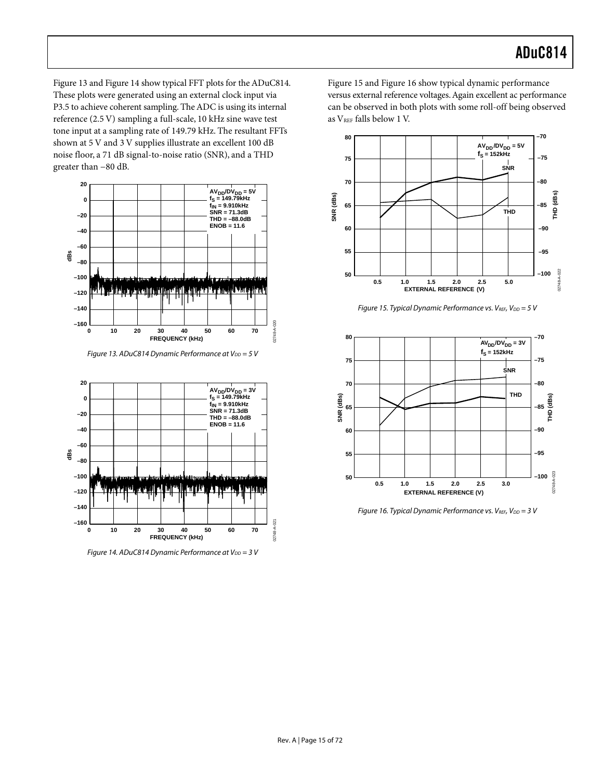[Figure 13 a](#page-14-0)nd [Figure 14 s](#page-14-1)how typical FFT plots for the ADuC814. These plots were generated using an external clock input via P3.5 to achieve coherent sampling. The ADC is using its internal reference (2.5 V) sampling a full-scale, 10 kHz sine wave test tone input at a sampling rate of 149.79 kHz. The resultant FFTs shown at 5 V and 3 V supplies illustrate an excellent 100 dB noise floor, a 71 dB signal-to-noise ratio (SNR), and a THD greater than −80 dB.

<span id="page-14-0"></span>

Figure 13. ADuC814 Dynamic Performance at  $V_{DD} = 5 V$ 

<span id="page-14-1"></span>

Figure 14. ADuC814 Dynamic Performance at  $V_{DD} = 3 V$ 

[Figure 15 a](#page-14-2)nd [Figure 16 s](#page-14-3)how typical dynamic performance versus external reference voltages. Again excellent ac performance can be observed in both plots with some roll-off being observed as V<sub>REF</sub> falls below 1 V.

<span id="page-14-2"></span>

<span id="page-14-3"></span>Figure 15. Typical Dynamic Performance vs. VREF,  $V_{DD} = 5 V$ 



Figure 16. Typical Dynamic Performance vs.  $V_{REF}$ ,  $V_{DD} = 3$  V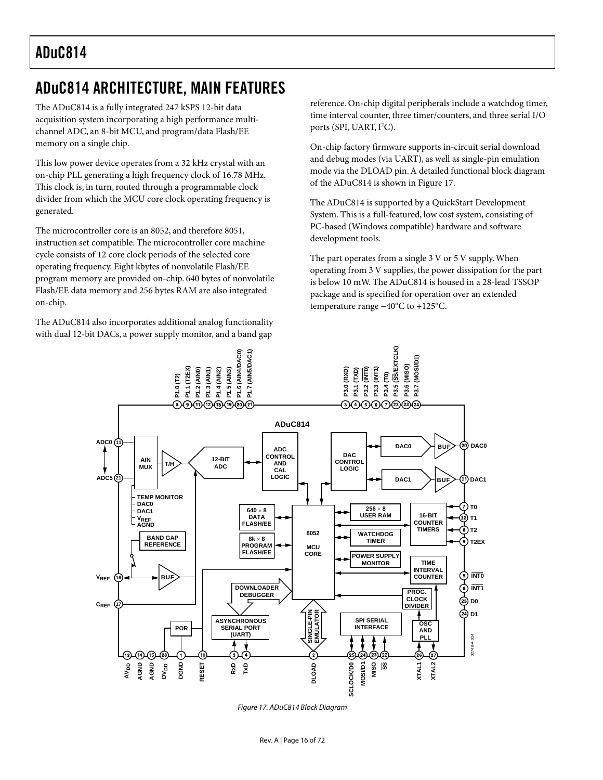# <span id="page-15-0"></span>ADuC814 ARCHITECTURE, MAIN FEATURES

The ADuC814 is a fully integrated 247 kSPS 12-bit data acquisition system incorporating a high performance multichannel ADC, an 8-bit MCU, and program/data Flash/EE memory on a single chip.

This low power device operates from a 32 kHz crystal with an on-chip PLL generating a high frequency clock of 16.78 MHz. This clock is, in turn, routed through a programmable clock divider from which the MCU core clock operating frequency is generated.

The microcontroller core is an 8052, and therefore 8051, instruction set compatible. The microcontroller core machine cycle consists of 12 core clock periods of the selected core operating frequency. Eight kbytes of nonvolatile Flash/EE program memory are provided on-chip. 640 bytes of nonvolatile Flash/EE data memory and 256 bytes RAM are also integrated on-chip.

The ADuC814 also incorporates additional analog functionality with dual 12-bit DACs, a power supply monitor, and a band gap

reference. On-chip digital peripherals include a watchdog timer, time interval counter, three timer/counters, and three serial I/O ports (SPI, UART, I<sup>2</sup>C).

On-chip factory firmware supports in-circuit serial download and debug modes (via UART), as well as single-pin emulation mode via the DLOAD pin. A detailed functional block diagram of the ADuC814 is shown in [Figure 17.](#page-15-1)

The ADuC814 is supported by a QuickStart Development System. This is a full-featured, low cost system, consisting of PC-based (Windows compatible) hardware and software development tools.

<span id="page-15-1"></span>The part operates from a single 3 V or 5 V supply. When operating from 3 V supplies, the power dissipation for the part is below 10 mW. The ADuC814 is housed in a 28-lead TSSOP package and is specified for operation over an extended temperature range −40°C to +125°C.



Figure 17. ADuC814 Block Diagram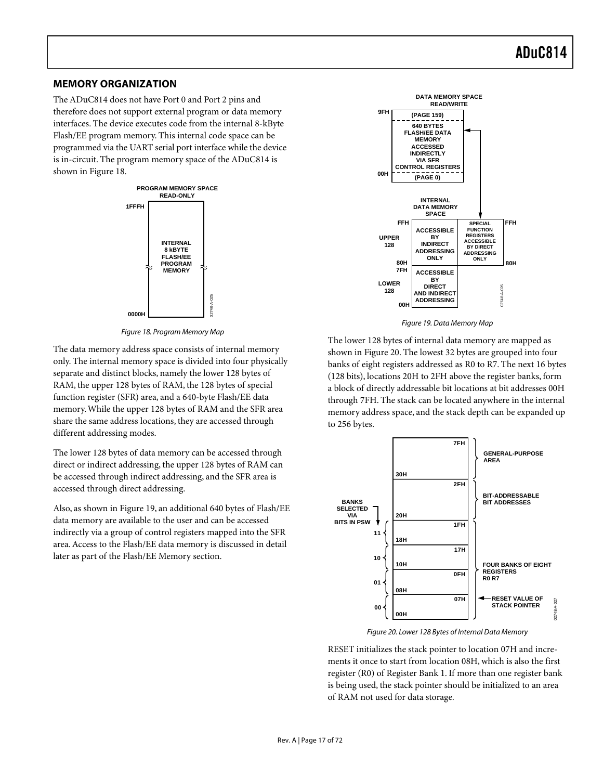### <span id="page-16-0"></span>**MEMORY ORGANIZATION**

The ADuC814 does not have Port 0 and Port 2 pins and therefore does not support external program or data memory interfaces. The device executes code from the internal 8-kByte Flash/EE program memory. This internal code space can be programmed via the UART serial port interface while the device is in-circuit. The program memory space of the ADuC814 is shown in [Figure 18.](#page-16-1)

<span id="page-16-1"></span>

Figure 18. Program Memory Map

The data memory address space consists of internal memory only. The internal memory space is divided into four physically separate and distinct blocks, namely the lower 128 bytes of RAM, the upper 128 bytes of RAM, the 128 bytes of special function register (SFR) area, and a 640-byte Flash/EE data memory. While the upper 128 bytes of RAM and the SFR area share the same address locations, they are accessed through different addressing modes.

The lower 128 bytes of data memory can be accessed through direct or indirect addressing, the upper 128 bytes of RAM can be accessed through indirect addressing, and the SFR area is accessed through direct addressing.

Also, as shown in [Figure 19,](#page-16-2) an additional 640 bytes of Flash/EE data memory are available to the user and can be accessed indirectly via a group of control registers mapped into the SFR area. Access to the Flash/EE data memory is discussed in detail later as part of the Flash/EE Memory section.

<span id="page-16-2"></span>

Figure 19. Data Memory Map

The lower 128 bytes of internal data memory are mapped as shown in [Figure 20.](#page-16-3) The lowest 32 bytes are grouped into four banks of eight registers addressed as R0 to R7. The next 16 bytes (128 bits), locations 20H to 2FH above the register banks, form a block of directly addressable bit locations at bit addresses 00H through 7FH. The stack can be located anywhere in the internal memory address space, and the stack depth can be expanded up to 256 bytes.

<span id="page-16-3"></span>

Figure 20. Lower 128 Bytes of Internal Data Memory

RESET initializes the stack pointer to location 07H and increments it once to start from location 08H, which is also the first register (R0) of Register Bank 1. If more than one register bank is being used, the stack pointer should be initialized to an area of RAM not used for data storage.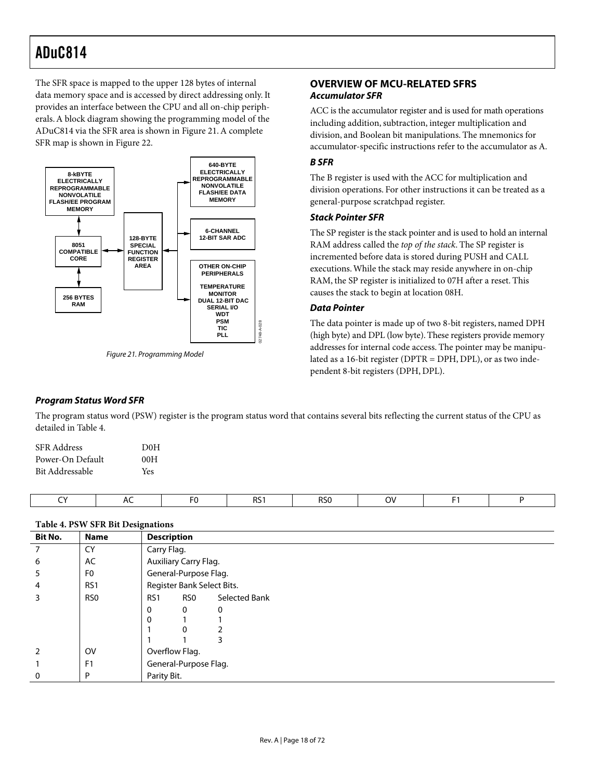The SFR space is mapped to the upper 128 bytes of internal data memory space and is accessed by direct addressing only. It provides an interface between the CPU and all on-chip peripherals. A block diagram showing the programming model of the ADuC814 via the SFR area is shown in [Figure 21.](#page-17-6) A complete SFR map is shown in [Figure 22.](#page-19-1)

<span id="page-17-6"></span>

Figure 21. Programming Model

### <span id="page-17-1"></span><span id="page-17-0"></span>**OVERVIEW OF MCU-RELATED SFRS Accumulator SFR**

ACC is the accumulator register and is used for math operations including addition, subtraction, integer multiplication and division, and Boolean bit manipulations. The mnemonics for accumulator-specific instructions refer to the accumulator as A.

### <span id="page-17-2"></span>**B SFR**

The B register is used with the ACC for multiplication and division operations. For other instructions it can be treated as a general-purpose scratchpad register.

#### <span id="page-17-3"></span>**Stack Pointer SFR**

The SP register is the stack pointer and is used to hold an internal RAM address called the *top of the stack*. The SP register is incremented before data is stored during PUSH and CALL executions. While the stack may reside anywhere in on-chip RAM, the SP register is initialized to 07H after a reset. This causes the stack to begin at location 08H.

### <span id="page-17-4"></span>**Data Pointer**

The data pointer is made up of two 8-bit registers, named DPH (high byte) and DPL (low byte). These registers provide memory addresses for internal code access. The pointer may be manipulated as a 16-bit register (DPTR = DPH, DPL), or as two independent 8-bit registers (DPH, DPL).

### <span id="page-17-5"></span>**Program Status Word SFR**

The program status word (PSW) register is the program status word that contains several bits reflecting the current status of the CPU as detailed in [Table 4.](#page-17-7)

| SFR Address      | DOH |
|------------------|-----|
| Power-On Default | 00H |
| Bit Addressable  | Yes |
|                  |     |

CY | AC | F0 | RS1 | RS0 | OV | F1 | P

#### <span id="page-17-7"></span>**Table 4. PSW SFR Bit Designations**

| <b>Bit No.</b> | <b>Name</b>     | $\tilde{\phantom{a}}$<br><b>Description</b> |                       |                            |  |  |  |  |
|----------------|-----------------|---------------------------------------------|-----------------------|----------------------------|--|--|--|--|
|                | CY              | Carry Flag.                                 |                       |                            |  |  |  |  |
| 6              | AC              |                                             | Auxiliary Carry Flag. |                            |  |  |  |  |
| 5              | F <sub>0</sub>  |                                             | General-Purpose Flag. |                            |  |  |  |  |
| 4              | RS1             |                                             |                       | Register Bank Select Bits. |  |  |  |  |
| 3              | RS <sub>0</sub> | RS <sub>1</sub>                             | RS0                   | Selected Bank              |  |  |  |  |
|                |                 | 0                                           | $\mathbf{0}$          | $\mathbf 0$                |  |  |  |  |
|                |                 | 0                                           |                       |                            |  |  |  |  |
|                |                 |                                             | $\mathbf{0}$          |                            |  |  |  |  |
|                |                 |                                             |                       | 3                          |  |  |  |  |
| 2              | <b>OV</b>       | Overflow Flag.                              |                       |                            |  |  |  |  |
|                | F <sub>1</sub>  |                                             | General-Purpose Flag. |                            |  |  |  |  |
| $\mathbf{0}$   | P               | Parity Bit.                                 |                       |                            |  |  |  |  |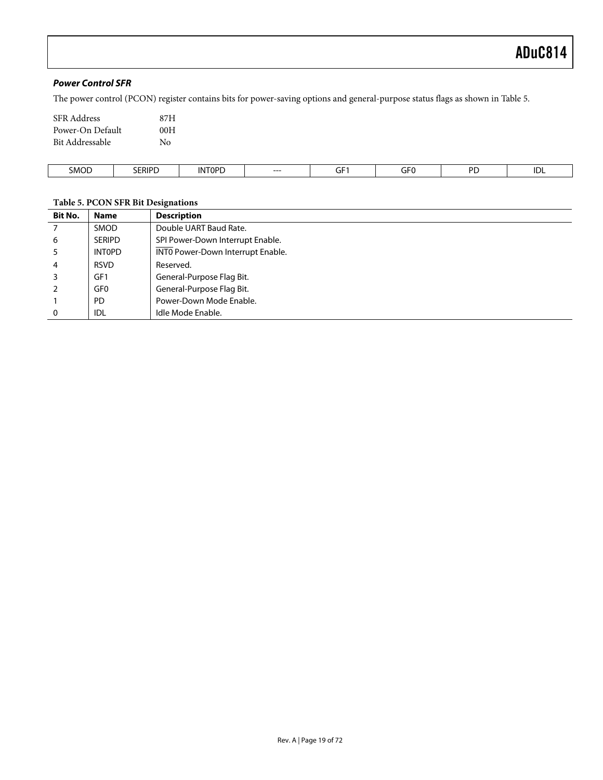### <span id="page-18-0"></span>**Power Control SFR**

The power control (PCON) register contains bits for power-saving options and general-purpose status flags as shown in [Table 5.](#page-18-1)

| <b>SFR</b> Address | 87H |
|--------------------|-----|
| Power-On Default   | 00H |
| Bit Addressable    | No  |

| SMOD | <b>SERIPD</b> | rndr<br>INE<br>. UF | ---<br>$--$ | $- -$<br>.<br>◡<br>the contract of the contract of | $- - -$<br>. . <b>.</b> .<br>۰٦Г | DE<br>___ | IDL |
|------|---------------|---------------------|-------------|----------------------------------------------------|----------------------------------|-----------|-----|

#### <span id="page-18-1"></span>**Table 5. PCON SFR Bit Designations**

| <b>Bit No.</b> | <b>Name</b>     | <b>Description</b>                |
|----------------|-----------------|-----------------------------------|
| 7              | <b>SMOD</b>     | Double UART Baud Rate.            |
| 6              | <b>SERIPD</b>   | SPI Power-Down Interrupt Enable.  |
| 5              | <b>INTOPD</b>   | INTO Power-Down Interrupt Enable. |
| $\overline{4}$ | <b>RSVD</b>     | Reserved.                         |
| 3              | GF1             | General-Purpose Flag Bit.         |
| 2              | GF <sub>0</sub> | General-Purpose Flag Bit.         |
|                | <b>PD</b>       | Power-Down Mode Enable.           |
| $\mathbf{0}$   | <b>IDL</b>      | Idle Mode Enable.                 |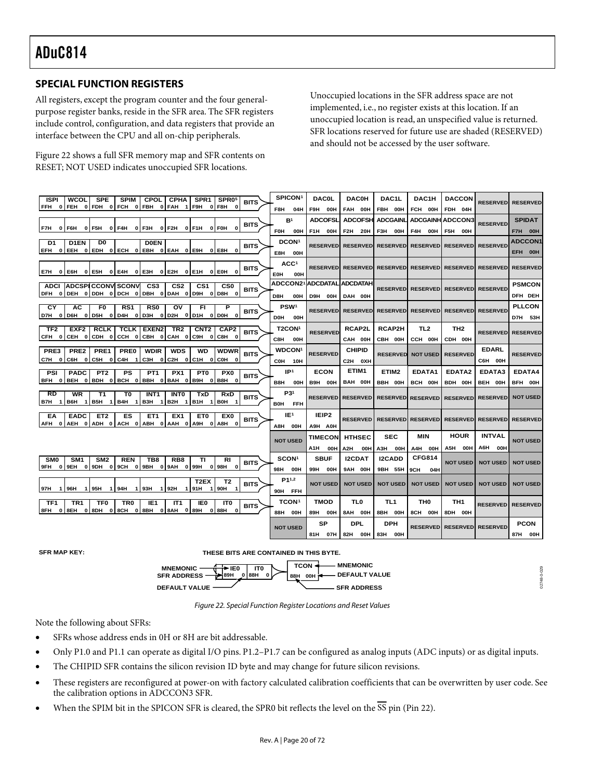## <span id="page-19-0"></span>**SPECIAL FUNCTION REGISTERS**

All registers, except the program counter and the four generalpurpose register banks, reside in the SFR area. The SFR registers include control, configuration, and data registers that provide an interface between the CPU and all on-chip peripherals.

[Figure 22 s](#page-19-1)hows a full SFR memory map and SFR contents on RESET; NOT USED indicates unoccupied SFR locations.

<span id="page-19-1"></span>Unoccupied locations in the SFR address space are not implemented, i.e., no register exists at this location. If an unoccupied location is read, an unspecified value is returned. SFR locations reserved for future use are shaded (RESERVED) and should not be accessed by the user software.

| <b>ISPI</b><br><b>WCOL</b><br><b>SPE</b><br><b>SPIM</b><br>CPOL  <br><b>CPHA</b><br>SPR <sub>1</sub><br>SPR05                                                                                | SPICON <sup>1</sup>    | <b>DAC0L</b>      | <b>DAC0H</b>                                               | DAC1L           | DAC1H                                        | <b>DACCON</b>              | <b>RESERVED</b>           | <b>RESERVED</b> |
|----------------------------------------------------------------------------------------------------------------------------------------------------------------------------------------------|------------------------|-------------------|------------------------------------------------------------|-----------------|----------------------------------------------|----------------------------|---------------------------|-----------------|
| <b>BITS</b><br>0 FEH 0 FDH 0 FCH 0 FBH 0 FAH 1<br>F9H<br>FFH<br>0   F8H<br>$\bf{0}$                                                                                                          | F8H<br>04H             | F9H<br>00H        | FAH 00H                                                    | FBH 00H         | FCH 00H                                      | FDH 04H                    |                           |                 |
|                                                                                                                                                                                              | B <sup>1</sup>         | <b>ADCOFSL</b>    | <b>ADCOFSHI</b>                                            | <b>ADCGAINL</b> | <b>ADCGAINH ADCCON3</b>                      |                            |                           | <b>SPIDAT</b>   |
| <b>BITS</b><br>0 F3H<br>F7H<br>0 F5H<br>0 F4H<br>0 F2H<br>0 F1H<br>0 FOH<br>$\mathbf{0}$<br>0 I F6H                                                                                          | <b>FOH</b><br>00H      | F1H<br><b>OOH</b> | F2H<br>20H                                                 | F3H<br>00H      | F4H<br>00H                                   | F5H<br>00H                 | <b>RESERVED</b>           | <b>F7H 00H</b>  |
| D <sub>0</sub><br>D <sub>1</sub> EN<br><b>DOEN</b><br>D1                                                                                                                                     | DCON <sup>1</sup>      |                   |                                                            |                 |                                              |                            |                           | <b>ADCCON1</b>  |
| <b>BITS</b><br>EFH<br>0 EEH 0 EDH 0 ECH 0 EBH 0 EAH 0 E9H<br>0 E8H<br>$\Omega$                                                                                                               | E8H<br>OOH             |                   | RESERVED  RESERVED  RESERVED  RESERVED  RESERVED           |                 |                                              |                            | <b>RESERVED</b>           | EFH 00H         |
|                                                                                                                                                                                              | ACC <sup>1</sup>       |                   |                                                            |                 |                                              |                            |                           |                 |
| <b>BITS</b><br>0 E6H 0 E5H 0 E4H<br>0 E3H 0 E2H<br>0 E1H<br>0 EOH<br>0<br>E7H                                                                                                                |                        |                   | RESERVEDI RESERVEDI RESERVEDI RESERVEDI RESERVEDI RESERVED |                 |                                              |                            |                           | <b>RESERVED</b> |
|                                                                                                                                                                                              | EOH<br>00H<br>ADCCON21 |                   | <b>ADCDATAL ADCDATAH</b>                                   |                 |                                              |                            |                           |                 |
| ADCI ADCSPICCONV SCONV<br>CS <sub>3</sub><br>CS <sub>2</sub><br>CS <sub>1</sub><br>CSO<br><b>BITS</b><br>DFH 0 DEH 0 DDH 0 DCH 0 DBH 0 DAH 0 D9H<br>0 D8H<br>$\mathbf{o}$                    |                        |                   |                                                            |                 | RESERVED RESERVED RESERVED RESERVED          |                            |                           | <b>PSMCON</b>   |
|                                                                                                                                                                                              | D8H<br>00H             | D9H<br>00H        | DAH 00H                                                    |                 |                                              |                            |                           | DFH DEH         |
| СY<br><b>AC</b><br>F0<br>RS1<br><b>RSO</b><br>о۷<br>FI.<br>Р<br><b>BITS</b>                                                                                                                  | PSW <sup>1</sup>       | <b>RESERVED</b>   |                                                            |                 | RESERVED RESERVED RESERVED RESERVED RESERVED |                            |                           | <b>PLLCON</b>   |
| D7H<br>0 D6H 0 D5H 0 D4H 0 D3H 0 D2H 0 D1H<br>0 DOH<br>0                                                                                                                                     | DOH<br>00H             |                   |                                                            |                 |                                              |                            |                           | D7H 53H         |
| TR <sub>2</sub><br>TF <sub>2</sub><br>EXF <sub>2</sub><br><b>RCLK</b><br><b>TCLK   EXEN2 </b><br>CNT <sub>2</sub><br>CAP2<br><b>BITS</b>                                                     | T2CON1                 | <b>RESERVED</b>   | <b>RCAP2L</b>                                              | <b>RCAP2H</b>   | TL2                                          | TH <sub>2</sub>            | <b>RESERVEDI</b>          | <b>RESERVED</b> |
| 0 CEH 0 CDH 0 CCH 0 CBH 0 CAH 0<br>C9H<br>CFH<br>$\mathbf{0}$<br>C8H<br>0                                                                                                                    | C8H.<br>00H            |                   | CAH 00H                                                    | CBH 00H         | CCH 00H                                      | CDH 00H                    |                           |                 |
| PRE3<br>PRE <sub>2</sub><br>PRE1<br><b>PRE0</b><br><b>WDIR</b><br><b>WDS</b><br>WD<br><b>WDWR</b><br><b>BITS</b>                                                                             | <b>WDCON1</b>          | <b>RESERVED</b>   | <b>CHIPID</b>                                              | <b>RESERVED</b> | <b>NOT USED</b>                              | <b>RESERVED</b>            | <b>EDARL</b>              | <b>RESERVED</b> |
| C7H OLC6H OLC5H OL<br>C4H 1<br>C3H 0 C2H 0 C1H 0 C0H<br>$\mathbf{o}$                                                                                                                         | COH 10H                |                   | C2H OXH                                                    |                 |                                              |                            | C6H 00H                   |                 |
| PT <sub>2</sub><br>PS<br>PT <sub>1</sub><br>PX1<br><b>PSI</b><br><b>PADC</b><br>PT0<br>PX0<br><b>BITS</b>                                                                                    | IP <sup>1</sup>        | <b>ECON</b>       | ETIM1                                                      | ETIM2           | EDATA1                                       | EDATA2                     | EDATA3                    | EDATA4          |
| 0 BEH 0 BDH 0 BCH 0 BBH 0 BAH 0<br>BFH<br>B9H<br>B8H<br>0<br>0                                                                                                                               | B8H<br>00H             | B9H<br>00H        | BAH 00H                                                    | BBH 00H         | BCH 00H                                      | BDH 00H                    | BEH 00H                   | BFH 00H         |
| <b>RD</b><br>WR<br>T1<br>T0<br><b>INTO</b><br>INT <sub>1</sub><br>TxD<br><b>RxD</b><br><b>BITS</b>                                                                                           | P31                    | <b>RESERVED</b>   | <b>RESERVED</b>                                            |                 |                                              |                            |                           | <b>NOT USED</b> |
| B4H 1<br>B3H 1 B2H<br><b>BOH</b><br>B7H<br>1   B6H<br>1   B5H<br>$\overline{1}$<br>B1H<br>$\mathbf{1}$                                                                                       | BOH<br><b>FFH</b>      |                   |                                                            |                 | <b>RESERVED RESERVED</b>                     |                            | <b>RESERVEDI RESERVED</b> |                 |
| ES<br>EX <sub>1</sub><br>EX <sub>0</sub><br>EA<br><b>EADC</b><br>ET <sub>2</sub><br>ET <sub>1</sub><br>ET0                                                                                   | IE <sup>1</sup>        | IEIP <sub>2</sub> |                                                            |                 |                                              |                            |                           |                 |
| <b>BITS</b><br>AFH 0 AEH 0 ADH 0 ACH 0 ABH 0 AAH 0 A9H<br>0   A8H<br>$\mathbf{0}$                                                                                                            | A8H 00H                | A9H A0H           | <b>RESERVED</b>                                            |                 | <b>RESERVED RESERVED</b>                     | <b>RESERVED RESERVED</b>   |                           | <b>RESERVED</b> |
|                                                                                                                                                                                              |                        | <b>TIMECON</b>    | <b>HTHSEC</b>                                              | <b>SEC</b>      | MIN                                          | <b>HOUR</b>                | <b>INTVAL</b>             |                 |
|                                                                                                                                                                                              | <b>NOT USED</b>        | A1H<br>00H        | A2H<br>00H                                                 | АЗН<br>00H      | A4H 00H                                      | A5H<br>00H                 | A6H<br>00H                | <b>NOT USED</b> |
| <b>SMO</b><br>SM <sub>1</sub><br>SM <sub>2</sub><br><b>REN</b><br>TB8<br>RB <sub>8</sub><br>ΤI<br>RI                                                                                         | SCON <sup>1</sup>      | <b>SBUF</b>       | <b>I2CDAT</b>                                              | <b>I2CADD</b>   | <b>CFG814</b>                                |                            |                           |                 |
| <b>BITS</b><br>0   9EH 0   9DH 0   9CH 0   9BH 0   9AH 0   99H<br>9FH<br>0   98H<br>$\mathbf{0}$                                                                                             | 98H<br>00H             | 99H<br>00H        | 9AH 00H                                                    | 9BH 55H         | 9CH<br>04H                                   | <b>NOT USED</b>            | <b>NOT USED</b>           | <b>NOT USED</b> |
| T2EX<br>T <sub>2</sub>                                                                                                                                                                       | P <sub>11,2</sub>      |                   |                                                            |                 |                                              |                            |                           |                 |
| <b>BITS</b><br>1 93H<br>1 92H<br>90H<br>97H<br>1 I 96H<br>1   95H<br>1   94 H<br>91H<br>$\mathbf{1}$<br>1<br>-1                                                                              | 90H FFH                | <b>NOT USED</b>   | <b>NOT USED</b>                                            | <b>NOT USED</b> | <b>NOT USED</b>                              | <b>NOT USED</b>            | <b>NOT USED</b>           | <b>NOT USED</b> |
|                                                                                                                                                                                              | <b>TCON1</b>           | <b>TMOD</b>       | <b>TLO</b>                                                 | TL1             | <b>THO</b>                                   | TH <sub>1</sub>            |                           |                 |
| TF1<br>TR <sub>1</sub><br><b>TF0</b><br>TR0<br>IE1<br>IT <sub>1</sub><br>IE0<br>ITO<br><b>BITS</b><br>8FH 0 8EH 0 8DH 0 8CH 0 8BH<br>0 88H<br>0 8AH<br>$\mathbf{o}$<br>l 89H<br>$\mathbf{0}$ | 88H<br>00H             | 89H<br>00H        | 8AH 00H                                                    | 8BH 00H         | 8CH 00H                                      | 8DH 00H                    | <b>RESERVED RESERVED</b>  |                 |
|                                                                                                                                                                                              |                        | SP                | <b>DPL</b>                                                 | <b>DPH</b>      |                                              |                            |                           | <b>PCON</b>     |
|                                                                                                                                                                                              | <b>NOT USED</b>        |                   |                                                            |                 |                                              | RESERVED RESERVED RESERVED |                           |                 |
|                                                                                                                                                                                              |                        | 81H 07H           | 82H 00H                                                    | 83H 00H         |                                              |                            |                           | 87H 00H         |

**SFR MAP KEY: THESE BITS ARE CONTAINED IN THIS BYTE.**



2748-0-029 02748-0-029

Figure 22. Special Function Register Locations and Reset Values

Note the following about SFRs:

- SFRs whose address ends in 0H or 8H are bit addressable.
- Only P1.0 and P1.1 can operate as digital I/O pins. P1.2–P1.7 can be configured as analog inputs (ADC inputs) or as digital inputs.
- The CHIPID SFR contains the silicon revision ID byte and may change for future silicon revisions.
- These registers are reconfigured at power-on with factory calculated calibration coefficients that can be overwritten by user code. See the calibration options in ADCCON3 SFR.
- When the SPIM bit in the SPICON SFR is cleared, the SPR0 bit reflects the level on the  $\overline{SS}$  pin (Pin 22).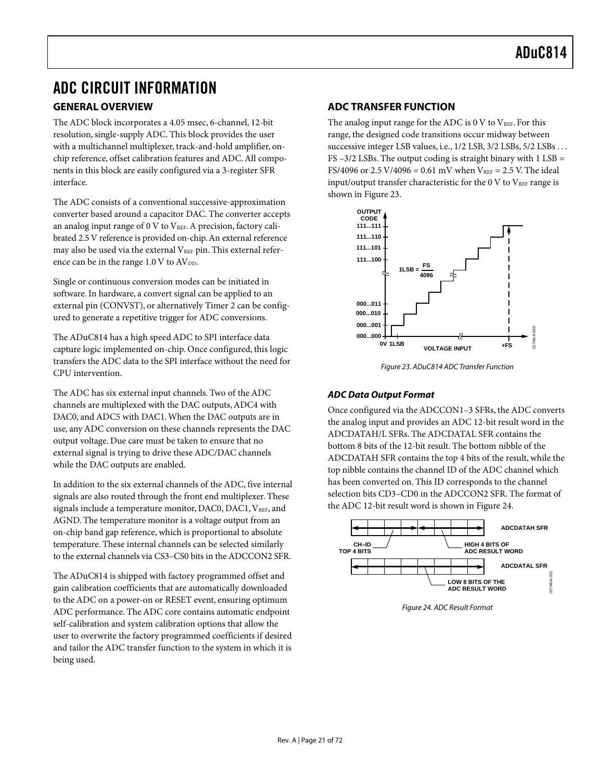# <span id="page-20-0"></span>ADC CIRCUIT INFORMATION

### <span id="page-20-1"></span>**GENERAL OVERVIEW**

The ADC block incorporates a 4.05 msec, 6-channel, 12-bit resolution, single-supply ADC. This block provides the user with a multichannel multiplexer, track-and-hold amplifier, onchip reference, offset calibration features and ADC. All components in this block are easily configured via a 3-register SFR interface.

The ADC consists of a conventional successive-approximation converter based around a capacitor DAC. The converter accepts an analog input range of  $0 \vee$  to  $V_{REF}$ . A precision, factory calibrated 2.5 V reference is provided on-chip. An external reference may also be used via the external  $V_{REF}$  pin. This external reference can be in the range  $1.0 \text{ V}$  to  $AV_{DD}$ .

Single or continuous conversion modes can be initiated in software. In hardware, a convert signal can be applied to an external pin (CONVST), or alternatively Timer 2 can be configured to generate a repetitive trigger for ADC conversions.

The ADuC814 has a high speed ADC to SPI interface data capture logic implemented on-chip. Once configured, this logic transfers the ADC data to the SPI interface without the need for CPU intervention.

The ADC has six external input channels. Two of the ADC channels are multiplexed with the DAC outputs, ADC4 with DAC0, and ADC5 with DAC1. When the DAC outputs are in use, any ADC conversion on these channels represents the DAC output voltage. Due care must be taken to ensure that no external signal is trying to drive these ADC/DAC channels while the DAC outputs are enabled.

In addition to the six external channels of the ADC, five internal signals are also routed through the front end multiplexer. These signals include a temperature monitor, DAC0, DAC1, VREF, and AGND. The temperature monitor is a voltage output from an on-chip band gap reference, which is proportional to absolute temperature. These internal channels can be selected similarly to the external channels via CS3–CS0 bits in the ADCCON2 SFR.

The ADuC814 is shipped with factory programmed offset and gain calibration coefficients that are automatically downloaded to the ADC on a power-on or RESET event, ensuring optimum ADC performance. The ADC core contains automatic endpoint self-calibration and system calibration options that allow the user to overwrite the factory programmed coefficients if desired and tailor the ADC transfer function to the system in which it is being used.

### <span id="page-20-2"></span>**ADC TRANSFER FUNCTION**

The analog input range for the ADC is 0 V to  $V_{REF}$ . For this range, the designed code transitions occur midway between successive integer LSB values, i.e., 1/2 LSB, 3/2 LSBs, 5/2 LSBs . . . FS  $-3/2$  LSBs. The output coding is straight binary with  $1$  LSB = FS/4096 or 2.5 V/4096 = 0.61 mV when  $V_{REF}$  = 2.5 V. The ideal input/output transfer characteristic for the  $0 \text{ V}$  to  $\text{V}_{\text{REF}}$  range is shown in [Figure 23.](#page-20-4)

<span id="page-20-4"></span>

Figure 23. ADuC814 ADC Transfer Function

### <span id="page-20-3"></span>**ADC Data Output Format**

Once configured via the ADCCON1–3 SFRs, the ADC converts the analog input and provides an ADC 12-bit result word in the ADCDATAH/L SFRs. The ADCDATAL SFR contains the bottom 8 bits of the 12-bit result. The bottom nibble of the ADCDATAH SFR contains the top 4 bits of the result, while the top nibble contains the channel ID of the ADC channel which has been converted on. This ID corresponds to the channel selection bits CD3–CD0 in the ADCCON2 SFR. The format of the ADC 12-bit result word is shown in [Figure 24.](#page-20-5)

<span id="page-20-5"></span>

Figure 24. ADC Result Format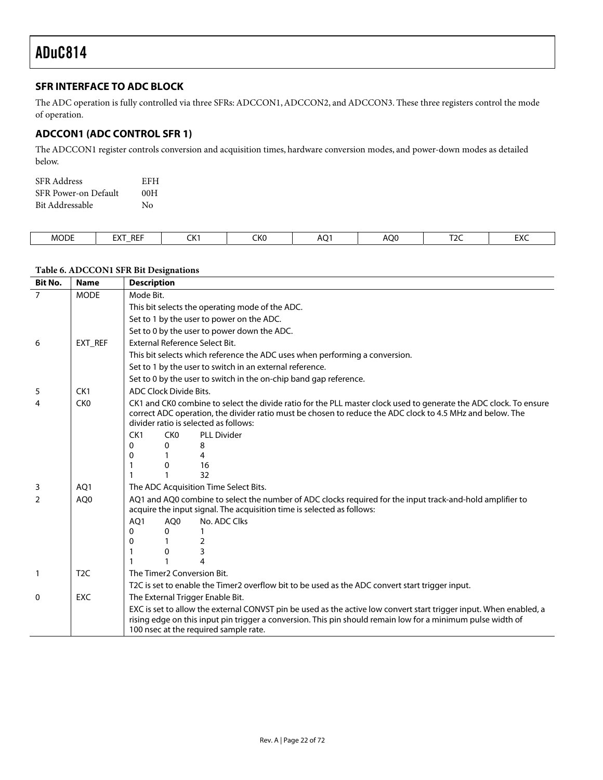### <span id="page-21-0"></span>**SFR INTERFACE TO ADC BLOCK**

The ADC operation is fully controlled via three SFRs: ADCCON1, ADCCON2, and ADCCON3. These three registers control the mode of operation.

### <span id="page-21-1"></span>**ADCCON1 (ADC CONTROL SFR 1)**

The ADCCON1 register controls conversion and acquisition times, hardware conversion modes, and power-down modes as detailed below.

| <b>SFR</b> Address   | EFH |
|----------------------|-----|
| SFR Power-on Default | 00H |
| Bit Addressable      | Nο  |

| <b>MODE</b> | <b>REF</b><br>- רי<br>$\mathbf{v}$<br>-- | $\sim$<br>ີ່ | $\sim$<br>unu | $\sim$<br>ÄÕ | <b>AOC</b> | $\sim$<br>. | $\mathbf{r}$<br>∽ |
|-------------|------------------------------------------|--------------|---------------|--------------|------------|-------------|-------------------|

# <span id="page-21-2"></span>**Table 6. ADCCON1 SFR Bit Designations**

| <b>Bit No.</b> | <b>Name</b>      | <b>Description</b>                                                                                                                                                                                                                                                         |  |  |  |  |  |
|----------------|------------------|----------------------------------------------------------------------------------------------------------------------------------------------------------------------------------------------------------------------------------------------------------------------------|--|--|--|--|--|
| $\overline{7}$ | <b>MODE</b>      | Mode Bit.                                                                                                                                                                                                                                                                  |  |  |  |  |  |
|                |                  | This bit selects the operating mode of the ADC.                                                                                                                                                                                                                            |  |  |  |  |  |
|                |                  | Set to 1 by the user to power on the ADC.                                                                                                                                                                                                                                  |  |  |  |  |  |
|                |                  | Set to 0 by the user to power down the ADC.                                                                                                                                                                                                                                |  |  |  |  |  |
| 6              | EXT REF          | External Reference Select Bit.                                                                                                                                                                                                                                             |  |  |  |  |  |
|                |                  | This bit selects which reference the ADC uses when performing a conversion.                                                                                                                                                                                                |  |  |  |  |  |
|                |                  | Set to 1 by the user to switch in an external reference.                                                                                                                                                                                                                   |  |  |  |  |  |
|                |                  | Set to 0 by the user to switch in the on-chip band gap reference.                                                                                                                                                                                                          |  |  |  |  |  |
| 5              | CK <sub>1</sub>  | ADC Clock Divide Bits.                                                                                                                                                                                                                                                     |  |  |  |  |  |
| 4              | CK <sub>0</sub>  | CK1 and CK0 combine to select the divide ratio for the PLL master clock used to generate the ADC clock. To ensure<br>correct ADC operation, the divider ratio must be chosen to reduce the ADC clock to 4.5 MHz and below. The<br>divider ratio is selected as follows:    |  |  |  |  |  |
|                |                  | CK1<br>CK <sub>0</sub><br><b>PLL Divider</b>                                                                                                                                                                                                                               |  |  |  |  |  |
|                |                  | 8<br>0<br>0                                                                                                                                                                                                                                                                |  |  |  |  |  |
|                |                  | 4<br>0                                                                                                                                                                                                                                                                     |  |  |  |  |  |
|                |                  | 16<br>0<br>32                                                                                                                                                                                                                                                              |  |  |  |  |  |
| 3              | AO <sub>1</sub>  | The ADC Acquisition Time Select Bits.                                                                                                                                                                                                                                      |  |  |  |  |  |
| 2              | AO <sub>0</sub>  | AQ1 and AQ0 combine to select the number of ADC clocks required for the input track-and-hold amplifier to<br>acquire the input signal. The acquisition time is selected as follows:                                                                                        |  |  |  |  |  |
|                |                  | AO1<br>No. ADC Clks<br>AO <sub>0</sub>                                                                                                                                                                                                                                     |  |  |  |  |  |
|                |                  | 0<br>0                                                                                                                                                                                                                                                                     |  |  |  |  |  |
|                |                  | 2<br>0                                                                                                                                                                                                                                                                     |  |  |  |  |  |
|                |                  | 3<br>0<br>4                                                                                                                                                                                                                                                                |  |  |  |  |  |
|                |                  |                                                                                                                                                                                                                                                                            |  |  |  |  |  |
| $\mathbf{1}$   | T <sub>2</sub> C | The Timer <sub>2</sub> Conversion Bit.                                                                                                                                                                                                                                     |  |  |  |  |  |
|                |                  | T2C is set to enable the Timer2 overflow bit to be used as the ADC convert start trigger input.                                                                                                                                                                            |  |  |  |  |  |
| 0              | <b>EXC</b>       | The External Trigger Enable Bit.                                                                                                                                                                                                                                           |  |  |  |  |  |
|                |                  | EXC is set to allow the external CONVST pin be used as the active low convert start trigger input. When enabled, a<br>rising edge on this input pin trigger a conversion. This pin should remain low for a minimum pulse width of<br>100 nsec at the required sample rate. |  |  |  |  |  |
|                |                  |                                                                                                                                                                                                                                                                            |  |  |  |  |  |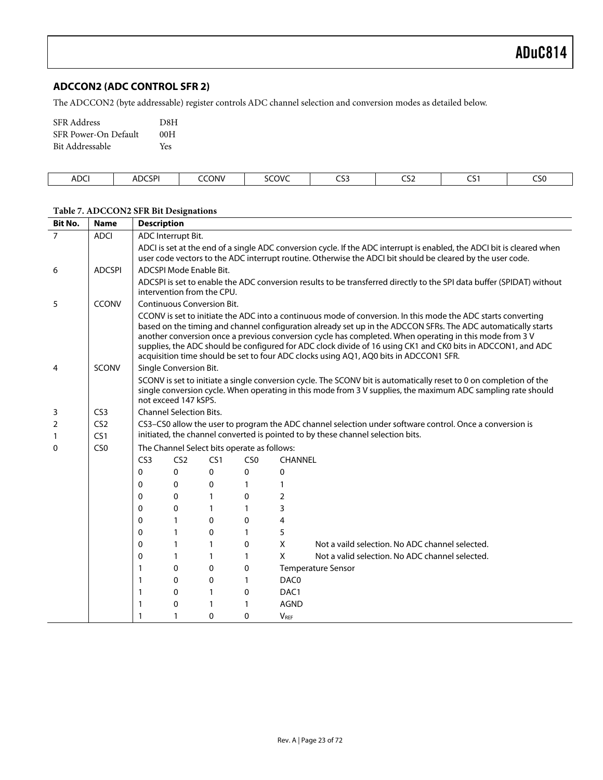### <span id="page-22-0"></span>**ADCCON2 (ADC CONTROL SFR 2)**

The ADCCON2 (byte addressable) register controls ADC channel selection and conversion modes as detailed below.

| <b>SFR</b> Address   | D8H |
|----------------------|-----|
| SFR Power-On Default | 00H |
| Bit Addressable      | Yes |

| ΔΠΓ<br>nvc.<br>_____ | <b>CSPI</b><br>ADC | <b>CONV</b><br>$\sim$<br>. | SCOVC<br>. | ---<br>ີ | $- - -$<br>こしム | $\sim$ $\sim$<br>่<br>$ -$ | ---<br>CSU |
|----------------------|--------------------|----------------------------|------------|----------|----------------|----------------------------|------------|
|                      |                    |                            |            |          |                |                            |            |

| <b>Bit No.</b>      | <b>Name</b>            | <b>Description</b> |                                                                                                                                                                                                                                                                                                                                                                                                                                                                                                                                                    |                 |                                             |                |                                                                                                                        |  |  |  |  |
|---------------------|------------------------|--------------------|----------------------------------------------------------------------------------------------------------------------------------------------------------------------------------------------------------------------------------------------------------------------------------------------------------------------------------------------------------------------------------------------------------------------------------------------------------------------------------------------------------------------------------------------------|-----------------|---------------------------------------------|----------------|------------------------------------------------------------------------------------------------------------------------|--|--|--|--|
| $\overline{7}$      | <b>ADCI</b>            |                    | ADC Interrupt Bit.                                                                                                                                                                                                                                                                                                                                                                                                                                                                                                                                 |                 |                                             |                |                                                                                                                        |  |  |  |  |
|                     |                        |                    |                                                                                                                                                                                                                                                                                                                                                                                                                                                                                                                                                    |                 |                                             |                | ADCI is set at the end of a single ADC conversion cycle. If the ADC interrupt is enabled, the ADCI bit is cleared when |  |  |  |  |
|                     | <b>ADCSPI</b>          |                    | ADCSPI Mode Enable Bit.                                                                                                                                                                                                                                                                                                                                                                                                                                                                                                                            |                 |                                             |                | user code vectors to the ADC interrupt routine. Otherwise the ADCI bit should be cleared by the user code.             |  |  |  |  |
| 6                   |                        |                    |                                                                                                                                                                                                                                                                                                                                                                                                                                                                                                                                                    |                 |                                             |                |                                                                                                                        |  |  |  |  |
|                     |                        |                    | ADCSPI is set to enable the ADC conversion results to be transferred directly to the SPI data buffer (SPIDAT) without<br>intervention from the CPU.                                                                                                                                                                                                                                                                                                                                                                                                |                 |                                             |                |                                                                                                                        |  |  |  |  |
| 5                   | <b>CCONV</b>           |                    | <b>Continuous Conversion Bit.</b>                                                                                                                                                                                                                                                                                                                                                                                                                                                                                                                  |                 |                                             |                |                                                                                                                        |  |  |  |  |
|                     |                        |                    | CCONV is set to initiate the ADC into a continuous mode of conversion. In this mode the ADC starts converting<br>based on the timing and channel configuration already set up in the ADCCON SFRs. The ADC automatically starts<br>another conversion once a previous conversion cycle has completed. When operating in this mode from 3 V<br>supplies, the ADC should be configured for ADC clock divide of 16 using CK1 and CK0 bits in ADCCON1, and ADC<br>acquisition time should be set to four ADC clocks using AQ1, AQ0 bits in ADCCON1 SFR. |                 |                                             |                |                                                                                                                        |  |  |  |  |
| 4                   | <b>SCONV</b>           |                    | Single Conversion Bit.                                                                                                                                                                                                                                                                                                                                                                                                                                                                                                                             |                 |                                             |                |                                                                                                                        |  |  |  |  |
|                     |                        |                    | SCONV is set to initiate a single conversion cycle. The SCONV bit is automatically reset to 0 on completion of the<br>single conversion cycle. When operating in this mode from 3 V supplies, the maximum ADC sampling rate should<br>not exceed 147 kSPS.                                                                                                                                                                                                                                                                                         |                 |                                             |                |                                                                                                                        |  |  |  |  |
| 3                   | CS <sub>3</sub>        |                    | <b>Channel Selection Bits.</b>                                                                                                                                                                                                                                                                                                                                                                                                                                                                                                                     |                 |                                             |                |                                                                                                                        |  |  |  |  |
| $\overline{2}$<br>1 | CS <sub>2</sub><br>CS1 |                    | CS3-CS0 allow the user to program the ADC channel selection under software control. Once a conversion is<br>initiated, the channel converted is pointed to by these channel selection bits.                                                                                                                                                                                                                                                                                                                                                        |                 |                                             |                |                                                                                                                        |  |  |  |  |
| 0                   | CS <sub>0</sub>        |                    |                                                                                                                                                                                                                                                                                                                                                                                                                                                                                                                                                    |                 | The Channel Select bits operate as follows: |                |                                                                                                                        |  |  |  |  |
|                     |                        | CS <sub>3</sub>    | CS <sub>2</sub>                                                                                                                                                                                                                                                                                                                                                                                                                                                                                                                                    | CS <sub>1</sub> | CS <sub>0</sub>                             | <b>CHANNEL</b> |                                                                                                                        |  |  |  |  |
|                     |                        | 0                  | $\mathbf{0}$                                                                                                                                                                                                                                                                                                                                                                                                                                                                                                                                       | 0               | 0                                           | 0              |                                                                                                                        |  |  |  |  |
|                     |                        | 0                  | 0                                                                                                                                                                                                                                                                                                                                                                                                                                                                                                                                                  | 0               | 1                                           | 1              |                                                                                                                        |  |  |  |  |
|                     |                        | 0                  | 0                                                                                                                                                                                                                                                                                                                                                                                                                                                                                                                                                  | $\mathbf{1}$    | 0                                           | 2              |                                                                                                                        |  |  |  |  |
|                     |                        | 0                  | 0                                                                                                                                                                                                                                                                                                                                                                                                                                                                                                                                                  | $\mathbf{1}$    | 1                                           | 3              |                                                                                                                        |  |  |  |  |
|                     |                        | 0                  | 1                                                                                                                                                                                                                                                                                                                                                                                                                                                                                                                                                  | $\Omega$        | 0                                           | 4              |                                                                                                                        |  |  |  |  |
|                     |                        | 0                  | 1                                                                                                                                                                                                                                                                                                                                                                                                                                                                                                                                                  | 0               | 1                                           | 5              |                                                                                                                        |  |  |  |  |
|                     |                        | 0                  | 1                                                                                                                                                                                                                                                                                                                                                                                                                                                                                                                                                  | 1               | 0                                           | X              | Not a vaild selection. No ADC channel selected.                                                                        |  |  |  |  |
|                     |                        | 0                  | 1                                                                                                                                                                                                                                                                                                                                                                                                                                                                                                                                                  | 1               | 1                                           | X              | Not a valid selection. No ADC channel selected.                                                                        |  |  |  |  |
|                     |                        | 1                  | 0                                                                                                                                                                                                                                                                                                                                                                                                                                                                                                                                                  | 0               | 0                                           |                | Temperature Sensor                                                                                                     |  |  |  |  |
|                     |                        | 1                  | $\Omega$                                                                                                                                                                                                                                                                                                                                                                                                                                                                                                                                           | 0               | 1                                           | DAC0           |                                                                                                                        |  |  |  |  |
|                     |                        | 1                  | 0                                                                                                                                                                                                                                                                                                                                                                                                                                                                                                                                                  | 1               | $\mathbf 0$                                 | DAC1           |                                                                                                                        |  |  |  |  |
|                     |                        | 1                  | 0                                                                                                                                                                                                                                                                                                                                                                                                                                                                                                                                                  | 1               | 1                                           | <b>AGND</b>    |                                                                                                                        |  |  |  |  |
|                     |                        | 1                  | 1                                                                                                                                                                                                                                                                                                                                                                                                                                                                                                                                                  | $\Omega$        | 0                                           | <b>VREF</b>    |                                                                                                                        |  |  |  |  |

#### **Table 7. ADCCON2 SFR Bit Designations**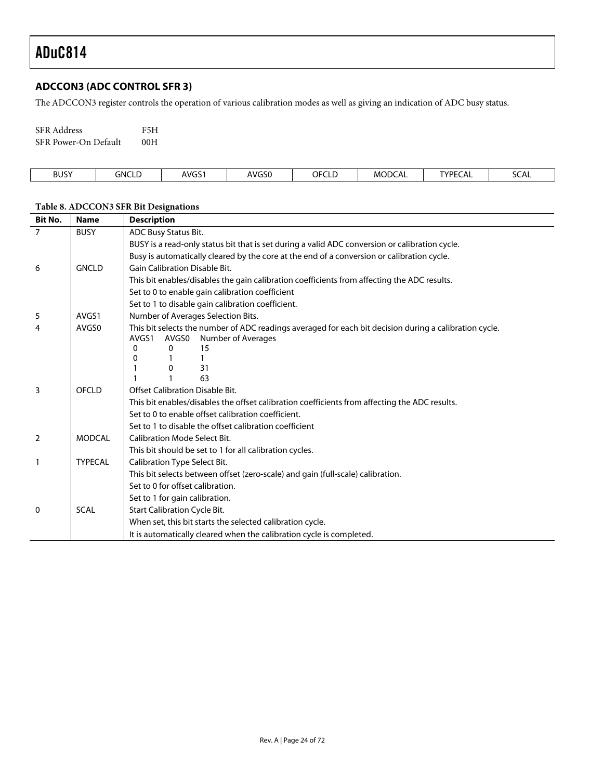### <span id="page-23-0"></span>**ADCCON3 (ADC CONTROL SFR 3)**

The ADCCON3 register controls the operation of various calibration modes as well as giving an indication of ADC busy status.

| <b>SFR</b> Address   | F5H |
|----------------------|-----|
| SFR Power-On Default | 00H |

| <b>BUSY</b><br>. | GNCL <sup>F</sup><br>◝◡└ | AVGS <sup>-</sup><br>ີ | AVGS0<br>. | - - - - -<br>-<br>⊩ن<br>ᅩ | MODCAL | <b>TYPEC</b> | <b>SCAL</b> |
|------------------|--------------------------|------------------------|------------|---------------------------|--------|--------------|-------------|
|                  |                          |                        |            |                           |        |              |             |

| <b>Bit No.</b> | <b>Name</b>    | <b>Description</b>                                                                                                                             |  |  |  |  |
|----------------|----------------|------------------------------------------------------------------------------------------------------------------------------------------------|--|--|--|--|
| $\overline{7}$ | <b>BUSY</b>    | ADC Busy Status Bit.                                                                                                                           |  |  |  |  |
|                |                | BUSY is a read-only status bit that is set during a valid ADC conversion or calibration cycle.                                                 |  |  |  |  |
|                |                | Busy is automatically cleared by the core at the end of a conversion or calibration cycle.                                                     |  |  |  |  |
| 6              | <b>GNCLD</b>   | <b>Gain Calibration Disable Bit.</b>                                                                                                           |  |  |  |  |
|                |                | This bit enables/disables the gain calibration coefficients from affecting the ADC results.                                                    |  |  |  |  |
|                |                | Set to 0 to enable gain calibration coefficient                                                                                                |  |  |  |  |
|                |                | Set to 1 to disable gain calibration coefficient.                                                                                              |  |  |  |  |
| 5              | AVGS1          | Number of Averages Selection Bits.                                                                                                             |  |  |  |  |
| 4              | AVGS0          | This bit selects the number of ADC readings averaged for each bit decision during a calibration cycle.<br>Number of Averages<br>AVGS1<br>AVGS0 |  |  |  |  |
|                |                | $\Omega$<br>15<br>0                                                                                                                            |  |  |  |  |
|                |                | 0<br>31<br>0                                                                                                                                   |  |  |  |  |
|                |                | 63                                                                                                                                             |  |  |  |  |
| 3              | OFCLD          | Offset Calibration Disable Bit.                                                                                                                |  |  |  |  |
|                |                | This bit enables/disables the offset calibration coefficients from affecting the ADC results.                                                  |  |  |  |  |
|                |                | Set to 0 to enable offset calibration coefficient.                                                                                             |  |  |  |  |
|                |                | Set to 1 to disable the offset calibration coefficient                                                                                         |  |  |  |  |
| 2              | <b>MODCAL</b>  | <b>Calibration Mode Select Bit.</b>                                                                                                            |  |  |  |  |
|                |                | This bit should be set to 1 for all calibration cycles.                                                                                        |  |  |  |  |
| $\mathbf{1}$   | <b>TYPECAL</b> | Calibration Type Select Bit.                                                                                                                   |  |  |  |  |
|                |                | This bit selects between offset (zero-scale) and gain (full-scale) calibration.                                                                |  |  |  |  |
|                |                | Set to 0 for offset calibration.                                                                                                               |  |  |  |  |
|                |                | Set to 1 for gain calibration.                                                                                                                 |  |  |  |  |
| 0              | <b>SCAL</b>    | <b>Start Calibration Cycle Bit.</b>                                                                                                            |  |  |  |  |
|                |                | When set, this bit starts the selected calibration cycle.                                                                                      |  |  |  |  |
|                |                | It is automatically cleared when the calibration cycle is completed.                                                                           |  |  |  |  |

# <span id="page-23-1"></span>**Table 8. ADCCON3 SFR Bit Designations**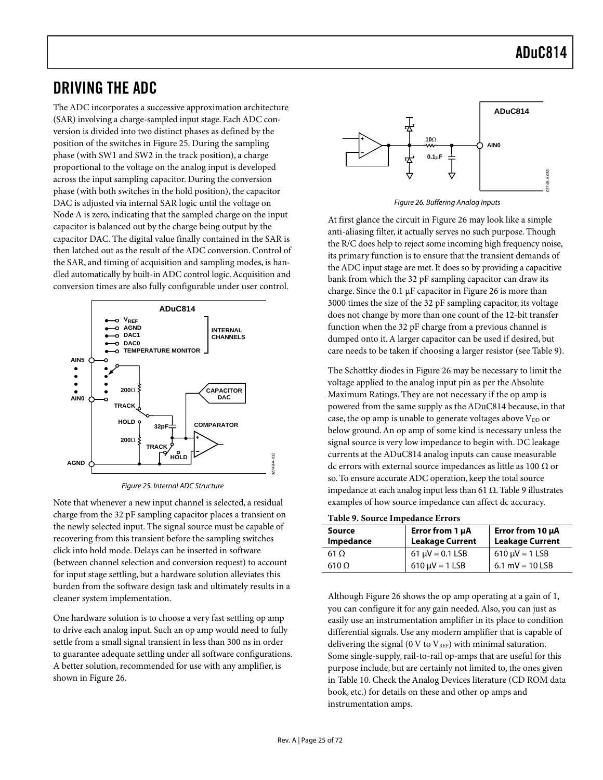# <span id="page-24-0"></span>DRIVING THE ADC

The ADC incorporates a successive approximation architecture (SAR) involving a charge-sampled input stage. Each ADC conversion is divided into two distinct phases as defined by the position of the switches in [Figure 25.](#page-24-1) During the sampling phase (with SW1 and SW2 in the track position), a charge proportional to the voltage on the analog input is developed across the input sampling capacitor. During the conversion phase (with both switches in the hold position), the capacitor DAC is adjusted via internal SAR logic until the voltage on Node A is zero, indicating that the sampled charge on the input capacitor is balanced out by the charge being output by the capacitor DAC. The digital value finally contained in the SAR is then latched out as the result of the ADC conversion. Control of the SAR, and timing of acquisition and sampling modes, is handled automatically by built-in ADC control logic. Acquisition and conversion times are also fully configurable under user control.

<span id="page-24-1"></span>

Figure 25. Internal ADC Structure

Note that whenever a new input channel is selected, a residual charge from the 32 pF sampling capacitor places a transient on the newly selected input. The signal source must be capable of recovering from this transient before the sampling switches click into hold mode. Delays can be inserted in software (between channel selection and conversion request) to account for input stage settling, but a hardware solution alleviates this burden from the software design task and ultimately results in a cleaner system implementation.

One hardware solution is to choose a very fast settling op amp to drive each analog input. Such an op amp would need to fully settle from a small signal transient in less than 300 ns in order to guarantee adequate settling under all software configurations. A better solution, recommended for use with any amplifier, is shown in [Figure 26.](#page-24-2)

<span id="page-24-2"></span>

Figure 26. Buffering Analog Inputs

At first glance the circuit in [Figure 26](#page-24-2) may look like a simple anti-aliasing filter, it actually serves no such purpose. Though the R/C does help to reject some incoming high frequency noise, its primary function is to ensure that the transient demands of the ADC input stage are met. It does so by providing a capacitive bank from which the 32 pF sampling capacitor can draw its charge. Since the 0.1 µF capacitor in [Figure 26](#page-24-2) is more than 3000 times the size of the 32 pF sampling capacitor, its voltage does not change by more than one count of the 12-bit transfer function when the 32 pF charge from a previous channel is dumped onto it. A larger capacitor can be used if desired, but care needs to be taken if choosing a larger resistor (see [Table 9\)](#page-24-3).

The Schottky diodes in [Figure 26](#page-24-2) may be necessary to limit the voltage applied to the analog input pin as per the Absolute Maximum Ratings. They are not necessary if the op amp is powered from the same supply as the ADuC814 because, in that case, the op amp is unable to generate voltages above  $V_{DD}$  or below ground. An op amp of some kind is necessary unless the signal source is very low impedance to begin with. DC leakage currents at the ADuC814 analog inputs can cause measurable dc errors with external source impedances as little as 100  $\Omega$  or so. To ensure accurate ADC operation, keep the total source impedance at each analog input less than 61 Ω. [Table 9 i](#page-24-3)llustrates examples of how source impedance can affect dc accuracy.

<span id="page-24-3"></span>**Table 9. Source Impedance Errors** 

| Source<br>Impedance | Error from 1 µA<br><b>Leakage Current</b> | Error from 10 $\mu$ A<br><b>Leakage Current</b> |
|---------------------|-------------------------------------------|-------------------------------------------------|
| 61 O                | $61 \mu V = 0.1$ LSB                      | $610 \mu V = 1$ LSB                             |
| $610 \Omega$        | $610 \mu V = 1$ LSB                       | 6.1 mV = $10$ LSB                               |

Although [Figure 26](#page-24-2) shows the op amp operating at a gain of 1, you can configure it for any gain needed. Also, you can just as easily use an instrumentation amplifier in its place to condition differential signals. Use any modern amplifier that is capable of delivering the signal (0 V to  $V_{REF}$ ) with minimal saturation. Some single-supply, rail-to-rail op-amps that are useful for this purpose include, but are certainly not limited to, the ones given in [Table 10.](#page-25-2) Check the Analog Devices literature (CD ROM data book, etc.) for details on these and other op amps and instrumentation amps.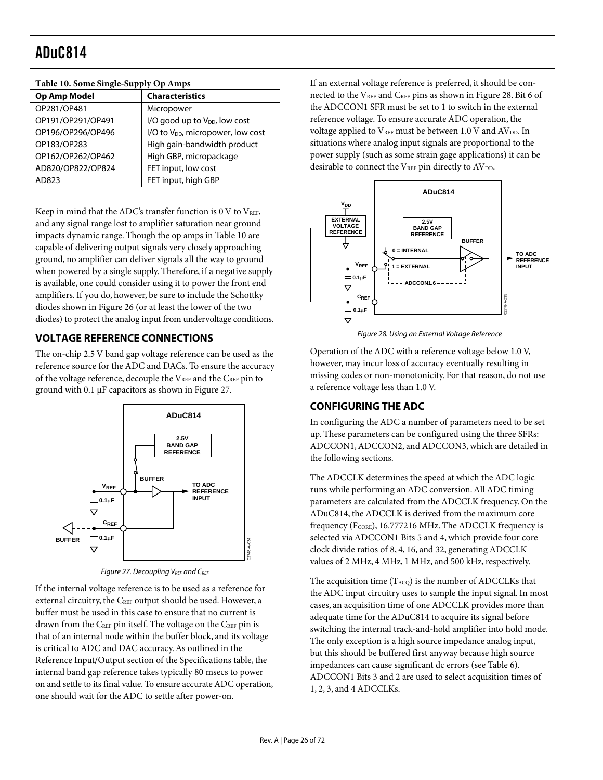| Tuble 101 boint only bupply op limps |                                               |  |  |  |
|--------------------------------------|-----------------------------------------------|--|--|--|
| <b>Op Amp Model</b>                  | <b>Characteristics</b>                        |  |  |  |
| OP281/OP481                          | Micropower                                    |  |  |  |
| OP191/OP291/OP491                    | I/O good up to V <sub>DD</sub> , low cost     |  |  |  |
| OP196/OP296/OP496                    | I/O to V <sub>DD</sub> , micropower, low cost |  |  |  |
| OP183/OP283                          | High gain-bandwidth product                   |  |  |  |
| OP162/OP262/OP462                    | High GBP, micropackage                        |  |  |  |
| AD820/OP822/OP824                    | FET input, low cost                           |  |  |  |
| AD823                                | FET input, high GBP                           |  |  |  |

#### <span id="page-25-2"></span>**Table 10. Some Single-Supply Op Amps**

Keep in mind that the ADC's transfer function is  $0$  V to  $V<sub>REF</sub>$ , and any signal range lost to amplifier saturation near ground impacts dynamic range. Though the op amps in [Table 10](#page-25-2) are capable of delivering output signals very closely approaching ground, no amplifier can deliver signals all the way to ground when powered by a single supply. Therefore, if a negative supply is available, one could consider using it to power the front end amplifiers. If you do, however, be sure to include the Schottky diodes shown in [Figure 26 \(](#page-24-2)or at least the lower of the two diodes) to protect the analog input from undervoltage conditions.

### <span id="page-25-0"></span>**VOLTAGE REFERENCE CONNECTIONS**

The on-chip 2.5 V band gap voltage reference can be used as the reference source for the ADC and DACs. To ensure the accuracy of the voltage reference, decouple the VREF and the CREF pin to ground with 0.1 µF capacitors as shown in [Figure 27.](#page-25-3)

<span id="page-25-3"></span>

Figure 27. Decoupling VREF and CREF

If the internal voltage reference is to be used as a reference for external circuitry, the C<sub>REF</sub> output should be used. However, a buffer must be used in this case to ensure that no current is drawn from the CREF pin itself. The voltage on the CREF pin is that of an internal node within the buffer block, and its voltage is critical to ADC and DAC accuracy. As outlined in the Reference Input/Output section of the Specifications table, the internal band gap reference takes typically 80 msecs to power on and settle to its final value. To ensure accurate ADC operation, one should wait for the ADC to settle after power-on.

If an external voltage reference is preferred, it should be con-nected to the VREF and CREF pins as shown in [Figure 28.](#page-25-4) Bit 6 of the ADCCON1 SFR must be set to 1 to switch in the external reference voltage. To ensure accurate ADC operation, the voltage applied to  $V_{REF}$  must be between 1.0 V and  $AV_{DD}$ . In situations where analog input signals are proportional to the power supply (such as some strain gage applications) it can be desirable to connect the VREF pin directly to AVDD.

<span id="page-25-4"></span>

Figure 28. Using an External Voltage Reference

Operation of the ADC with a reference voltage below 1.0 V, however, may incur loss of accuracy eventually resulting in missing codes or non-monotonicity. For that reason, do not use a reference voltage less than 1.0 V.

### <span id="page-25-1"></span>**CONFIGURING THE ADC**

In configuring the ADC a number of parameters need to be set up. These parameters can be configured using the three SFRs: ADCCON1, ADCCON2, and ADCCON3, which are detailed in the following sections.

The ADCCLK determines the speed at which the ADC logic runs while performing an ADC conversion. All ADC timing parameters are calculated from the ADCCLK frequency. On the ADuC814, the ADCCLK is derived from the maximum core frequency (FCORE), 16.777216 MHz. The ADCCLK frequency is selected via ADCCON1 Bits 5 and 4, which provide four core clock divide ratios of 8, 4, 16, and 32, generating ADCCLK values of 2 MHz, 4 MHz, 1 MHz, and 500 kHz, respectively.

The acquisition time  $(T_{ACQ})$  is the number of ADCCLKs that the ADC input circuitry uses to sample the input signal. In most cases, an acquisition time of one ADCCLK provides more than adequate time for the ADuC814 to acquire its signal before switching the internal track-and-hold amplifier into hold mode. The only exception is a high source impedance analog input, but this should be buffered first anyway because high source impedances can cause significant dc errors (see [Table 6\)](#page-21-2). ADCCON1 Bits 3 and 2 are used to select acquisition times of 1, 2, 3, and 4 ADCCLKs.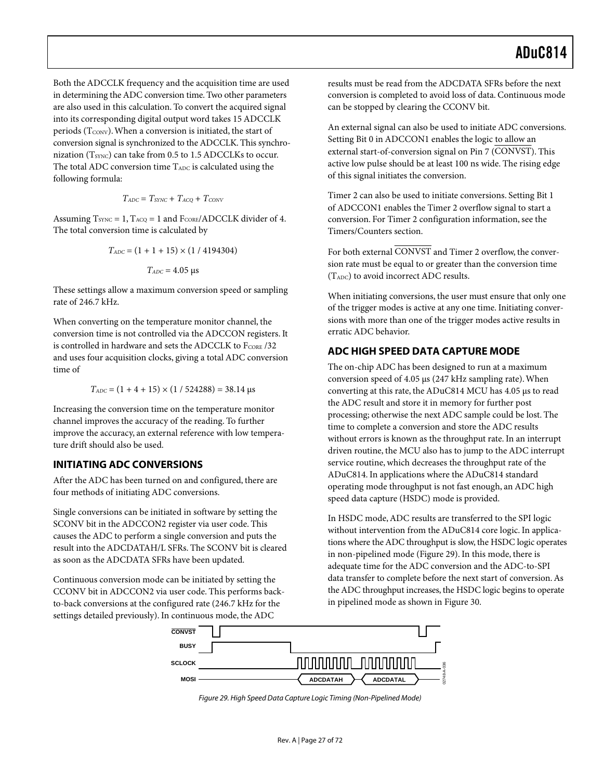Both the ADCCLK frequency and the acquisition time are used in determining the ADC conversion time. Two other parameters are also used in this calculation. To convert the acquired signal into its corresponding digital output word takes 15 ADCCLK periods ( $T_{\text{CONV}}$ ). When a conversion is initiated, the start of conversion signal is synchronized to the ADCCLK. This synchronization ( $T_{\text{SYNC}}$ ) can take from 0.5 to 1.5 ADCCLKs to occur. The total ADC conversion time T<sub>ADC</sub> is calculated using the following formula:

$$
T_{ADC} = T_{SYNC} + T_{ACQ} + T_{CONV}
$$

Assuming  $T_{\text{SYNC}} = 1$ ,  $T_{\text{ACQ}} = 1$  and  $F_{\text{CORE}}$ /ADCCLK divider of 4. The total conversion time is calculated by

$$
T_{ADC} = (1 + 1 + 15) \times (1 / 4194304)
$$

$$
T_{ADC} = 4.05 \ \mu s
$$

These settings allow a maximum conversion speed or sampling rate of 246.7 kHz.

When converting on the temperature monitor channel, the conversion time is not controlled via the ADCCON registers. It is controlled in hardware and sets the ADCCLK to FCORE /32 and uses four acquisition clocks, giving a total ADC conversion time of

$$
T_{ADC} = (1 + 4 + 15) \times (1 / 524288) = 38.14 \text{ }\mu\text{s}
$$

Increasing the conversion time on the temperature monitor channel improves the accuracy of the reading. To further improve the accuracy, an external reference with low temperature drift should also be used.

#### <span id="page-26-0"></span>**INITIATING ADC CONVERSIONS**

After the ADC has been turned on and configured, there are four methods of initiating ADC conversions.

Single conversions can be initiated in software by setting the SCONV bit in the ADCCON2 register via user code. This causes the ADC to perform a single conversion and puts the result into the ADCDATAH/L SFRs. The SCONV bit is cleared as soon as the ADCDATA SFRs have been updated.

Continuous conversion mode can be initiated by setting the CCONV bit in ADCCON2 via user code. This performs backto-back conversions at the configured rate (246.7 kHz for the settings detailed previously). In continuous mode, the ADC

results must be read from the ADCDATA SFRs before the next conversion is completed to avoid loss of data. Continuous mode can be stopped by clearing the CCONV bit.

An external signal can also be used to initiate ADC conversions. Setting Bit 0 in ADCCON1 enables the logic to allow an external start-of-conversion signal on Pin 7 (CONVST). This active low pulse should be at least 100 ns wide. The rising edge of this signal initiates the conversion.

Timer 2 can also be used to initiate conversions. Setting Bit 1 of ADCCON1 enables the Timer 2 overflow signal to start a conversion. For Timer 2 configuration information, see the [Timers/Counters s](#page-47-0)ection.

For both external CONVST and Timer 2 overflow, the conversion rate must be equal to or greater than the conversion time (TADC) to avoid incorrect ADC results.

When initiating conversions, the user must ensure that only one of the trigger modes is active at any one time. Initiating conversions with more than one of the trigger modes active results in erratic ADC behavior.

#### <span id="page-26-1"></span>**ADC HIGH SPEED DATA CAPTURE MODE**

The on-chip ADC has been designed to run at a maximum conversion speed of 4.05 µs (247 kHz sampling rate). When converting at this rate, the ADuC814 MCU has 4.05 µs to read the ADC result and store it in memory for further post processing; otherwise the next ADC sample could be lost. The time to complete a conversion and store the ADC results without errors is known as the throughput rate. In an interrupt driven routine, the MCU also has to jump to the ADC interrupt service routine, which decreases the throughput rate of the ADuC814. In applications where the ADuC814 standard operating mode throughput is not fast enough, an ADC high speed data capture (HSDC) mode is provided.

In HSDC mode, ADC results are transferred to the SPI logic without intervention from the ADuC814 core logic. In applications where the ADC throughput is slow, the HSDC logic operates in non-pipelined mode [\(Figure 29\)](#page-26-2). In this mode, there is adequate time for the ADC conversion and the ADC-to-SPI data transfer to complete before the next start of conversion. As the ADC throughput increases, the HSDC logic begins to operate in pipelined mode as shown in [Figure 30.](#page-27-2) 

<span id="page-26-2"></span>

Figure 29. High Speed Data Capture Logic Timing (Non-Pipelined Mode)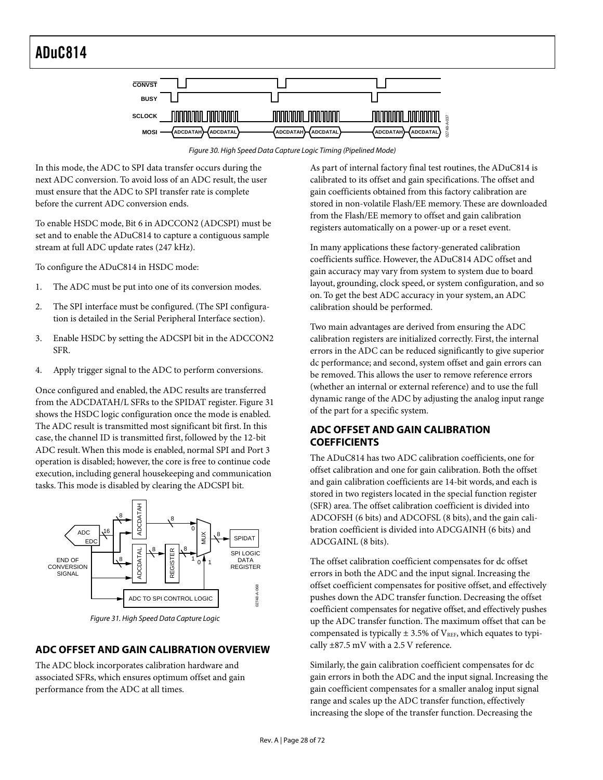<span id="page-27-2"></span>

Figure 30. High Speed Data Capture Logic Timing (Pipelined Mode)

In this mode, the ADC to SPI data transfer occurs during the next ADC conversion. To avoid loss of an ADC result, the user must ensure that the ADC to SPI transfer rate is complete before the current ADC conversion ends.

To enable HSDC mode, Bit 6 in ADCCON2 (ADCSPI) must be set and to enable the ADuC814 to capture a contiguous sample stream at full ADC update rates (247 kHz).

To configure the ADuC814 in HSDC mode:

- 1. The ADC must be put into one of its conversion modes.
- 2. The SPI interface must be configured. (The SPI configuration is detailed in the Serial Peripheral Interface section).
- 3. Enable HSDC by setting the ADCSPI bit in the ADCCON2 SFR.
- 4. Apply trigger signal to the ADC to perform conversions.

Once configured and enabled, the ADC results are transferred from the ADCDATAH/L SFRs to the SPIDAT register. [Figure 31](#page-27-3)  shows the HSDC logic configuration once the mode is enabled. The ADC result is transmitted most significant bit first. In this case, the channel ID is transmitted first, followed by the 12-bit ADC result. When this mode is enabled, normal SPI and Port 3 operation is disabled; however, the core is free to continue code execution, including general housekeeping and communication tasks. This mode is disabled by clearing the ADCSPI bit.

<span id="page-27-3"></span>

Figure 31. High Speed Data Capture Logic

### <span id="page-27-0"></span>**ADC OFFSET AND GAIN CALIBRATION OVERVIEW**

The ADC block incorporates calibration hardware and associated SFRs, which ensures optimum offset and gain performance from the ADC at all times.

As part of internal factory final test routines, the ADuC814 is calibrated to its offset and gain specifications. The offset and gain coefficients obtained from this factory calibration are stored in non-volatile Flash/EE memory. These are downloaded from the Flash/EE memory to offset and gain calibration registers automatically on a power-up or a reset event.

In many applications these factory-generated calibration coefficients suffice. However, the ADuC814 ADC offset and gain accuracy may vary from system to system due to board layout, grounding, clock speed, or system configuration, and so on. To get the best ADC accuracy in your system, an ADC calibration should be performed.

Two main advantages are derived from ensuring the ADC calibration registers are initialized correctly. First, the internal errors in the ADC can be reduced significantly to give superior dc performance; and second, system offset and gain errors can be removed. This allows the user to remove reference errors (whether an internal or external reference) and to use the full dynamic range of the ADC by adjusting the analog input range of the part for a specific system.

### <span id="page-27-1"></span>**ADC OFFSET AND GAIN CALIBRATION COEFFICIENTS**

The ADuC814 has two ADC calibration coefficients, one for offset calibration and one for gain calibration. Both the offset and gain calibration coefficients are 14-bit words, and each is stored in two registers located in the special function register (SFR) area. The offset calibration coefficient is divided into ADCOFSH (6 bits) and ADCOFSL (8 bits), and the gain calibration coefficient is divided into ADCGAINH (6 bits) and ADCGAINL (8 bits).

The offset calibration coefficient compensates for dc offset errors in both the ADC and the input signal. Increasing the offset coefficient compensates for positive offset, and effectively pushes down the ADC transfer function. Decreasing the offset coefficient compensates for negative offset, and effectively pushes up the ADC transfer function. The maximum offset that can be compensated is typically  $\pm$  3.5% of V<sub>REF</sub>, which equates to typically ±87.5 mV with a 2.5 V reference.

Similarly, the gain calibration coefficient compensates for dc gain errors in both the ADC and the input signal. Increasing the gain coefficient compensates for a smaller analog input signal range and scales up the ADC transfer function, effectively increasing the slope of the transfer function. Decreasing the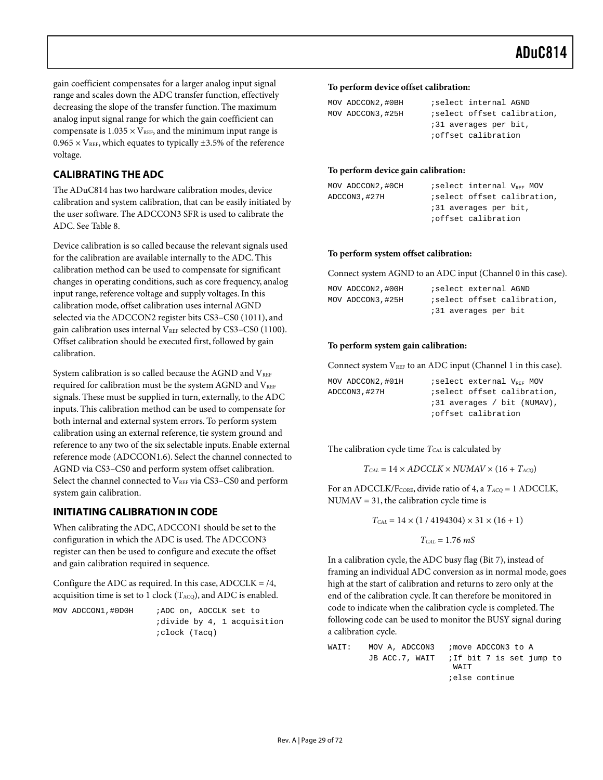gain coefficient compensates for a larger analog input signal range and scales down the ADC transfer function, effectively decreasing the slope of the transfer function. The maximum analog input signal range for which the gain coefficient can compensate is  $1.035 \times V_{REF}$ , and the minimum input range is  $0.965 \times V_{REF}$ , which equates to typically  $\pm 3.5\%$  of the reference voltage.

### <span id="page-28-0"></span>**CALIBRATING THE ADC**

The ADuC814 has two hardware calibration modes, device calibration and system calibration, that can be easily initiated by the user software. The ADCCON3 SFR is used to calibrate the ADC. See [Table 8.](#page-23-1) 

Device calibration is so called because the relevant signals used for the calibration are available internally to the ADC. This calibration method can be used to compensate for significant changes in operating conditions, such as core frequency, analog input range, reference voltage and supply voltages. In this calibration mode, offset calibration uses internal AGND selected via the ADCCON2 register bits CS3–CS0 (1011), and gain calibration uses internal  $V_{REF}$  selected by CS3–CS0 (1100). Offset calibration should be executed first, followed by gain calibration.

System calibration is so called because the AGND and VREF required for calibration must be the system AGND and VREF signals. These must be supplied in turn, externally, to the ADC inputs. This calibration method can be used to compensate for both internal and external system errors. To perform system calibration using an external reference, tie system ground and reference to any two of the six selectable inputs. Enable external reference mode (ADCCON1.6). Select the channel connected to AGND via CS3–CS0 and perform system offset calibration. Select the channel connected to VREF via CS3-CS0 and perform system gain calibration.

### <span id="page-28-1"></span>**INITIATING CALIBRATION IN CODE**

When calibrating the ADC, ADCCON1 should be set to the configuration in which the ADC is used. The ADCCON3 register can then be used to configure and execute the offset and gain calibration required in sequence.

Configure the ADC as required. In this case,  $ADCCLK = /4$ , acquisition time is set to 1 clock ( $T_{ACQ}$ ), and ADC is enabled.

| MOV ADCCON1,#ODOH | ;ADC on, ADCCLK set to      |
|-------------------|-----------------------------|
|                   | idivide by 4, 1 acquisition |
|                   | <i>i</i> clock (Tacq)       |

#### **To perform device offset calibration:**

| MOV ADCCON2, #0BH | ; select internal AGND             |
|-------------------|------------------------------------|
| MOV ADCCON3, #25H | <i>iselect</i> offset calibration, |
|                   | ;31 averages per bit,              |
|                   | <i>i</i> offset calibration        |

#### **To perform device gain calibration:**

| MOV ADCCON2, #0CH | iselect internal V <sub>REF</sub> MOV |
|-------------------|---------------------------------------|
| ADCCON3,#27H      | <i>i</i> select offset calibration,   |
|                   | :31 averages per bit,                 |
|                   | ioffset calibration                   |

#### **To perform system offset calibration:**

Connect system AGND to an ADC input (Channel 0 in this case).

| MOV ADCCON2, #00H |  | ;select external AGND |                                     |
|-------------------|--|-----------------------|-------------------------------------|
| MOV ADCCON3, #25H |  |                       | <i>i</i> select offset calibration, |
|                   |  | :31 averages per bit  |                                     |

#### **To perform system gain calibration:**

Connect system  $V_{REF}$  to an ADC input (Channel 1 in this case).

| MOV ADCCON2, #01H | iselect external V <sub>prr</sub> MOV |
|-------------------|---------------------------------------|
| ADCCON3, #27H     | <i>iselect</i> offset calibration,    |
|                   | ;31 averages / bit (NUMAV),           |
|                   | <i>i</i> offset calibration           |

The calibration cycle time  $T_{CAL}$  is calculated by

 $T_{CAL} = 14 \times ADCCLK \times NUMAV \times (16 + T_{ACQ})$ 

For an ADCCLK/F<sub>CORE</sub>, divide ratio of 4, a  $T_{ACQ} = 1$  ADCCLK, NUMAV = 31, the calibration cycle time is

 $T_{CAL} = 14 \times (1 / 4194304) \times 31 \times (16 + 1)$ 

$$
T_{\text{CAL}} = 1.76\ mS
$$

In a calibration cycle, the ADC busy flag (Bit 7), instead of framing an individual ADC conversion as in normal mode, goes high at the start of calibration and returns to zero only at the end of the calibration cycle. It can therefore be monitored in code to indicate when the calibration cycle is completed. The following code can be used to monitor the BUSY signal during a calibration cycle.

WAIT: MOV A, ADCCON3 ; move ADCCON3 to A JB ACC.7, WAIT ; If bit 7 is set jump to WAIT ;else continue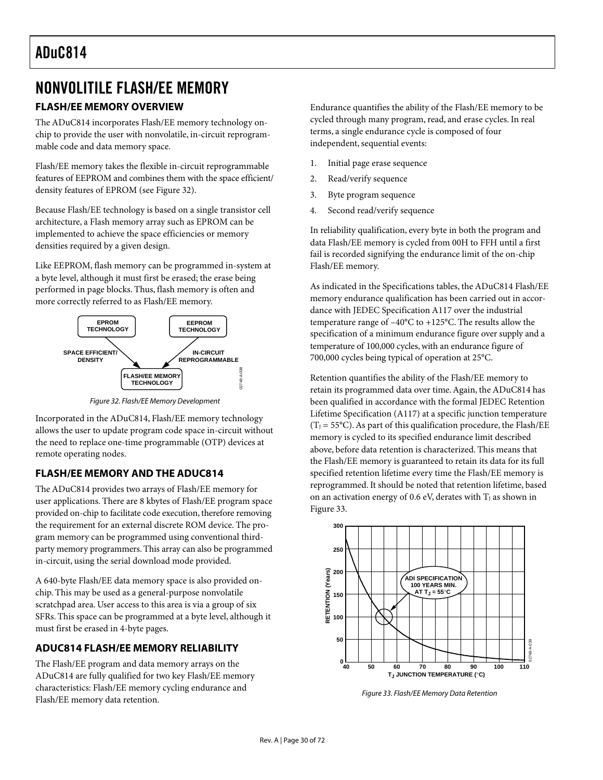# <span id="page-29-0"></span>NONVOLITILE FLASH/EE MEMORY

# <span id="page-29-1"></span>**FLASH/EE MEMORY OVERVIEW**

The ADuC814 incorporates Flash/EE memory technology onchip to provide the user with nonvolatile, in-circuit reprogrammable code and data memory space.

Flash/EE memory takes the flexible in-circuit reprogrammable features of EEPROM and combines them with the space efficient/ density features of EPROM (see [Figure 32\)](#page-29-4).

Because Flash/EE technology is based on a single transistor cell architecture, a Flash memory array such as EPROM can be implemented to achieve the space efficiencies or memory densities required by a given design.

Like EEPROM, flash memory can be programmed in-system at a byte level, although it must first be erased; the erase being performed in page blocks. Thus, flash memory is often and more correctly referred to as Flash/EE memory.

<span id="page-29-4"></span>

Figure 32. Flash/EE Memory Development

Incorporated in the ADuC814, Flash/EE memory technology allows the user to update program code space in-circuit without the need to replace one-time programmable (OTP) devices at remote operating nodes.

### <span id="page-29-2"></span>**FLASH/EE MEMORY AND THE ADUC814**

The ADuC814 provides two arrays of Flash/EE memory for user applications. There are 8 kbytes of Flash/EE program space provided on-chip to facilitate code execution, therefore removing the requirement for an external discrete ROM device. The program memory can be programmed using conventional thirdparty memory programmers. This array can also be programmed in-circuit, using the serial download mode provided.

A 640-byte Flash/EE data memory space is also provided onchip. This may be used as a general-purpose nonvolatile scratchpad area. User access to this area is via a group of six SFRs. This space can be programmed at a byte level, although it must first be erased in 4-byte pages.

# <span id="page-29-3"></span>**ADUC814 FLASH/EE MEMORY RELIABILITY**

The Flash/EE program and data memory arrays on the ADuC814 are fully qualified for two key Flash/EE memory characteristics: Flash/EE memory cycling endurance and Flash/EE memory data retention.

Endurance quantifies the ability of the Flash/EE memory to be cycled through many program, read, and erase cycles. In real terms, a single endurance cycle is composed of four independent, sequential events:

- 1. Initial page erase sequence
- 2. Read/verify sequence
- 3. Byte program sequence
- 4. Second read/verify sequence

In reliability qualification, every byte in both the program and data Flash/EE memory is cycled from 00H to FFH until a first fail is recorded signifying the endurance limit of the on-chip Flash/EE memory.

As indicated in the Specifications tables, the ADuC814 Flash/EE memory endurance qualification has been carried out in accordance with JEDEC Specification A117 over the industrial temperature range of –40°C to +125°C. The results allow the specification of a minimum endurance figure over supply and a temperature of 100,000 cycles, with an endurance figure of 700,000 cycles being typical of operation at 25°C.

Retention quantifies the ability of the Flash/EE memory to retain its programmed data over time. Again, the ADuC814 has been qualified in accordance with the formal JEDEC Retention Lifetime Specification (A117) at a specific junction temperature  $(T_J = 55^{\circ}C)$ . As part of this qualification procedure, the Flash/EE memory is cycled to its specified endurance limit described above, before data retention is characterized. This means that the Flash/EE memory is guaranteed to retain its data for its full specified retention lifetime every time the Flash/EE memory is reprogrammed. It should be noted that retention lifetime, based on an activation energy of 0.6 eV, derates with  $T_J$  as shown in [Figure 33.](#page-29-5) 

<span id="page-29-5"></span>

Figure 33. Flash/EE Memory Data Retention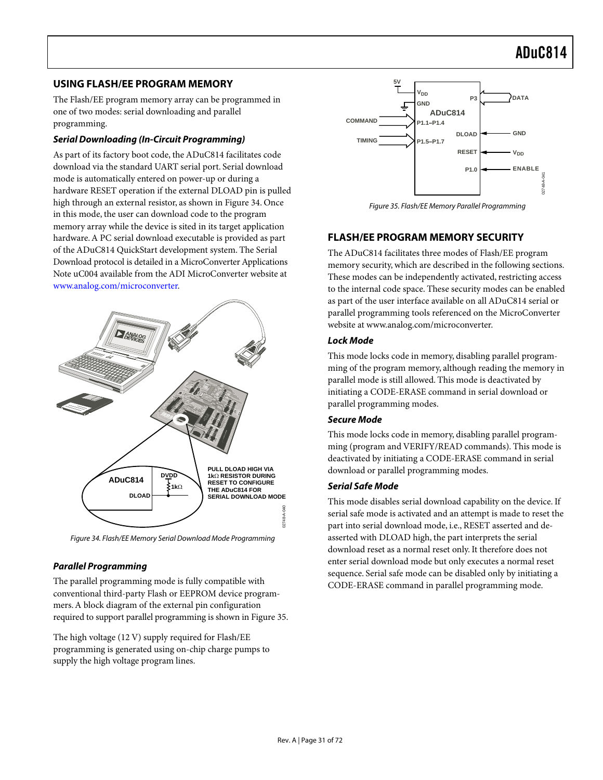### <span id="page-30-0"></span>**USING FLASH/EE PROGRAM MEMORY**

The Flash/EE program memory array can be programmed in one of two modes: serial downloading and parallel programming.

#### <span id="page-30-1"></span>**Serial Downloading (In-Circuit Programming)**

As part of its factory boot code, the ADuC814 facilitates code download via the standard UART serial port. Serial download mode is automatically entered on power-up or during a hardware RESET operation if the external DLOAD pin is pulled high through an external resistor, as shown in [Figure 34.](#page-30-7) Once in this mode, the user can download code to the program memory array while the device is sited in its target application hardware. A PC serial download executable is provided as part of the ADuC814 QuickStart development system. The Serial Download protocol is detailed in a MicroConverter Applications Note uC004 available from the ADI MicroConverter website at [www.analog.com/microconverter.](http://www.analog.com/microconverter)

<span id="page-30-7"></span>

Figure 34. Flash/EE Memory Serial Download Mode Programming

### <span id="page-30-2"></span>**Parallel Programming**

The parallel programming mode is fully compatible with conventional third-party Flash or EEPROM device programmers. A block diagram of the external pin configuration required to support parallel programming is shown in [Figure 35.](#page-30-8) 

The high voltage (12 V) supply required for Flash/EE programming is generated using on-chip charge pumps to supply the high voltage program lines.

<span id="page-30-8"></span>

Figure 35. Flash/EE Memory Parallel Programming

### <span id="page-30-3"></span>**FLASH/EE PROGRAM MEMORY SECURITY**

The ADuC814 facilitates three modes of Flash/EE program memory security, which are described in the following sections. These modes can be independently activated, restricting access to the internal code space. These security modes can be enabled as part of the user interface available on all ADuC814 serial or parallel programming tools referenced on the MicroConverter website at www.analog.com/microconverter.

#### <span id="page-30-4"></span>**Lock Mode**

This mode locks code in memory, disabling parallel programming of the program memory, although reading the memory in parallel mode is still allowed. This mode is deactivated by initiating a CODE-ERASE command in serial download or parallel programming modes.

### <span id="page-30-5"></span>**Secure Mode**

This mode locks code in memory, disabling parallel programming (program and VERIFY/READ commands). This mode is deactivated by initiating a CODE-ERASE command in serial download or parallel programming modes.

#### <span id="page-30-6"></span>**Serial Safe Mode**

This mode disables serial download capability on the device. If serial safe mode is activated and an attempt is made to reset the part into serial download mode, i.e., RESET asserted and deasserted with DLOAD high, the part interprets the serial download reset as a normal reset only. It therefore does not enter serial download mode but only executes a normal reset sequence. Serial safe mode can be disabled only by initiating a CODE-ERASE command in parallel programming mode.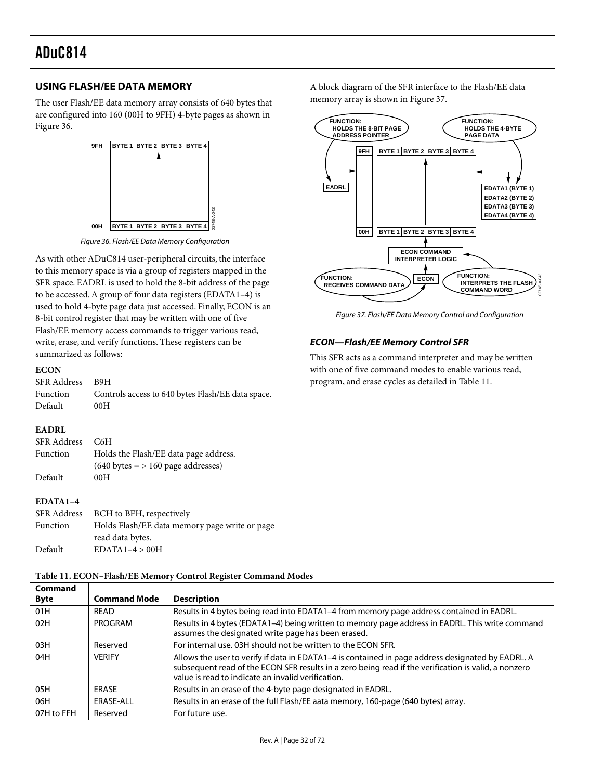### <span id="page-31-0"></span>**USING FLASH/EE DATA MEMORY**

The user Flash/EE data memory array consists of 640 bytes that are configured into 160 (00H to 9FH) 4-byte pages as shown in [Figure 36.](#page-31-2) 

<span id="page-31-2"></span>

Figure 36. Flash/EE Data Memory Configuration

As with other ADuC814 user-peripheral circuits, the interface to this memory space is via a group of registers mapped in the SFR space. EADRL is used to hold the 8-bit address of the page to be accessed. A group of four data registers (EDATA1–4) is used to hold 4-byte page data just accessed. Finally, ECON is an 8-bit control register that may be written with one of five Flash/EE memory access commands to trigger various read, write, erase, and verify functions. These registers can be summarized as follows:

#### **ECON**

| SFR Address B9H |                                                   |
|-----------------|---------------------------------------------------|
| Function        | Controls access to 640 bytes Flash/EE data space. |
| Default         | 00H                                               |

#### **EADRL**

| SFR Address | C6H                                                 |
|-------------|-----------------------------------------------------|
| Function    | Holds the Flash/EE data page address.               |
|             | $(640 \text{ bytes} = 5160 \text{ page addresses})$ |
| Default     | 00H                                                 |

#### **EDATA1–4**

| SFR Address | BCH to BFH, respectively                      |
|-------------|-----------------------------------------------|
| Function    | Holds Flash/EE data memory page write or page |
|             | read data bytes.                              |
| Default     | $EDATA1-4 > 00H$                              |

#### <span id="page-31-4"></span>**Table 11. ECON–Flash/EE Memory Control Register Command Modes**

**Command Byte Command Mode Description**  01H READ Results in 4 bytes being read into EDATA1-4 from memory page address contained in EADRL. 02H PROGRAM Results in 4 bytes (EDATA1-4) being written to memory page address in EADRL. This write command assumes the designated write page has been erased. 03H Reserved For internal use. 03H should not be written to the ECON SFR. 04H VERIFY Allows the user to verify if data in EDATA1–4 is contained in page address designated by EADRL. A subsequent read of the ECON SFR results in a zero being read if the verification is valid, a nonzero value is read to indicate an invalid verification. 05H REASE Results in an erase of the 4-byte page designated in EADRL. 06H ERASE-ALL Results in an erase of the full Flash/EE aata memory, 160-page (640 bytes) array. 07H to FFH Reserved For future use.

A block diagram of the SFR interface to the Flash/EE data memory array is shown in [Figure 37.](#page-31-3)

<span id="page-31-3"></span>

Figure 37. Flash/EE Data Memory Control and Configuration

#### <span id="page-31-1"></span>**ECON—Flash/EE Memory Control SFR**

This SFR acts as a command interpreter and may be written with one of five command modes to enable various read, program, and erase cycles as detailed in [Table 11.](#page-31-4)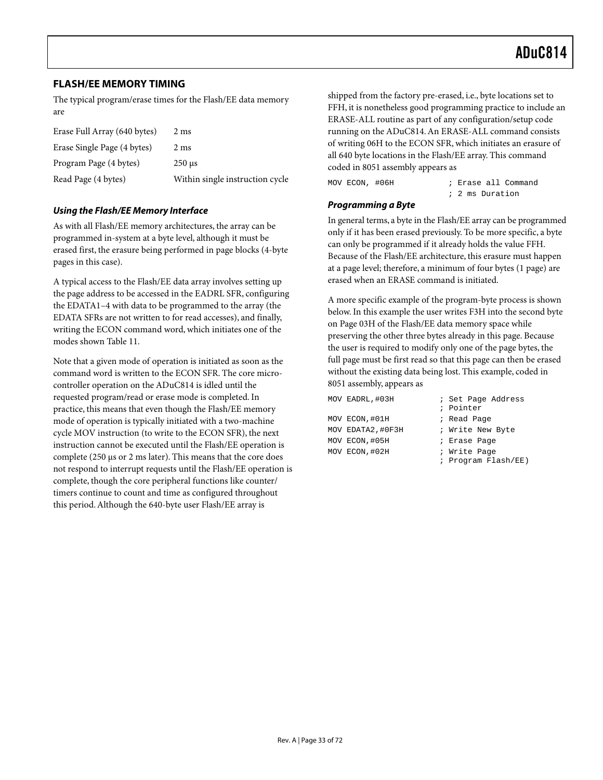### <span id="page-32-0"></span>**FLASH/EE MEMORY TIMING**

The typical program/erase times for the Flash/EE data memory are

| Erase Full Array (640 bytes) | 2 ms                            |
|------------------------------|---------------------------------|
| Erase Single Page (4 bytes)  | 2 ms                            |
| Program Page (4 bytes)       | $250 \text{ }\mu\text{s}$       |
| Read Page (4 bytes)          | Within single instruction cycle |

#### <span id="page-32-1"></span>**Using the Flash/EE Memory Interface**

As with all Flash/EE memory architectures, the array can be programmed in-system at a byte level, although it must be erased first, the erasure being performed in page blocks (4-byte pages in this case).

A typical access to the Flash/EE data array involves setting up the page address to be accessed in the EADRL SFR, configuring the EDATA1–4 with data to be programmed to the array (the EDATA SFRs are not written to for read accesses), and finally, writing the ECON command word, which initiates one of the modes shown [Table 11.](#page-31-4)

Note that a given mode of operation is initiated as soon as the command word is written to the ECON SFR. The core microcontroller operation on the ADuC814 is idled until the requested program/read or erase mode is completed. In practice, this means that even though the Flash/EE memory mode of operation is typically initiated with a two-machine cycle MOV instruction (to write to the ECON SFR), the next instruction cannot be executed until the Flash/EE operation is complete (250 µs or 2 ms later). This means that the core does not respond to interrupt requests until the Flash/EE operation is complete, though the core peripheral functions like counter/ timers continue to count and time as configured throughout this period. Although the 640-byte user Flash/EE array is

shipped from the factory pre-erased, i.e., byte locations set to FFH, it is nonetheless good programming practice to include an ERASE-ALL routine as part of any configuration/setup code running on the ADuC814. An ERASE-ALL command consists of writing 06H to the ECON SFR, which initiates an erasure of all 640 byte locations in the Flash/EE array. This command coded in 8051 assembly appears as

| MOV ECON, #06H |  |  |  | ; Erase all Command |
|----------------|--|--|--|---------------------|
|                |  |  |  | ; 2 ms Duration     |

#### <span id="page-32-2"></span>**Programming a Byte**

In general terms, a byte in the Flash/EE array can be programmed only if it has been erased previously. To be more specific, a byte can only be programmed if it already holds the value FFH. Because of the Flash/EE architecture, this erasure must happen at a page level; therefore, a minimum of four bytes (1 page) are erased when an ERASE command is initiated.

A more specific example of the program-byte process is shown below. In this example the user writes F3H into the second byte on Page 03H of the Flash/EE data memory space while preserving the other three bytes already in this page. Because the user is required to modify only one of the page bytes, the full page must be first read so that this page can then be erased without the existing data being lost. This example, coded in 8051 assembly, appears as

| MOV EADRL, #03H  | ; Set Page Address  |
|------------------|---------------------|
|                  | ; Pointer           |
| MOV ECON,#01H    | ; Read Page         |
| MOV EDATA2,#0F3H | ; Write New Byte    |
| MOV ECON,#05H    | ; Erase Page        |
| MOV ECON,#02H    | ; Write Page        |
|                  | ; Program Flash/EE) |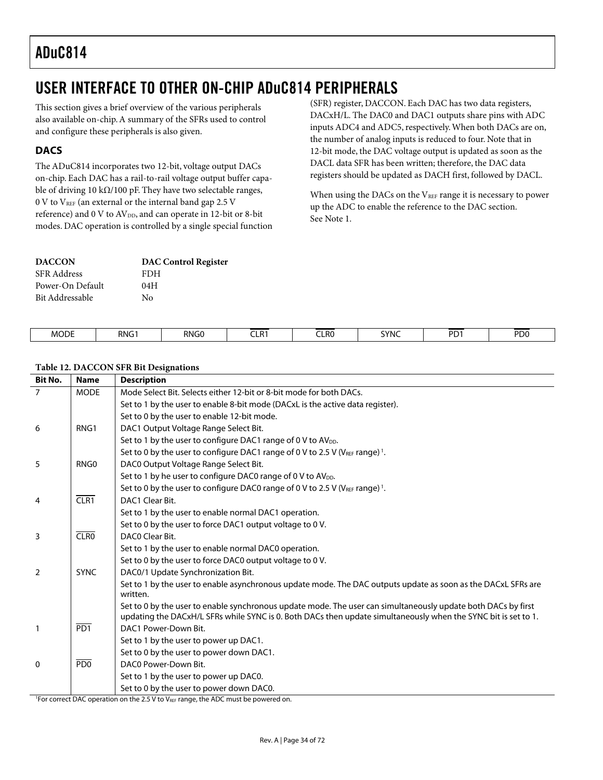# <span id="page-33-0"></span>USER INTERFACE TO OTHER ON-CHIP ADuC814 PERIPHERALS

This section gives a brief overview of the various peripherals also available on-chip. A summary of the SFRs used to control and configure these peripherals is also given.

## <span id="page-33-1"></span>**DACS**

The ADuC814 incorporates two 12-bit, voltage output DACs on-chip. Each DAC has a rail-to-rail voltage output buffer capable of driving 10 k $\Omega$ /100 pF. They have two selectable ranges,  $0 \text{ V}$  to  $V_{REF}$  (an external or the internal band gap 2.5 V reference) and 0 V to AV<sub>DD</sub>, and can operate in 12-bit or 8-bit modes. DAC operation is controlled by a single special function

| <b>DACCON</b>      | <b>DAC Control Register</b> |
|--------------------|-----------------------------|
| <b>SFR</b> Address | <b>FDH</b>                  |
| Power-On Default   | 04H                         |
| Bit Addressable    | Nο                          |

(SFR) register, DACCON. Each DAC has two data registers, DACxH/L. The DAC0 and DAC1 outputs share pins with ADC inputs ADC4 and ADC5, respectively. When both DACs are on, the number of analog inputs is reduced to four. Note that in 12-bit mode, the DAC voltage output is updated as soon as the DACL data SFR has been written; therefore, the DAC data registers should be updated as DACH first, followed by DACL.

When using the DACs on the  $V_{REF}$  range it is necessary to power up the ADC to enable the reference to the DAC section. See Note 1.

| <b>MODE</b><br>_____ | RNG <sup>-</sup><br>`v | RNGC<br>____ | - -<br>.<br>ULR I | <b>CLR0</b><br>---- | SYNC<br>_______ | <b>DD</b><br>. .<br>the contract of the contract of | <b>DD</b><br>υι<br>___ |
|----------------------|------------------------|--------------|-------------------|---------------------|-----------------|-----------------------------------------------------|------------------------|
|                      |                        |              |                   |                     |                 |                                                     |                        |

#### **Table 12. DACCON SFR Bit Designations**

| <b>Bit No.</b> | <b>Name</b>      | <b>Description</b>                                                                                                                                                                                                              |
|----------------|------------------|---------------------------------------------------------------------------------------------------------------------------------------------------------------------------------------------------------------------------------|
| $\overline{7}$ | <b>MODE</b>      | Mode Select Bit. Selects either 12-bit or 8-bit mode for both DACs.                                                                                                                                                             |
|                |                  | Set to 1 by the user to enable 8-bit mode (DACxL is the active data register).                                                                                                                                                  |
|                |                  | Set to 0 by the user to enable 12-bit mode.                                                                                                                                                                                     |
| 6              | RNG <sub>1</sub> | DAC1 Output Voltage Range Select Bit.                                                                                                                                                                                           |
|                |                  | Set to 1 by the user to configure DAC1 range of 0 V to AV <sub>DD</sub> .                                                                                                                                                       |
|                |                  | Set to 0 by the user to configure DAC1 range of 0 V to 2.5 V (VREF range) <sup>1</sup> .                                                                                                                                        |
| 5              | RNG0             | DAC0 Output Voltage Range Select Bit.                                                                                                                                                                                           |
|                |                  | Set to 1 by he user to configure DAC0 range of 0 V to AV <sub>DD</sub> .                                                                                                                                                        |
|                |                  | Set to 0 by the user to configure DAC0 range of 0 V to 2.5 V (V <sub>REF</sub> range) <sup>1</sup> .                                                                                                                            |
| 4              | CLR1             | DAC1 Clear Bit.                                                                                                                                                                                                                 |
|                |                  | Set to 1 by the user to enable normal DAC1 operation.                                                                                                                                                                           |
|                |                  | Set to 0 by the user to force DAC1 output voltage to 0 V.                                                                                                                                                                       |
| 3              | CLRO             | DACO Clear Bit.                                                                                                                                                                                                                 |
|                |                  | Set to 1 by the user to enable normal DAC0 operation.                                                                                                                                                                           |
|                |                  | Set to 0 by the user to force DAC0 output voltage to 0 V.                                                                                                                                                                       |
| $\overline{2}$ | <b>SYNC</b>      | DAC0/1 Update Synchronization Bit.                                                                                                                                                                                              |
|                |                  | Set to 1 by the user to enable asynchronous update mode. The DAC outputs update as soon as the DACxL SFRs are<br>written.                                                                                                       |
|                |                  | Set to 0 by the user to enable synchronous update mode. The user can simultaneously update both DACs by first<br>updating the DACxH/L SFRs while SYNC is 0. Both DACs then update simultaneously when the SYNC bit is set to 1. |
| $\mathbf{1}$   | PD1              | DAC1 Power-Down Bit.                                                                                                                                                                                                            |
|                |                  | Set to 1 by the user to power up DAC1.                                                                                                                                                                                          |
|                |                  | Set to 0 by the user to power down DAC1.                                                                                                                                                                                        |
| $\mathbf{0}$   | PDO              | DAC0 Power-Down Bit.                                                                                                                                                                                                            |
|                |                  | Set to 1 by the user to power up DAC0.                                                                                                                                                                                          |
|                |                  | Set to 0 by the user to power down DAC0.                                                                                                                                                                                        |
|                |                  | <sup>1</sup> For correct DAC operation on the 2.5 V to VREF range, the ADC must be powered on.                                                                                                                                  |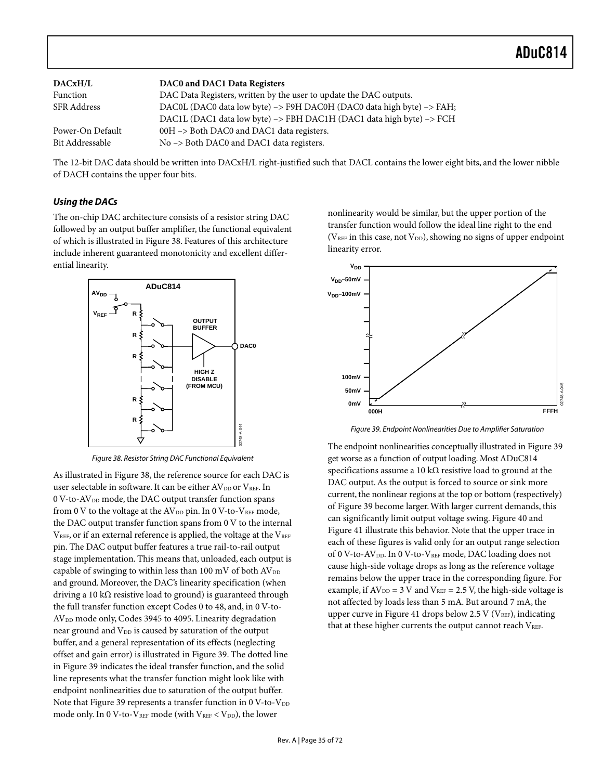| DACxH/L          | DAC0 and DAC1 Data Registers                                          |
|------------------|-----------------------------------------------------------------------|
| Function         | DAC Data Registers, written by the user to update the DAC outputs.    |
| SFR Address      | DAC0L (DAC0 data low byte) -> F9H DAC0H (DAC0 data high byte) -> FAH; |
|                  | DAC1L (DAC1 data low byte) -> FBH DAC1H (DAC1 data high byte) -> FCH  |
| Power-On Default | 00H -> Both DAC0 and DAC1 data registers.                             |
| Bit Addressable  | No -> Both DAC0 and DAC1 data registers.                              |

The 12-bit DAC data should be written into DACxH/L right-justified such that DACL contains the lower eight bits, and the lower nibble of DACH contains the upper four bits.

#### <span id="page-34-0"></span>**Using the DACs**

The on-chip DAC architecture consists of a resistor string DAC followed by an output buffer amplifier, the functional equivalent of which is illustrated in [Figure 38.](#page-34-1) Features of this architecture include inherent guaranteed monotonicity and excellent differential linearity.

<span id="page-34-1"></span>

Figure 38. Resistor String DAC Functional Equivalent

As illustrated in [Figure 38,](#page-34-1) the reference source for each DAC is user selectable in software. It can be either  $\text{AV}_{\text{DD}}$  or  $\text{V}_{\text{REF}}$  In 0 V-to-AV<sub>DD</sub> mode, the DAC output transfer function spans from 0 V to the voltage at the  $AV_{DD}$  pin. In 0 V-to-VREF mode, the DAC output transfer function spans from 0 V to the internal  $V<sub>REF</sub>$ , or if an external reference is applied, the voltage at the  $V<sub>REF</sub>$ pin. The DAC output buffer features a true rail-to-rail output stage implementation. This means that, unloaded, each output is capable of swinging to within less than 100 mV of both  $AV_{DD}$ and ground. Moreover, the DAC's linearity specification (when driving a 10 k $\Omega$  resistive load to ground) is guaranteed through the full transfer function except Codes 0 to 48, and, in 0 V-to-AV<sub>DD</sub> mode only, Codes 3945 to 4095. Linearity degradation near ground and  $V_{DD}$  is caused by saturation of the output buffer, and a general representation of its effects (neglecting offset and gain error) is illustrated in [Figure 39.](#page-34-2) The dotted line in [Figure 39](#page-34-2) indicates the ideal transfer function, and the solid line represents what the transfer function might look like with endpoint nonlinearities due to saturation of the output buffer. Note that [Figure 39 r](#page-34-2)epresents a transfer function in  $0$  V-to-V<sub>DD</sub> mode only. In 0 V-to-VREF mode (with  $V_{REF}$  <  $V_{DD}$ ), the lower

nonlinearity would be similar, but the upper portion of the transfer function would follow the ideal line right to the end ( $V<sub>REF</sub>$  in this case, not  $V<sub>DD</sub>$ ), showing no signs of upper endpoint linearity error.

<span id="page-34-2"></span>

Figure 39. Endpoint Nonlinearities Due to Amplifier Saturation

The endpoint nonlinearities conceptually illustrated in [Figure 39](#page-34-2)  get worse as a function of output loading. Most ADuC814 specifications assume a 10 k $\Omega$  resistive load to ground at the DAC output. As the output is forced to source or sink more current, the nonlinear regions at the top or bottom (respectively) of [Figure 39 b](#page-34-2)ecome larger. With larger current demands, this can significantly limit output voltage swing. [Figure 40](#page-35-0) and [Figure 41 i](#page-35-1)llustrate this behavior. Note that the upper trace in each of these figures is valid only for an output range selection of 0 V-to-AV<sub>DD</sub>. In 0 V-to-V<sub>REF</sub> mode, DAC loading does not cause high-side voltage drops as long as the reference voltage remains below the upper trace in the corresponding figure. For example, if  $AV_{DD} = 3 V$  and  $V_{REF} = 2.5 V$ , the high-side voltage is not affected by loads less than 5 mA. But around 7 mA, the upper curve in [Figure 41](#page-35-1) drops below 2.5 V ( $V_{REF}$ ), indicating that at these higher currents the output cannot reach VREF.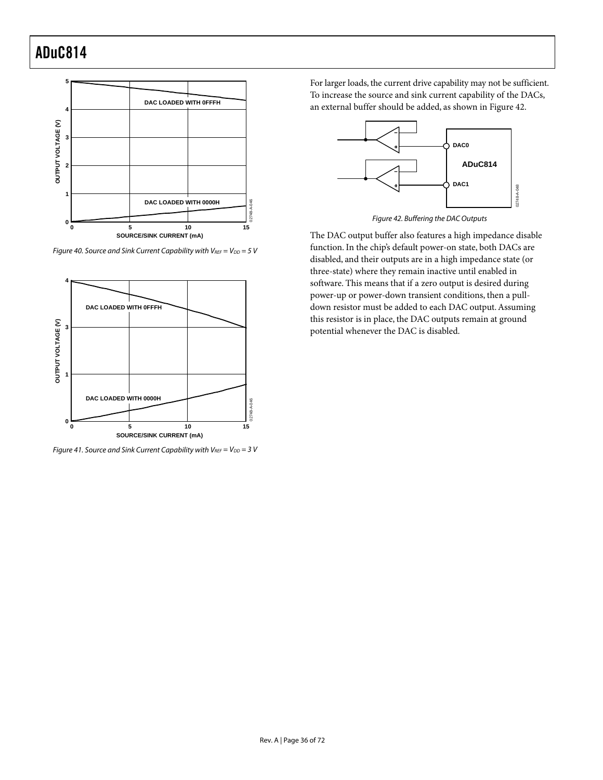<span id="page-35-0"></span>

Figure 40. Source and Sink Current Capability with  $V_{REF} = V_{DD} = 5 V$ 

<span id="page-35-1"></span>

Figure 41. Source and Sink Current Capability with  $V_{REF} = V_{DD} = 3 V$ 

For larger loads, the current drive capability may not be sufficient. To increase the source and sink current capability of the DACs, an external buffer should be added, as shown in [Figure 42.](#page-35-2) 

<span id="page-35-2"></span>

Figure 42. Buffering the DAC Outputs

The DAC output buffer also features a high impedance disable function. In the chip's default power-on state, both DACs are disabled, and their outputs are in a high impedance state (or three-state) where they remain inactive until enabled in software. This means that if a zero output is desired during power-up or power-down transient conditions, then a pulldown resistor must be added to each DAC output. Assuming this resistor is in place, the DAC outputs remain at ground potential whenever the DAC is disabled.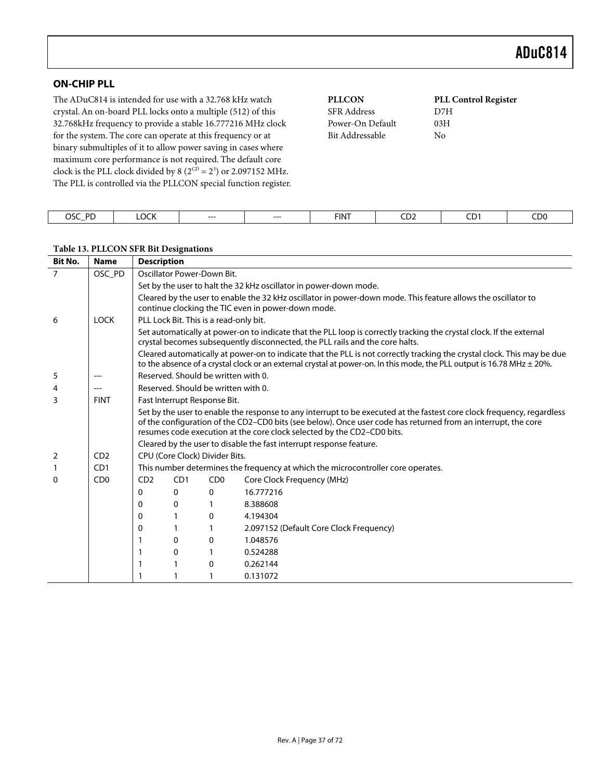## **ON-CHIP PLL**

The ADuC814 is intended for use with a 32.768 kHz watch crystal. An on-board PLL locks onto a multiple (512) of this 32.768kHz frequency to provide a stable 16.777216 MHz clock for the system. The core can operate at this frequency or at binary submultiples of it to allow power saving in cases where maximum core performance is not required. The default core clock is the PLL clock divided by  $8(2^{CD} = 2^3)$  or 2.097152 MHz. The PLL is controlled via the PLLCON special function register.

| <b>PLLCON</b>      | <b>PLL Control Register</b> |
|--------------------|-----------------------------|
| <b>SFR</b> Address | D7H                         |
| Power-On Default   | 03H                         |
| Bit Addressable    | Nο                          |
|                    |                             |
|                    |                             |

| OSC.<br><b>DD</b><br>-- | $\sim$<br>יירוי | ---- | $---$ | <b>FINT</b> | ---<br><b>CDZ</b><br>$  -$ | CD.<br>$ -$ | CD <sub>0</sub> |
|-------------------------|-----------------|------|-------|-------------|----------------------------|-------------|-----------------|

#### **Table 13. PLLCON SFR Bit Designations**

| <b>Bit No.</b> | <b>Name</b>                 | <b>Description</b> |                                     |                                        |                                                                                                                                                                                                                                                                                                                   |  |  |  |  |
|----------------|-----------------------------|--------------------|-------------------------------------|----------------------------------------|-------------------------------------------------------------------------------------------------------------------------------------------------------------------------------------------------------------------------------------------------------------------------------------------------------------------|--|--|--|--|
| $\overline{7}$ | OSC PD                      |                    |                                     | Oscillator Power-Down Bit.             |                                                                                                                                                                                                                                                                                                                   |  |  |  |  |
|                |                             |                    |                                     |                                        | Set by the user to halt the 32 kHz oscillator in power-down mode.                                                                                                                                                                                                                                                 |  |  |  |  |
|                |                             |                    |                                     |                                        | Cleared by the user to enable the 32 kHz oscillator in power-down mode. This feature allows the oscillator to<br>continue clocking the TIC even in power-down mode.                                                                                                                                               |  |  |  |  |
| 6              | <b>LOCK</b>                 |                    |                                     | PLL Lock Bit. This is a read-only bit. |                                                                                                                                                                                                                                                                                                                   |  |  |  |  |
|                |                             |                    |                                     |                                        | Set automatically at power-on to indicate that the PLL loop is correctly tracking the crystal clock. If the external<br>crystal becomes subsequently disconnected, the PLL rails and the core halts.                                                                                                              |  |  |  |  |
|                |                             |                    |                                     |                                        | Cleared automatically at power-on to indicate that the PLL is not correctly tracking the crystal clock. This may be due<br>to the absence of a crystal clock or an external crystal at power-on. In this mode, the PLL output is 16.78 MHz $\pm$ 20%.                                                             |  |  |  |  |
| 5              |                             |                    | Reserved, Should be written with 0. |                                        |                                                                                                                                                                                                                                                                                                                   |  |  |  |  |
| 4              |                             |                    |                                     | Reserved. Should be written with 0.    |                                                                                                                                                                                                                                                                                                                   |  |  |  |  |
| 3              | <b>FINT</b>                 |                    |                                     | Fast Interrupt Response Bit.           |                                                                                                                                                                                                                                                                                                                   |  |  |  |  |
|                |                             |                    |                                     |                                        | Set by the user to enable the response to any interrupt to be executed at the fastest core clock frequency, regardless<br>of the configuration of the CD2-CD0 bits (see below). Once user code has returned from an interrupt, the core<br>resumes code execution at the core clock selected by the CD2-CD0 bits. |  |  |  |  |
|                |                             |                    |                                     |                                        | Cleared by the user to disable the fast interrupt response feature.                                                                                                                                                                                                                                               |  |  |  |  |
| 2              | CD2                         |                    |                                     | CPU (Core Clock) Divider Bits.         |                                                                                                                                                                                                                                                                                                                   |  |  |  |  |
|                | C <sub>D</sub> 1            |                    |                                     |                                        | This number determines the frequency at which the microcontroller core operates.                                                                                                                                                                                                                                  |  |  |  |  |
| $\Omega$       | C <sub>D</sub> <sub>0</sub> | CD2                | CD <sub>1</sub>                     | C <sub>D</sub> <sub>0</sub>            | Core Clock Frequency (MHz)                                                                                                                                                                                                                                                                                        |  |  |  |  |
|                |                             | 0                  | $\Omega$                            | $\Omega$                               | 16.777216                                                                                                                                                                                                                                                                                                         |  |  |  |  |
|                |                             | 0                  | 0                                   | 1                                      | 8.388608                                                                                                                                                                                                                                                                                                          |  |  |  |  |
|                |                             | 0                  |                                     | $\mathbf{0}$                           | 4.194304                                                                                                                                                                                                                                                                                                          |  |  |  |  |
|                |                             | 0                  |                                     | 1                                      | 2.097152 (Default Core Clock Frequency)                                                                                                                                                                                                                                                                           |  |  |  |  |
|                |                             |                    | 0                                   | 0                                      | 1.048576                                                                                                                                                                                                                                                                                                          |  |  |  |  |
|                |                             |                    | 0                                   |                                        | 0.524288                                                                                                                                                                                                                                                                                                          |  |  |  |  |
|                |                             |                    |                                     | 0                                      | 0.262144                                                                                                                                                                                                                                                                                                          |  |  |  |  |
|                |                             |                    |                                     |                                        | 0.131072                                                                                                                                                                                                                                                                                                          |  |  |  |  |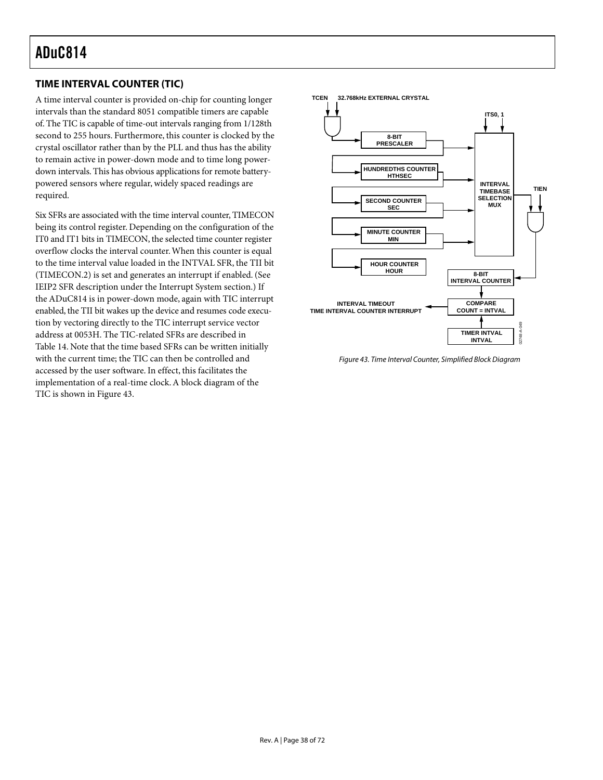## **TIME INTERVAL COUNTER (TIC)**

A time interval counter is provided on-chip for counting longer intervals than the standard 8051 compatible timers are capable of. The TIC is capable of time-out intervals ranging from 1/128th second to 255 hours. Furthermore, this counter is clocked by the crystal oscillator rather than by the PLL and thus has the ability to remain active in power-down mode and to time long powerdown intervals. This has obvious applications for remote batterypowered sensors where regular, widely spaced readings are required.

Six SFRs are associated with the time interval counter, TIMECON being its control register. Depending on the configuration of the IT0 and IT1 bits in TIMECON, the selected time counter register overflow clocks the interval counter. When this counter is equal to the time interval value loaded in the INTVAL SFR, the TII bit (TIMECON.2) is set and generates an interrupt if enabled. (See IEIP2 SFR description under the Interrupt System section.) If the ADuC814 is in power-down mode, again with TIC interrupt enabled, the TII bit wakes up the device and resumes code execution by vectoring directly to the TIC interrupt service vector address at 0053H. The TIC-related SFRs are described in [Table 14.](#page-38-0) Note that the time based SFRs can be written initially with the current time; the TIC can then be controlled and accessed by the user software. In effect, this facilitates the implementation of a real-time clock. A block diagram of the TIC is shown in [Figure 43.](#page-37-0)

<span id="page-37-0"></span>

Figure 43. Time Interval Counter, Simplified Block Diagram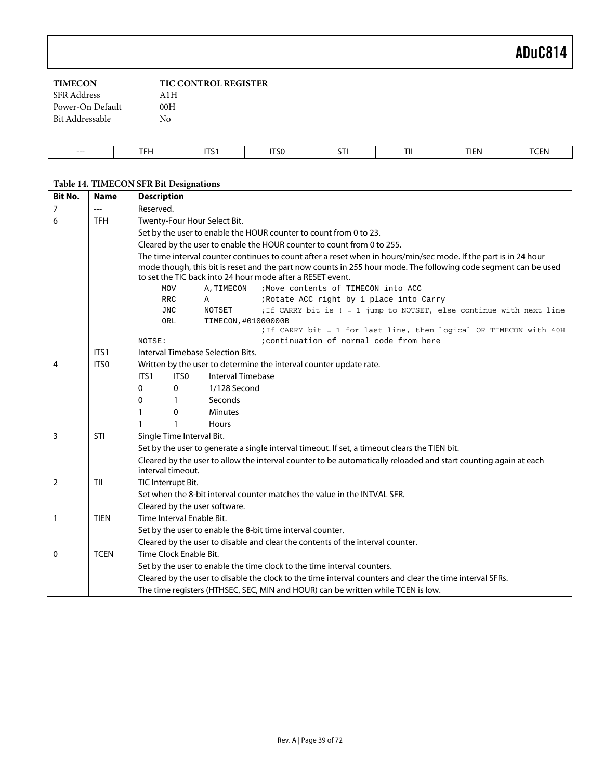| <b>TIMECON</b>     | <b>TIC CONTROL REGISTER</b> |
|--------------------|-----------------------------|
| <b>SFR</b> Address | A1H                         |
| Power-On Default   | 00H                         |
| Bit Addressable    | Nο                          |
|                    |                             |

| ---<br>$--$ | $- - -$<br>.<br>. | $-$<br>. . | <b>ITSG</b><br>$\sim$ $\sim$ | $-$<br>31. | TII | <b>TIEN</b> | T<br>ьM<br>1 <b>J LIV</b> |
|-------------|-------------------|------------|------------------------------|------------|-----|-------------|---------------------------|

## <span id="page-38-0"></span>**Table 14. TIMECON SFR Bit Designations**

| <b>Bit No.</b> | <b>Name</b> | <b>Description</b>                                                                                                                                                                                                                                                                                |  |  |  |  |  |  |
|----------------|-------------|---------------------------------------------------------------------------------------------------------------------------------------------------------------------------------------------------------------------------------------------------------------------------------------------------|--|--|--|--|--|--|
| 7              | $---$       | Reserved.                                                                                                                                                                                                                                                                                         |  |  |  |  |  |  |
| 6              | <b>TFH</b>  | Twenty-Four Hour Select Bit.                                                                                                                                                                                                                                                                      |  |  |  |  |  |  |
|                |             | Set by the user to enable the HOUR counter to count from 0 to 23.                                                                                                                                                                                                                                 |  |  |  |  |  |  |
|                |             | Cleared by the user to enable the HOUR counter to count from 0 to 255.                                                                                                                                                                                                                            |  |  |  |  |  |  |
|                |             | The time interval counter continues to count after a reset when in hours/min/sec mode. If the part is in 24 hour<br>mode though, this bit is reset and the part now counts in 255 hour mode. The following code segment can be used<br>to set the TIC back into 24 hour mode after a RESET event. |  |  |  |  |  |  |
|                |             | ; Move contents of TIMECON into ACC<br><b>MOV</b><br>A, TIMECON                                                                                                                                                                                                                                   |  |  |  |  |  |  |
|                |             | ;Rotate ACC right by 1 place into Carry<br><b>RRC</b><br>Α                                                                                                                                                                                                                                        |  |  |  |  |  |  |
|                |             | <b>NOTSET</b><br>; If CARRY bit is ! = 1 jump to NOTSET, else continue with next line<br><b>JNC</b>                                                                                                                                                                                               |  |  |  |  |  |  |
|                |             | TIMECON, #01000000B<br>ORL                                                                                                                                                                                                                                                                        |  |  |  |  |  |  |
|                |             | ; If CARRY bit = 1 for last line, then logical OR TIMECON with 40H                                                                                                                                                                                                                                |  |  |  |  |  |  |
|                |             | NOTSE:<br>icontinuation of normal code from here                                                                                                                                                                                                                                                  |  |  |  |  |  |  |
|                | ITS1        | Interval Timebase Selection Bits.                                                                                                                                                                                                                                                                 |  |  |  |  |  |  |
| 4              | ITS0        | Written by the user to determine the interval counter update rate.                                                                                                                                                                                                                                |  |  |  |  |  |  |
|                |             | ITS0<br>Interval Timebase<br>ITS1                                                                                                                                                                                                                                                                 |  |  |  |  |  |  |
|                |             | 1/128 Second<br>0<br>0                                                                                                                                                                                                                                                                            |  |  |  |  |  |  |
|                |             | Seconds<br>0<br>$\mathbf{1}$                                                                                                                                                                                                                                                                      |  |  |  |  |  |  |
|                |             | 0<br><b>Minutes</b><br>1                                                                                                                                                                                                                                                                          |  |  |  |  |  |  |
|                |             | $\mathbf{1}$<br><b>Hours</b><br>1                                                                                                                                                                                                                                                                 |  |  |  |  |  |  |
| 3              | STI         | Single Time Interval Bit.                                                                                                                                                                                                                                                                         |  |  |  |  |  |  |
|                |             | Set by the user to generate a single interval timeout. If set, a timeout clears the TIEN bit.                                                                                                                                                                                                     |  |  |  |  |  |  |
|                |             | Cleared by the user to allow the interval counter to be automatically reloaded and start counting again at each<br>interval timeout.                                                                                                                                                              |  |  |  |  |  |  |
| 2              | TII         | TIC Interrupt Bit.                                                                                                                                                                                                                                                                                |  |  |  |  |  |  |
|                |             | Set when the 8-bit interval counter matches the value in the INTVAL SFR.                                                                                                                                                                                                                          |  |  |  |  |  |  |
|                |             | Cleared by the user software.                                                                                                                                                                                                                                                                     |  |  |  |  |  |  |
| $\mathbf{1}$   | <b>TIEN</b> | Time Interval Enable Bit.                                                                                                                                                                                                                                                                         |  |  |  |  |  |  |
|                |             | Set by the user to enable the 8-bit time interval counter.                                                                                                                                                                                                                                        |  |  |  |  |  |  |
|                |             | Cleared by the user to disable and clear the contents of the interval counter.                                                                                                                                                                                                                    |  |  |  |  |  |  |
| $\Omega$       | <b>TCEN</b> | Time Clock Enable Bit.                                                                                                                                                                                                                                                                            |  |  |  |  |  |  |
|                |             | Set by the user to enable the time clock to the time interval counters.                                                                                                                                                                                                                           |  |  |  |  |  |  |
|                |             | Cleared by the user to disable the clock to the time interval counters and clear the time interval SFRs.                                                                                                                                                                                          |  |  |  |  |  |  |
|                |             | The time registers (HTHSEC, SEC, MIN and HOUR) can be written while TCEN is low.                                                                                                                                                                                                                  |  |  |  |  |  |  |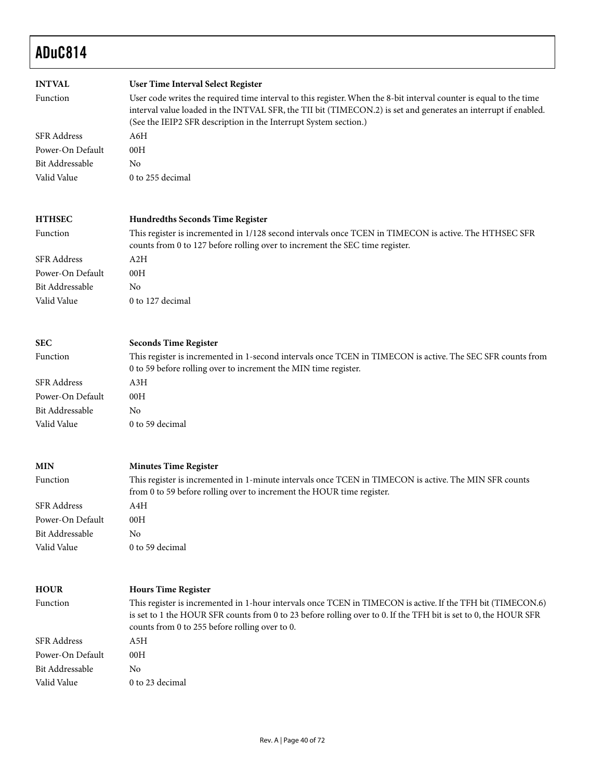| <b>INTVAL</b><br>Function<br><b>SFR Address</b> | User Time Interval Select Register<br>User code writes the required time interval to this register. When the 8-bit interval counter is equal to the time<br>interval value loaded in the INTVAL SFR, the TII bit (TIMECON.2) is set and generates an interrupt if enabled.<br>(See the IEIP2 SFR description in the Interrupt System section.)<br>A6H |
|-------------------------------------------------|-------------------------------------------------------------------------------------------------------------------------------------------------------------------------------------------------------------------------------------------------------------------------------------------------------------------------------------------------------|
| Power-On Default                                | 00H                                                                                                                                                                                                                                                                                                                                                   |
| Bit Addressable                                 | No                                                                                                                                                                                                                                                                                                                                                    |
| Valid Value                                     | 0 to 255 decimal                                                                                                                                                                                                                                                                                                                                      |
|                                                 |                                                                                                                                                                                                                                                                                                                                                       |
| <b>HTHSEC</b>                                   | <b>Hundredths Seconds Time Register</b>                                                                                                                                                                                                                                                                                                               |
| Function                                        | This register is incremented in 1/128 second intervals once TCEN in TIMECON is active. The HTHSEC SFR<br>counts from 0 to 127 before rolling over to increment the SEC time register.                                                                                                                                                                 |
| <b>SFR Address</b>                              | A2H                                                                                                                                                                                                                                                                                                                                                   |
| Power-On Default                                | 00H                                                                                                                                                                                                                                                                                                                                                   |
| <b>Bit Addressable</b>                          | No                                                                                                                                                                                                                                                                                                                                                    |
| Valid Value                                     | 0 to 127 decimal                                                                                                                                                                                                                                                                                                                                      |
|                                                 |                                                                                                                                                                                                                                                                                                                                                       |
| <b>SEC</b>                                      | <b>Seconds Time Register</b>                                                                                                                                                                                                                                                                                                                          |
| Function                                        | This register is incremented in 1-second intervals once TCEN in TIMECON is active. The SEC SFR counts from<br>0 to 59 before rolling over to increment the MIN time register.                                                                                                                                                                         |
| <b>SFR</b> Address                              | A3H                                                                                                                                                                                                                                                                                                                                                   |
| Power-On Default                                | 00H                                                                                                                                                                                                                                                                                                                                                   |
| <b>Bit Addressable</b>                          | No                                                                                                                                                                                                                                                                                                                                                    |
| Valid Value                                     | 0 to 59 decimal                                                                                                                                                                                                                                                                                                                                       |
|                                                 |                                                                                                                                                                                                                                                                                                                                                       |
| <b>MIN</b>                                      | <b>Minutes Time Register</b>                                                                                                                                                                                                                                                                                                                          |
| Function                                        | This register is incremented in 1-minute intervals once TCEN in TIMECON is active. The MIN SFR counts<br>from 0 to 59 before rolling over to increment the HOUR time register.                                                                                                                                                                        |
| <b>SFR Address</b>                              | A4H                                                                                                                                                                                                                                                                                                                                                   |
| Power-On Default                                | 00H                                                                                                                                                                                                                                                                                                                                                   |
| Bit Addressable                                 | No                                                                                                                                                                                                                                                                                                                                                    |
| Valid Value                                     | 0 to 59 decimal                                                                                                                                                                                                                                                                                                                                       |
|                                                 |                                                                                                                                                                                                                                                                                                                                                       |
| <b>HOUR</b>                                     | <b>Hours Time Register</b>                                                                                                                                                                                                                                                                                                                            |
| Function                                        | This register is incremented in 1-hour intervals once TCEN in TIMECON is active. If the TFH bit (TIMECON.6)<br>is set to 1 the HOUR SFR counts from 0 to 23 before rolling over to 0. If the TFH bit is set to 0, the HOUR SFR<br>counts from 0 to 255 before rolling over to 0.                                                                      |
| <b>SFR</b> Address                              | A5H                                                                                                                                                                                                                                                                                                                                                   |
| Power-On Default                                | 00H                                                                                                                                                                                                                                                                                                                                                   |
| Bit Addressable                                 | No                                                                                                                                                                                                                                                                                                                                                    |
| Valid Value                                     | 0 to 23 decimal                                                                                                                                                                                                                                                                                                                                       |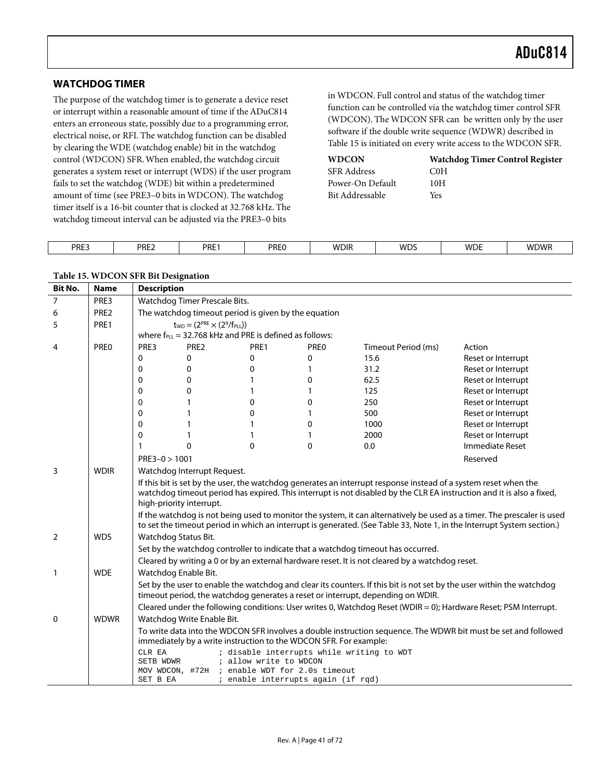### **WATCHDOG TIMER**

The purpose of the watchdog timer is to generate a device reset or interrupt within a reasonable amount of time if the ADuC814 enters an erroneous state, possibly due to a programming error, electrical noise, or RFI. The watchdog function can be disabled by clearing the WDE (watchdog enable) bit in the watchdog control (WDCON) SFR. When enabled, the watchdog circuit generates a system reset or interrupt (WDS) if the user program fails to set the watchdog (WDE) bit within a predetermined amount of time (see PRE3–0 bits in WDCON). The watchdog timer itself is a 16-bit counter that is clocked at 32.768 kHz. The watchdog timeout interval can be adjusted via the PRE3–0 bits

in WDCON. Full control and status of the watchdog timer function can be controlled via the watchdog timer control SFR (WDCON). The WDCON SFR can be written only by the user software if the double write sequence (WDWR) described in [Table 15 i](#page-40-0)s initiated on every write access to the WDCON SFR.

| <b>WDCON</b>     | <b>Watchdog Timer Control Register</b> |
|------------------|----------------------------------------|
| SFR Address      | COH                                    |
| Power-On Default | 10H                                    |
| Bit Addressable  | Yes                                    |

| PRE3 | DDEつ<br>ENLL. | <b>PRE</b> | PREC | <b>WDIR</b> | wns<br>' v – | <b>WDE</b> | <b>WDWF</b> |
|------|---------------|------------|------|-------------|--------------|------------|-------------|
|      |               |            |      |             |              |            |             |

| <b>Bit No.</b>                                                                                                       | <b>Name</b>      | <b>Description</b>              |                                                      |                        |                                                                     |                                                                                                                                                                                                                                          |                                                                                                                                                                                                                                                   |   |             |      |
|----------------------------------------------------------------------------------------------------------------------|------------------|---------------------------------|------------------------------------------------------|------------------------|---------------------------------------------------------------------|------------------------------------------------------------------------------------------------------------------------------------------------------------------------------------------------------------------------------------------|---------------------------------------------------------------------------------------------------------------------------------------------------------------------------------------------------------------------------------------------------|---|-------------|------|
| 7                                                                                                                    | PRE3             | Watchdog Timer Prescale Bits.   |                                                      |                        |                                                                     |                                                                                                                                                                                                                                          |                                                                                                                                                                                                                                                   |   |             |      |
| 6                                                                                                                    | PRE <sub>2</sub> |                                 | The watchdog timeout period is given by the equation |                        |                                                                     |                                                                                                                                                                                                                                          |                                                                                                                                                                                                                                                   |   |             |      |
| $t_{WD} = (2^{PRE} \times (2^9/f_{PLL}))$<br>PRE1<br>5<br>where $f_{PL}$ = 32.768 kHz and PRE is defined as follows: |                  |                                 |                                                      |                        |                                                                     |                                                                                                                                                                                                                                          |                                                                                                                                                                                                                                                   |   |             |      |
|                                                                                                                      |                  |                                 |                                                      |                        |                                                                     |                                                                                                                                                                                                                                          |                                                                                                                                                                                                                                                   | 4 | <b>PREO</b> | PRE3 |
|                                                                                                                      |                  | 0                               | 0                                                    | 0                      | 0                                                                   | 15.6                                                                                                                                                                                                                                     | Reset or Interrupt                                                                                                                                                                                                                                |   |             |      |
|                                                                                                                      |                  | 0                               | 0                                                    | 0                      | 1                                                                   | 31.2                                                                                                                                                                                                                                     | Reset or Interrupt                                                                                                                                                                                                                                |   |             |      |
|                                                                                                                      |                  | 0                               | 0                                                    | 1                      | 0                                                                   | 62.5                                                                                                                                                                                                                                     | Reset or Interrupt                                                                                                                                                                                                                                |   |             |      |
|                                                                                                                      |                  | 0                               | 0                                                    | 1                      | 1                                                                   | 125                                                                                                                                                                                                                                      | Reset or Interrupt                                                                                                                                                                                                                                |   |             |      |
|                                                                                                                      |                  | 0                               |                                                      | 0                      | 0                                                                   | 250                                                                                                                                                                                                                                      | Reset or Interrupt                                                                                                                                                                                                                                |   |             |      |
|                                                                                                                      |                  | 0                               |                                                      | 0                      | $\mathbf{1}$                                                        | 500                                                                                                                                                                                                                                      | Reset or Interrupt                                                                                                                                                                                                                                |   |             |      |
|                                                                                                                      |                  | 0                               | 1                                                    | 1                      | 0                                                                   | 1000                                                                                                                                                                                                                                     | Reset or Interrupt                                                                                                                                                                                                                                |   |             |      |
|                                                                                                                      |                  | 0                               | 1                                                    | 1                      | 1                                                                   | 2000                                                                                                                                                                                                                                     | Reset or Interrupt                                                                                                                                                                                                                                |   |             |      |
|                                                                                                                      |                  | 1                               | $\Omega$                                             | $\mathbf{0}$           | $\mathbf{0}$                                                        | 0.0                                                                                                                                                                                                                                      | Immediate Reset                                                                                                                                                                                                                                   |   |             |      |
|                                                                                                                      |                  | $PRE3 - 0 > 1001$               |                                                      |                        |                                                                     |                                                                                                                                                                                                                                          | Reserved                                                                                                                                                                                                                                          |   |             |      |
| 3                                                                                                                    | <b>WDIR</b>      | Watchdog Interrupt Request.     |                                                      |                        |                                                                     |                                                                                                                                                                                                                                          |                                                                                                                                                                                                                                                   |   |             |      |
|                                                                                                                      |                  |                                 | high-priority interrupt.                             |                        |                                                                     | If this bit is set by the user, the watchdog generates an interrupt response instead of a system reset when the<br>watchdog timeout period has expired. This interrupt is not disabled by the CLR EA instruction and it is also a fixed, |                                                                                                                                                                                                                                                   |   |             |      |
|                                                                                                                      |                  |                                 |                                                      |                        |                                                                     |                                                                                                                                                                                                                                          | If the watchdog is not being used to monitor the system, it can alternatively be used as a timer. The prescaler is used<br>to set the timeout period in which an interrupt is generated. (See Table 33, Note 1, in the Interrupt System section.) |   |             |      |
| $\overline{2}$                                                                                                       | <b>WDS</b>       |                                 | Watchdog Status Bit.                                 |                        |                                                                     |                                                                                                                                                                                                                                          |                                                                                                                                                                                                                                                   |   |             |      |
|                                                                                                                      |                  |                                 |                                                      |                        |                                                                     | Set by the watchdog controller to indicate that a watchdog timeout has occurred.                                                                                                                                                         |                                                                                                                                                                                                                                                   |   |             |      |
|                                                                                                                      |                  |                                 |                                                      |                        |                                                                     | Cleared by writing a 0 or by an external hardware reset. It is not cleared by a watchdog reset.                                                                                                                                          |                                                                                                                                                                                                                                                   |   |             |      |
| $\mathbf{1}$                                                                                                         | <b>WDE</b>       |                                 | Watchdog Enable Bit.                                 |                        |                                                                     |                                                                                                                                                                                                                                          |                                                                                                                                                                                                                                                   |   |             |      |
|                                                                                                                      |                  |                                 |                                                      |                        |                                                                     | Set by the user to enable the watchdog and clear its counters. If this bit is not set by the user within the watchdog<br>timeout period, the watchdog generates a reset or interrupt, depending on WDIR.                                 |                                                                                                                                                                                                                                                   |   |             |      |
|                                                                                                                      |                  |                                 |                                                      |                        |                                                                     | Cleared under the following conditions: User writes 0, Watchdog Reset (WDIR = 0); Hardware Reset; PSM Interrupt.                                                                                                                         |                                                                                                                                                                                                                                                   |   |             |      |
| $\mathbf{0}$                                                                                                         | <b>WDWR</b>      |                                 | Watchdog Write Enable Bit.                           |                        |                                                                     |                                                                                                                                                                                                                                          |                                                                                                                                                                                                                                                   |   |             |      |
|                                                                                                                      |                  |                                 |                                                      |                        | immediately by a write instruction to the WDCON SFR. For example:   |                                                                                                                                                                                                                                          | To write data into the WDCON SFR involves a double instruction sequence. The WDWR bit must be set and followed                                                                                                                                    |   |             |      |
|                                                                                                                      |                  | CLR EA<br>SETB WDWR<br>SET B EA | MOV WDCON, #72H                                      | ; allow write to WDCON | ; enable WDT for 2.0s timeout<br>; enable interrupts again (if rqd) | ; disable interrupts while writing to WDT                                                                                                                                                                                                |                                                                                                                                                                                                                                                   |   |             |      |

#### <span id="page-40-0"></span>**Table 15. WDCON SFR Bit Designation**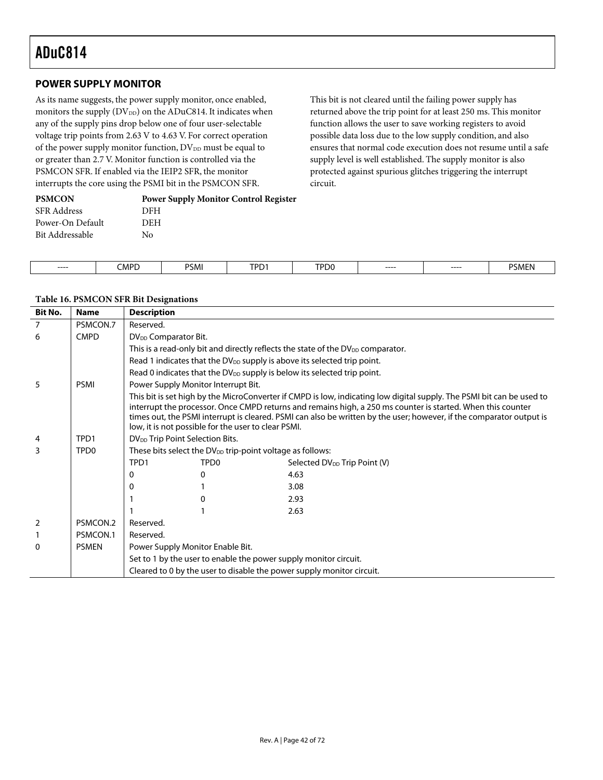$\overline{\phantom{a}}$ 

## **POWER SUPPLY MONITOR**

As its name suggests, the power supply monitor, once enabled, monitors the supply  $(DV_{DD})$  on the ADuC814. It indicates when any of the supply pins drop below one of four user-selectable voltage trip points from 2.63 V to 4.63 V. For correct operation of the power supply monitor function,  $DV_{DD}$  must be equal to or greater than 2.7 V. Monitor function is controlled via the PSMCON SFR. If enabled via the IEIP2 SFR, the monitor interrupts the core using the PSMI bit in the PSMCON SFR.

This bit is not cleared until the failing power supply has returned above the trip point for at least 250 ms. This monitor function allows the user to save working registers to avoid possible data loss due to the low supply condition, and also ensures that normal code execution does not resume until a safe supply level is well established. The supply monitor is also protected against spurious glitches triggering the interrupt circuit.

| <b>PSMCON</b>      | <b>Power Supply Monitor Control Register</b> |
|--------------------|----------------------------------------------|
| <b>SFR Address</b> | DFH                                          |
| Power-On Default   | DEH                                          |
| Bit Addressable    | Nο                                           |
|                    |                                              |

| $---$<br>---- | MPD: | <b>DCM</b><br>'SMI | TPD <sub>1</sub> | TPD <sub>0</sub> | ----- | $---$ | ٦<br>5MF.<br>the contract of the contract of the contract of |
|---------------|------|--------------------|------------------|------------------|-------|-------|--------------------------------------------------------------|

#### **Table 16. PSMCON SFR Bit Designations**

| <b>Bit No.</b> | <b>Name</b>      | <b>Description</b>                          |                                                                       |                                                                                                                                                                                                                                                                                                                                                              |
|----------------|------------------|---------------------------------------------|-----------------------------------------------------------------------|--------------------------------------------------------------------------------------------------------------------------------------------------------------------------------------------------------------------------------------------------------------------------------------------------------------------------------------------------------------|
| $\overline{7}$ | PSMCON.7         | Reserved.                                   |                                                                       |                                                                                                                                                                                                                                                                                                                                                              |
| 6              | <b>CMPD</b>      | DV <sub>DD</sub> Comparator Bit.            |                                                                       |                                                                                                                                                                                                                                                                                                                                                              |
|                |                  |                                             |                                                                       | This is a read-only bit and directly reflects the state of the DV <sub>DD</sub> comparator.                                                                                                                                                                                                                                                                  |
|                |                  |                                             |                                                                       | Read 1 indicates that the DV <sub>DD</sub> supply is above its selected trip point.                                                                                                                                                                                                                                                                          |
|                |                  |                                             |                                                                       | Read 0 indicates that the DV <sub>DD</sub> supply is below its selected trip point.                                                                                                                                                                                                                                                                          |
| 5              | <b>PSMI</b>      |                                             | Power Supply Monitor Interrupt Bit.                                   |                                                                                                                                                                                                                                                                                                                                                              |
|                |                  |                                             | low, it is not possible for the user to clear PSMI.                   | This bit is set high by the MicroConverter if CMPD is low, indicating low digital supply. The PSMI bit can be used to<br>interrupt the processor. Once CMPD returns and remains high, a 250 ms counter is started. When this counter<br>times out, the PSMI interrupt is cleared. PSMI can also be written by the user; however, if the comparator output is |
| 4              | TPD1             | DV <sub>DD</sub> Trip Point Selection Bits. |                                                                       |                                                                                                                                                                                                                                                                                                                                                              |
| 3              | TPD <sub>0</sub> |                                             | These bits select the DV <sub>DD</sub> trip-point voltage as follows: |                                                                                                                                                                                                                                                                                                                                                              |
|                |                  | TPD1                                        | TPD <sub>0</sub>                                                      | Selected DV <sub>DD</sub> Trip Point (V)                                                                                                                                                                                                                                                                                                                     |
|                |                  | 0                                           | 0                                                                     | 4.63                                                                                                                                                                                                                                                                                                                                                         |
|                |                  | 0                                           |                                                                       | 3.08                                                                                                                                                                                                                                                                                                                                                         |
|                |                  |                                             | Ω                                                                     | 2.93                                                                                                                                                                                                                                                                                                                                                         |
|                |                  |                                             |                                                                       | 2.63                                                                                                                                                                                                                                                                                                                                                         |
| 2              | PSMCON.2         | Reserved.                                   |                                                                       |                                                                                                                                                                                                                                                                                                                                                              |
|                | PSMCON.1         | Reserved.                                   |                                                                       |                                                                                                                                                                                                                                                                                                                                                              |
| $\Omega$       | <b>PSMEN</b>     |                                             | Power Supply Monitor Enable Bit.                                      |                                                                                                                                                                                                                                                                                                                                                              |
|                |                  |                                             | Set to 1 by the user to enable the power supply monitor circuit.      |                                                                                                                                                                                                                                                                                                                                                              |
|                |                  |                                             |                                                                       | Cleared to 0 by the user to disable the power supply monitor circuit.                                                                                                                                                                                                                                                                                        |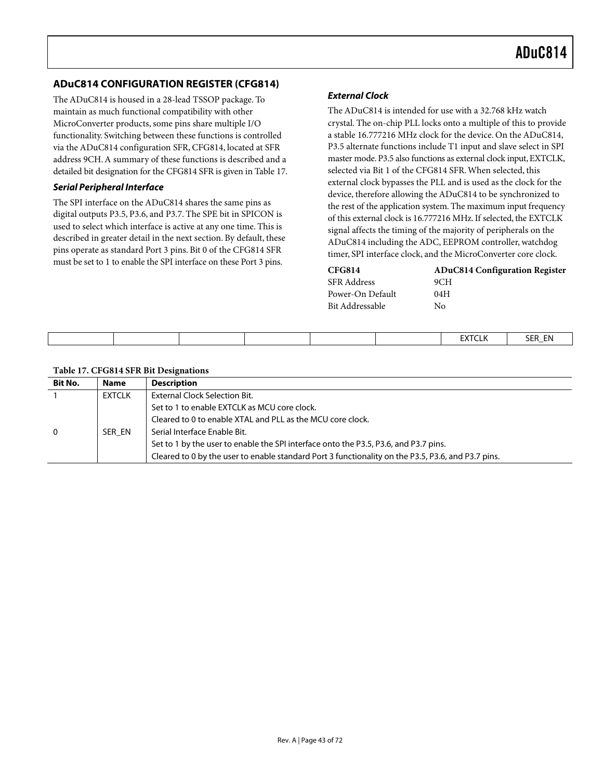## **ADuC814 CONFIGURATION REGISTER (CFG814)**

The ADuC814 is housed in a 28-lead TSSOP package. To maintain as much functional compatibility with other MicroConverter products, some pins share multiple I/O functionality. Switching between these functions is controlled via the ADuC814 configuration SFR, CFG814, located at SFR address 9CH. A summary of these functions is described and a detailed bit designation for the CFG814 SFR is given in [Table 17.](#page-42-0) 

#### **Serial Peripheral Interface**

The SPI interface on the ADuC814 shares the same pins as digital outputs P3.5, P3.6, and P3.7. The SPE bit in SPICON is used to select which interface is active at any one time. This is described in greater detail in the next section. By default, these pins operate as standard Port 3 pins. Bit 0 of the CFG814 SFR must be set to 1 to enable the SPI interface on these Port 3 pins.

#### **External Clock**

The ADuC814 is intended for use with a 32.768 kHz watch crystal. The on-chip PLL locks onto a multiple of this to provide a stable 16.777216 MHz clock for the device. On the ADuC814, P3.5 alternate functions include T1 input and slave select in SPI master mode. P3.5 also functions as external clock input, EXTCLK, selected via Bit 1 of the CFG814 SFR. When selected, this external clock bypasses the PLL and is used as the clock for the device, therefore allowing the ADuC814 to be synchronized to the rest of the application system. The maximum input frequency of this external clock is 16.777216 MHz. If selected, the EXTCLK signal affects the timing of the majority of peripherals on the ADuC814 including the ADC, EEPROM controller, watchdog timer, SPI interface clock, and the MicroConverter core clock.

| <b>CFG814</b>    | <b>ADuC814 Configuration Register</b> |
|------------------|---------------------------------------|
| SFR Address      | 9CH                                   |
| Power-On Default | 04H                                   |
| Bit Addressable  | Nο                                    |

|  |  |  | <b>EVECLE</b><br>-AI CLP | SER_EN |
|--|--|--|--------------------------|--------|
|  |  |  |                          |        |

<span id="page-42-0"></span>

| Table 17. CFG814 SFR Bit Designations |
|---------------------------------------|
|---------------------------------------|

| <b>Bit No.</b> | <b>Name</b> | <b>Description</b>                                                                                 |
|----------------|-------------|----------------------------------------------------------------------------------------------------|
|                | EXTCLK      | External Clock Selection Bit.                                                                      |
|                |             | Set to 1 to enable EXTCLK as MCU core clock.                                                       |
|                |             | Cleared to 0 to enable XTAL and PLL as the MCU core clock.                                         |
| $\mathbf{0}$   | SER EN      | Serial Interface Enable Bit.                                                                       |
|                |             | Set to 1 by the user to enable the SPI interface onto the P3.5, P3.6, and P3.7 pins.               |
|                |             | Cleared to 0 by the user to enable standard Port 3 functionality on the P3.5, P3.6, and P3.7 pins. |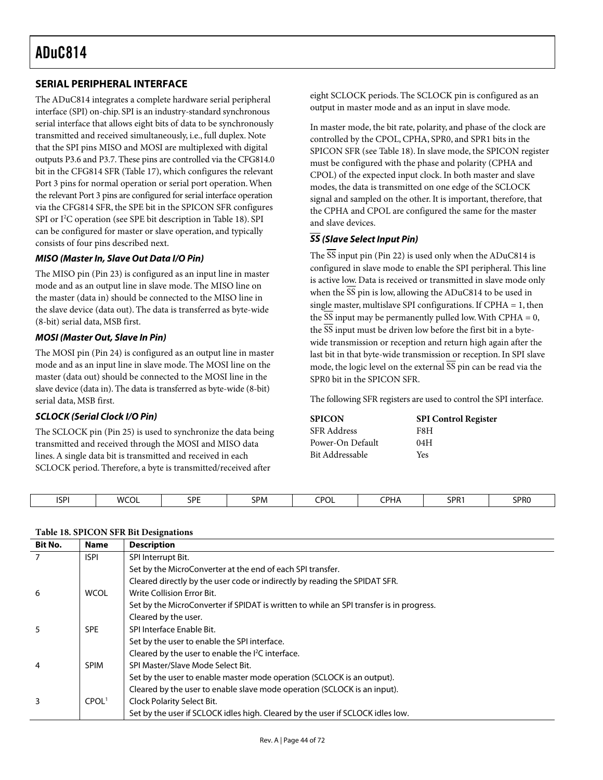## **SERIAL PERIPHERAL INTERFACE**

The ADuC814 integrates a complete hardware serial peripheral interface (SPI) on-chip. SPI is an industry-standard synchronous serial interface that allows eight bits of data to be synchronously transmitted and received simultaneously, i.e., full duplex. Note that the SPI pins MISO and MOSI are multiplexed with digital outputs P3.6 and P3.7. These pins are controlled via the CFG814.0 bit in the CFG814 SFR ([Table 17\)](#page-42-0), which configures the relevant Port 3 pins for normal operation or serial port operation. When the relevant Port 3 pins are configured for serial interface operation via the CFG814 SFR, the SPE bit in the SPICON SFR configures SPI or I<sup>2</sup>C operation (see SPE bit description in [Table 18\)](#page-43-0). SPI can be configured for master or slave operation, and typically consists of four pins described next.

#### **MISO (Master In, Slave Out Data I/O Pin)**

The MISO pin (Pin 23) is configured as an input line in master mode and as an output line in slave mode. The MISO line on the master (data in) should be connected to the MISO line in the slave device (data out). The data is transferred as byte-wide (8-bit) serial data, MSB first.

#### **MOSI (Master Out, Slave In Pin)**

The MOSI pin (Pin 24) is configured as an output line in master mode and as an input line in slave mode. The MOSI line on the master (data out) should be connected to the MOSI line in the slave device (data in). The data is transferred as byte-wide (8-bit) serial data, MSB first.

#### **SCLOCK (Serial Clock I/O Pin)**

The SCLOCK pin (Pin 25) is used to synchronize the data being transmitted and received through the MOSI and MISO data lines. A single data bit is transmitted and received in each SCLOCK period. Therefore, a byte is transmitted/received after

eight SCLOCK periods. The SCLOCK pin is configured as an output in master mode and as an input in slave mode.

In master mode, the bit rate, polarity, and phase of the clock are controlled by the CPOL, CPHA, SPR0, and SPR1 bits in the SPICON SFR (see [Table 18\)](#page-43-0). In slave mode, the SPICON register must be configured with the phase and polarity (CPHA and CPOL) of the expected input clock. In both master and slave modes, the data is transmitted on one edge of the SCLOCK signal and sampled on the other. It is important, therefore, that the CPHA and CPOL are configured the same for the master and slave devices.

### **SS (Slave Select Input Pin)**

The SS input pin (Pin 22) is used only when the ADuC814 is configured in slave mode to enable the SPI peripheral. This line is active low. Data is received or transmitted in slave mode only when the  $\overline{SS}$  pin is low, allowing the ADuC814 to be used in single master, multislave SPI configurations. If  $CPHA = 1$ , then the  $\overline{SS}$  input may be permanently pulled low. With CPHA = 0, the  $\overline{SS}$  input must be driven low before the first bit in a bytewide transmission or reception and return high again after the last bit in that byte-wide transmission or reception. In SPI slave mode, the logic level on the external SS pin can be read via the SPR0 bit in the SPICON SFR.

The following SFR registers are used to control the SPI interface.

| <b>SPICON</b>      | <b>SPI Control Register</b> |
|--------------------|-----------------------------|
| <b>SFR</b> Address | F8H                         |
| Power-On Default   | 04H                         |
| Bit Addressable    | Yes                         |

| <b>ISPI</b> | 10001<br>wo<br>״∪∪∟ | <b>CDF</b><br>◡ | <b>SPM</b> | <b>CPOL</b> | <b>PHA</b> | SPR <sub>1</sub> | SPR <sub>0</sub> |
|-------------|---------------------|-----------------|------------|-------------|------------|------------------|------------------|
|             |                     |                 |            |             |            |                  |                  |

#### <span id="page-43-0"></span>**Table 18. SPICON SFR Bit Designations**

| Bit No.        | <b>Name</b>       | <b>Description</b>                                                                      |
|----------------|-------------------|-----------------------------------------------------------------------------------------|
| $\overline{7}$ | <b>ISPI</b>       | SPI Interrupt Bit.                                                                      |
|                |                   | Set by the MicroConverter at the end of each SPI transfer.                              |
|                |                   | Cleared directly by the user code or indirectly by reading the SPIDAT SFR.              |
| 6              | <b>WCOL</b>       | Write Collision Error Bit.                                                              |
|                |                   | Set by the MicroConverter if SPIDAT is written to while an SPI transfer is in progress. |
|                |                   | Cleared by the user.                                                                    |
| 5              | <b>SPE</b>        | SPI Interface Enable Bit.                                                               |
|                |                   | Set by the user to enable the SPI interface.                                            |
|                |                   | Cleared by the user to enable the I <sup>2</sup> C interface.                           |
| 4              | <b>SPIM</b>       | SPI Master/Slave Mode Select Bit.                                                       |
|                |                   | Set by the user to enable master mode operation (SCLOCK is an output).                  |
|                |                   | Cleared by the user to enable slave mode operation (SCLOCK is an input).                |
| 3              | CPOL <sup>1</sup> | Clock Polarity Select Bit.                                                              |
|                |                   | Set by the user if SCLOCK idles high. Cleared by the user if SCLOCK idles low.          |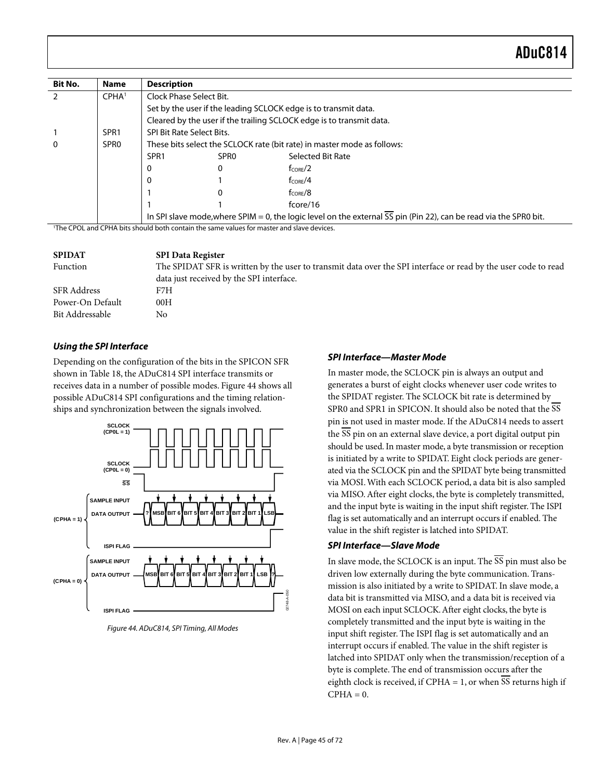| Bit No.                                                                                               | <b>Name</b>       | <b>Description</b>                                                      |                  |                                                                                                                   |
|-------------------------------------------------------------------------------------------------------|-------------------|-------------------------------------------------------------------------|------------------|-------------------------------------------------------------------------------------------------------------------|
|                                                                                                       | CPHA <sup>1</sup> | Clock Phase Select Bit.                                                 |                  |                                                                                                                   |
|                                                                                                       |                   |                                                                         |                  | Set by the user if the leading SCLOCK edge is to transmit data.                                                   |
|                                                                                                       |                   |                                                                         |                  | Cleared by the user if the trailing SCLOCK edge is to transmit data.                                              |
|                                                                                                       | SPR <sub>1</sub>  | SPI Bit Rate Select Bits.                                               |                  |                                                                                                                   |
| $\Omega$                                                                                              | SPR <sub>0</sub>  | These bits select the SCLOCK rate (bit rate) in master mode as follows: |                  |                                                                                                                   |
|                                                                                                       |                   | SPR <sub>1</sub>                                                        | SPR <sub>0</sub> | Selected Bit Rate                                                                                                 |
|                                                                                                       |                   | 0                                                                       | 0                | $f_{\text{CORF}}/2$                                                                                               |
|                                                                                                       |                   | 0                                                                       |                  | $f_{CORF}/4$                                                                                                      |
|                                                                                                       |                   |                                                                         |                  | $f_{CORF}/8$                                                                                                      |
|                                                                                                       |                   |                                                                         |                  | fcore/16                                                                                                          |
|                                                                                                       |                   |                                                                         |                  | In SPI slave mode, where SPIM = 0, the logic level on the external SS pin (Pin 22), can be read via the SPR0 bit. |
| <sup>1</sup> The CPOL and CPHA bits should both contain the same values for master and slave devices. |                   |                                                                         |                  |                                                                                                                   |

| <b>SPIDAT</b>    | <b>SPI Data Register</b>                                                                                       |
|------------------|----------------------------------------------------------------------------------------------------------------|
| Function         | The SPIDAT SFR is written by the user to transmit data over the SPI interface or read by the user code to read |
|                  | data just received by the SPI interface.                                                                       |
| SFR Address      | F7H                                                                                                            |
| Power-On Default | 00H                                                                                                            |
| Bit Addressable  | No                                                                                                             |

#### **Using the SPI Interface**

Depending on the configuration of the bits in the SPICON SFR shown in [Table 18,](#page-43-0) the ADuC814 SPI interface transmits or receives data in a number of possible modes. [Figure 44](#page-44-0) shows all possible ADuC814 SPI configurations and the timing relationships and synchronization between the signals involved.

<span id="page-44-0"></span>

Figure 44. ADuC814, SPI Timing, All Modes

#### **SPI Interface—Master Mode**

In master mode, the SCLOCK pin is always an output and generates a burst of eight clocks whenever user code writes to the SPIDAT register. The SCLOCK bit rate is determined by SPR0 and SPR1 in SPICON. It should also be noted that the SS pin is not used in master mode. If the ADuC814 needs to assert the SS pin on an external slave device, a port digital output pin should be used. In master mode, a byte transmission or reception is initiated by a write to SPIDAT. Eight clock periods are generated via the SCLOCK pin and the SPIDAT byte being transmitted via MOSI. With each SCLOCK period, a data bit is also sampled via MISO. After eight clocks, the byte is completely transmitted, and the input byte is waiting in the input shift register. The ISPI flag is set automatically and an interrupt occurs if enabled. The value in the shift register is latched into SPIDAT.

#### **SPI Interface—Slave Mode**

In slave mode, the SCLOCK is an input. The SS pin must also be driven low externally during the byte communication. Transmission is also initiated by a write to SPIDAT. In slave mode, a data bit is transmitted via MISO, and a data bit is received via MOSI on each input SCLOCK. After eight clocks, the byte is completely transmitted and the input byte is waiting in the input shift register. The ISPI flag is set automatically and an interrupt occurs if enabled. The value in the shift register is latched into SPIDAT only when the transmission/reception of a byte is complete. The end of transmission occurs after the eighth clock is received, if CPHA = 1, or when SS returns high if  $CPHA = 0.$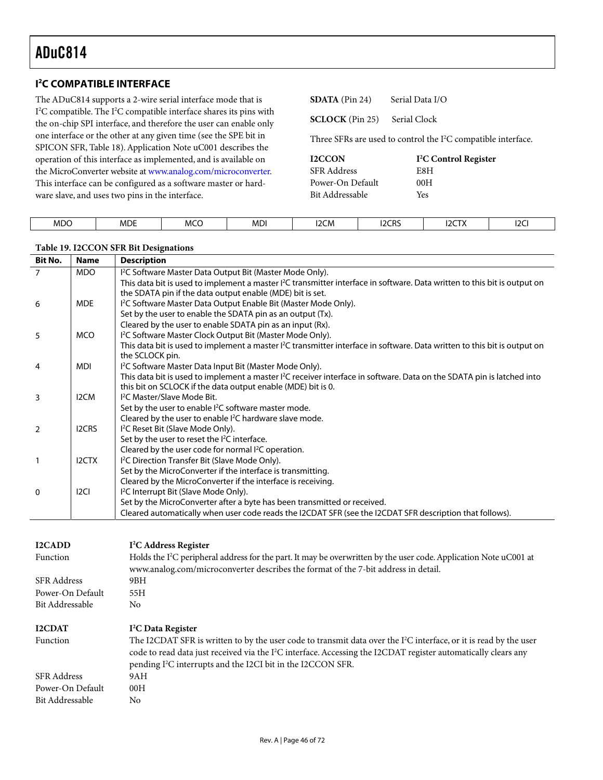$\overline{\phantom{a}}$ 

## **I 2 C COMPATIBLE INTERFACE**

The ADuC814 supports a 2-wire serial interface mode that is I<sup>2</sup>C compatible. The I<sup>2</sup>C compatible interface shares its pins with the on-chip SPI interface, and therefore the user can enable only one interface or the other at any given time (see the SPE bit in SPICON SFR, [Table 18\)](#page-43-0). Application Note uC001 describes the operation of this interface as implemented, and is available on the MicroConverter website at [www.analog.com/microconverter.](http://www.analog.com/microconverter)  This interface can be configured as a software master or hardware slave, and uses two pins in the interface.

**SDATA** (Pin 24) Serial Data I/O

**SCLOCK** (Pin 25) Serial Clock

Three SFRs are used to control the I<sup>2</sup>C compatible interface.

| <b>I2CCON</b>      | $T^2C$ |
|--------------------|--------|
| <b>SFR</b> Address | E8H    |
| Power-On Default   | 00H    |
| Bit Addressable    | Yes    |

| <sup>2</sup> C Control Register |
|---------------------------------|
| E8H                             |
| 00H                             |
| Voo                             |

| <b>MDO</b><br>_____ | <b>MDE</b> | <b>MCC</b><br>$- - -$ | <b>MDI</b> | <b>I2CM</b> | <b>I2CRS</b><br>_____ | <b>I2CTX</b> | 2C |
|---------------------|------------|-----------------------|------------|-------------|-----------------------|--------------|----|
|                     |            |                       |            |             |                       |              |    |

#### **Table 19. I2CCON SFR Bit Designations**

| <b>Bit No.</b> | <b>Name</b>       | <b>Description</b>                                                                                                                                                                                 |
|----------------|-------------------|----------------------------------------------------------------------------------------------------------------------------------------------------------------------------------------------------|
| 7              | <b>MDO</b>        | I <sup>2</sup> C Software Master Data Output Bit (Master Mode Only).                                                                                                                               |
|                |                   | This data bit is used to implement a master I <sup>2</sup> C transmitter interface in software. Data written to this bit is output on                                                              |
|                |                   | the SDATA pin if the data output enable (MDE) bit is set.                                                                                                                                          |
| 6              | <b>MDE</b>        | I <sup>2</sup> C Software Master Data Output Enable Bit (Master Mode Only).                                                                                                                        |
|                |                   | Set by the user to enable the SDATA pin as an output (Tx).                                                                                                                                         |
|                |                   | Cleared by the user to enable SDATA pin as an input (Rx).                                                                                                                                          |
| 5              | <b>MCO</b>        | I <sup>2</sup> C Software Master Clock Output Bit (Master Mode Only).                                                                                                                              |
|                |                   | This data bit is used to implement a master I <sup>2</sup> C transmitter interface in software. Data written to this bit is output on<br>the SCLOCK pin.                                           |
| 4              | <b>MDI</b>        | I <sup>2</sup> C Software Master Data Input Bit (Master Mode Only).                                                                                                                                |
|                |                   | This data bit is used to implement a master I <sup>2</sup> C receiver interface in software. Data on the SDATA pin is latched into<br>this bit on SCLOCK if the data output enable (MDE) bit is 0. |
| 3              | I <sub>2</sub> CM | <sup>12</sup> C Master/Slave Mode Bit.                                                                                                                                                             |
|                |                   | Set by the user to enable <sup>2</sup> C software master mode.                                                                                                                                     |
|                |                   | Cleared by the user to enable <sup>2</sup> C hardware slave mode.                                                                                                                                  |
| $\mathcal{L}$  | <b>I2CRS</b>      | I <sup>2</sup> C Reset Bit (Slave Mode Only).                                                                                                                                                      |
|                |                   | Set by the user to reset the I <sup>2</sup> C interface.                                                                                                                                           |
|                |                   | Cleared by the user code for normal $l^2C$ operation.                                                                                                                                              |
| $\mathbf{1}$   | I2CTX             | I <sup>2</sup> C Direction Transfer Bit (Slave Mode Only).                                                                                                                                         |
|                |                   | Set by the MicroConverter if the interface is transmitting.                                                                                                                                        |
|                |                   | Cleared by the MicroConverter if the interface is receiving.                                                                                                                                       |
| $\mathbf{0}$   | 12 <sub>CI</sub>  | I <sup>2</sup> C Interrupt Bit (Slave Mode Only).                                                                                                                                                  |
|                |                   | Set by the MicroConverter after a byte has been transmitted or received.                                                                                                                           |
|                |                   | Cleared automatically when user code reads the I2CDAT SFR (see the I2CDAT SFR description that follows).                                                                                           |
|                |                   |                                                                                                                                                                                                    |

| <b>I2CADD</b>      | I <sup>2</sup> C Address Register                                                                                                                                                                                                                                                                                                      |
|--------------------|----------------------------------------------------------------------------------------------------------------------------------------------------------------------------------------------------------------------------------------------------------------------------------------------------------------------------------------|
| Function           | Holds the I <sup>2</sup> C peripheral address for the part. It may be overwritten by the user code. Application Note uC001 at<br>www.analog.com/microconverter describes the format of the 7-bit address in detail.                                                                                                                    |
| <b>SFR Address</b> | 9BH                                                                                                                                                                                                                                                                                                                                    |
| Power-On Default   | 55H                                                                                                                                                                                                                                                                                                                                    |
| Bit Addressable    | No.                                                                                                                                                                                                                                                                                                                                    |
|                    |                                                                                                                                                                                                                                                                                                                                        |
| <b>I2CDAT</b>      | I <sup>2</sup> C Data Register                                                                                                                                                                                                                                                                                                         |
| Function           | The I2CDAT SFR is written to by the user code to transmit data over the I <sup>2</sup> C interface, or it is read by the user<br>code to read data just received via the I <sup>2</sup> C interface. Accessing the I2CDAT register automatically clears any<br>pending I <sup>2</sup> C interrupts and the I2CI bit in the I2CCON SFR. |
| <b>SFR</b> Address | 9AH                                                                                                                                                                                                                                                                                                                                    |
| Power-On Default   | 00H                                                                                                                                                                                                                                                                                                                                    |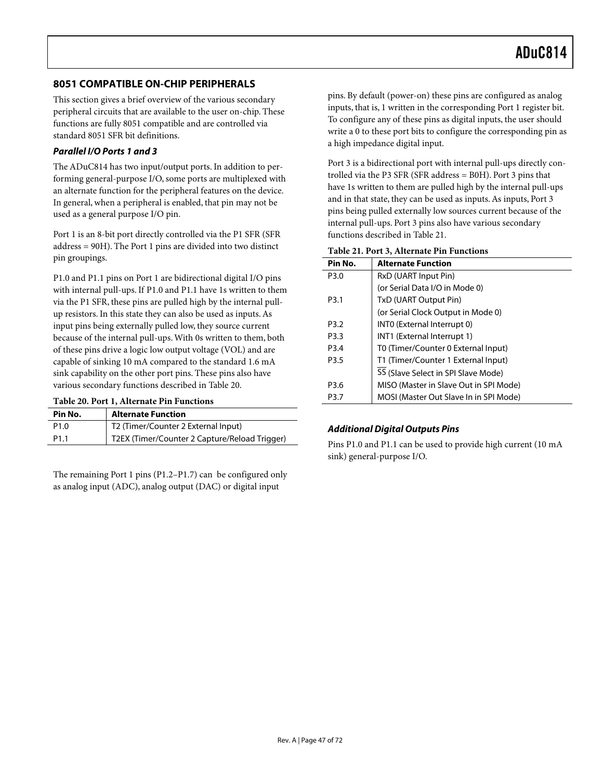## **8051 COMPATIBLE ON-CHIP PERIPHERALS**

This section gives a brief overview of the various secondary peripheral circuits that are available to the user on-chip. These functions are fully 8051 compatible and are controlled via standard 8051 SFR bit definitions.

#### **Parallel I/O Ports 1 and 3**

The ADuC814 has two input/output ports. In addition to performing general-purpose I/O, some ports are multiplexed with an alternate function for the peripheral features on the device. In general, when a peripheral is enabled, that pin may not be used as a general purpose I/O pin.

Port 1 is an 8-bit port directly controlled via the P1 SFR (SFR address = 90H). The Port 1 pins are divided into two distinct pin groupings.

P1.0 and P1.1 pins on Port 1 are bidirectional digital I/O pins with internal pull-ups. If P1.0 and P1.1 have 1s written to them via the P1 SFR, these pins are pulled high by the internal pullup resistors. In this state they can also be used as inputs. As input pins being externally pulled low, they source current because of the internal pull-ups. With 0s written to them, both of these pins drive a logic low output voltage (VOL) and are capable of sinking 10 mA compared to the standard 1.6 mA sink capability on the other port pins. These pins also have various secondary functions described in [Table 20.](#page-46-0)

#### <span id="page-46-0"></span>**Table 20. Port 1, Alternate Pin Functions**

| Pin No.          | <b>Alternate Function</b>                     |
|------------------|-----------------------------------------------|
| P <sub>1.0</sub> | T2 (Timer/Counter 2 External Input)           |
| P <sub>1.1</sub> | T2EX (Timer/Counter 2 Capture/Reload Trigger) |

The remaining Port 1 pins (P1.2–P1.7) can be configured only as analog input (ADC), analog output (DAC) or digital input

pins. By default (power-on) these pins are configured as analog inputs, that is, 1 written in the corresponding Port 1 register bit. To configure any of these pins as digital inputs, the user should write a 0 to these port bits to configure the corresponding pin as a high impedance digital input.

Port 3 is a bidirectional port with internal pull-ups directly controlled via the P3 SFR (SFR address = B0H). Port 3 pins that have 1s written to them are pulled high by the internal pull-ups and in that state, they can be used as inputs. As inputs, Port 3 pins being pulled externally low sources current because of the internal pull-ups. Port 3 pins also have various secondary functions described in [Table 21.](#page-46-1)

| Pin No.          | <b>Alternate Function</b>              |
|------------------|----------------------------------------|
| P3.0             | RxD (UART Input Pin)                   |
|                  | (or Serial Data I/O in Mode 0)         |
| P <sub>3.1</sub> | TxD (UART Output Pin)                  |
|                  | (or Serial Clock Output in Mode 0)     |
| P <sub>3.2</sub> | INTO (External Interrupt 0)            |
| P3.3             | INT1 (External Interrupt 1)            |
| P <sub>3.4</sub> | T0 (Timer/Counter 0 External Input)    |
| P <sub>3.5</sub> | T1 (Timer/Counter 1 External Input)    |
|                  | SS (Slave Select in SPI Slave Mode)    |
| P <sub>3.6</sub> | MISO (Master in Slave Out in SPI Mode) |
| P3.7             | MOSI (Master Out Slave In in SPI Mode) |

#### <span id="page-46-1"></span>**Table 21. Port 3, Alternate Pin Functions**

#### **Additional Digital Outputs Pins**

Pins P1.0 and P1.1 can be used to provide high current (10 mA sink) general-purpose I/O.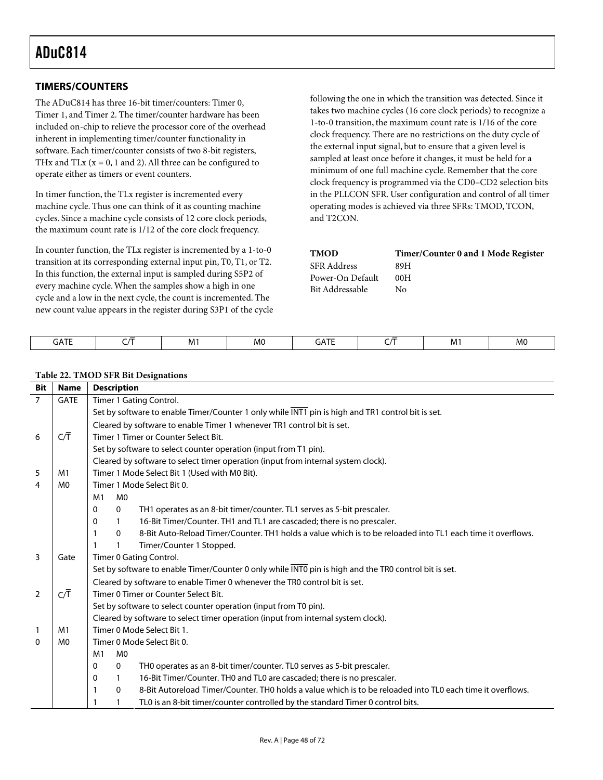## **TIMERS/COUNTERS**

The ADuC814 has three 16-bit timer/counters: Timer 0, Timer 1, and Timer 2. The timer/counter hardware has been included on-chip to relieve the processor core of the overhead inherent in implementing timer/counter functionality in software. Each timer/counter consists of two 8-bit registers, THx and TLx ( $x = 0$ , 1 and 2). All three can be configured to operate either as timers or event counters.

In timer function, the TLx register is incremented every machine cycle. Thus one can think of it as counting machine cycles. Since a machine cycle consists of 12 core clock periods, the maximum count rate is 1/12 of the core clock frequency.

In counter function, the TLx register is incremented by a 1-to-0 transition at its corresponding external input pin, T0, T1, or T2. In this function, the external input is sampled during S5P2 of every machine cycle. When the samples show a high in one cycle and a low in the next cycle, the count is incremented. The new count value appears in the register during S3P1 of the cycle following the one in which the transition was detected. Since it takes two machine cycles (16 core clock periods) to recognize a 1-to-0 transition, the maximum count rate is 1/16 of the core clock frequency. There are no restrictions on the duty cycle of the external input signal, but to ensure that a given level is sampled at least once before it changes, it must be held for a minimum of one full machine cycle. Remember that the core clock frequency is programmed via the CD0–CD2 selection bits in the PLLCON SFR. User configuration and control of all timer operating modes is achieved via three SFRs: TMOD, TCON, and T2CON.

| <b>TMOD</b>      | Timer/Counter 0 and 1 Mode Register |
|------------------|-------------------------------------|
| SFR Address      | 89H                                 |
| Power-On Default | 00H                                 |
| Bit Addressable  | Nο                                  |

| - - --<br>GAIE | M. | M <sub>0</sub> | - - --<br>- 11<br>ᄓᄭᄔ | M1 | M <sub>0</sub> |
|----------------|----|----------------|-----------------------|----|----------------|
|                |    |                |                       |    |                |

#### **Table 22. TMOD SFR Bit Designations**

| <b>Bit</b>     | <b>Name</b>    | <b>Description</b>                                                                                                              |  |  |  |  |
|----------------|----------------|---------------------------------------------------------------------------------------------------------------------------------|--|--|--|--|
| $\overline{7}$ | <b>GATE</b>    | Timer 1 Gating Control.                                                                                                         |  |  |  |  |
|                |                | Set by software to enable Timer/Counter 1 only while INT1 pin is high and TR1 control bit is set.                               |  |  |  |  |
|                |                | Cleared by software to enable Timer 1 whenever TR1 control bit is set.                                                          |  |  |  |  |
| 6              | СĀ             | Timer 1 Timer or Counter Select Bit.                                                                                            |  |  |  |  |
|                |                | Set by software to select counter operation (input from T1 pin).                                                                |  |  |  |  |
|                |                | Cleared by software to select timer operation (input from internal system clock).                                               |  |  |  |  |
| 5              | M1             | Timer 1 Mode Select Bit 1 (Used with M0 Bit).                                                                                   |  |  |  |  |
| 4              | M <sub>0</sub> | Timer 1 Mode Select Bit 0.                                                                                                      |  |  |  |  |
|                |                | M <sub>0</sub><br>M1                                                                                                            |  |  |  |  |
|                |                | TH1 operates as an 8-bit timer/counter. TL1 serves as 5-bit prescaler.<br>$\mathbf 0$<br>0                                      |  |  |  |  |
|                |                | 16-Bit Timer/Counter. TH1 and TL1 are cascaded; there is no prescaler.<br>0<br>1                                                |  |  |  |  |
|                |                | 8-Bit Auto-Reload Timer/Counter. TH1 holds a value which is to be reloaded into TL1 each time it overflows.<br>$\mathbf{0}$     |  |  |  |  |
|                |                | Timer/Counter 1 Stopped.                                                                                                        |  |  |  |  |
| 3              | Gate           | Timer 0 Gating Control.                                                                                                         |  |  |  |  |
|                |                | Set by software to enable Timer/Counter 0 only while INTO pin is high and the TRO control bit is set.                           |  |  |  |  |
|                |                | Cleared by software to enable Timer 0 whenever the TR0 control bit is set.                                                      |  |  |  |  |
| 2              | C/Ī            | Timer 0 Timer or Counter Select Bit.                                                                                            |  |  |  |  |
|                |                | Set by software to select counter operation (input from T0 pin).                                                                |  |  |  |  |
|                |                | Cleared by software to select timer operation (input from internal system clock).                                               |  |  |  |  |
| 1              | M <sub>1</sub> | Timer 0 Mode Select Bit 1.                                                                                                      |  |  |  |  |
| 0              | M <sub>0</sub> | Timer 0 Mode Select Bit 0.                                                                                                      |  |  |  |  |
|                |                | M1<br>M <sub>0</sub>                                                                                                            |  |  |  |  |
|                |                | THO operates as an 8-bit timer/counter. TLO serves as 5-bit prescaler.<br>$\mathbf 0$<br>0                                      |  |  |  |  |
|                |                | 16-Bit Timer/Counter. THO and TLO are cascaded; there is no prescaler.<br>0<br>1                                                |  |  |  |  |
|                |                | 8-Bit Autoreload Timer/Counter. TH0 holds a value which is to be reloaded into TL0 each time it overflows.<br>$\mathbf{0}$<br>1 |  |  |  |  |
|                |                | TL0 is an 8-bit timer/counter controlled by the standard Timer 0 control bits.<br>1                                             |  |  |  |  |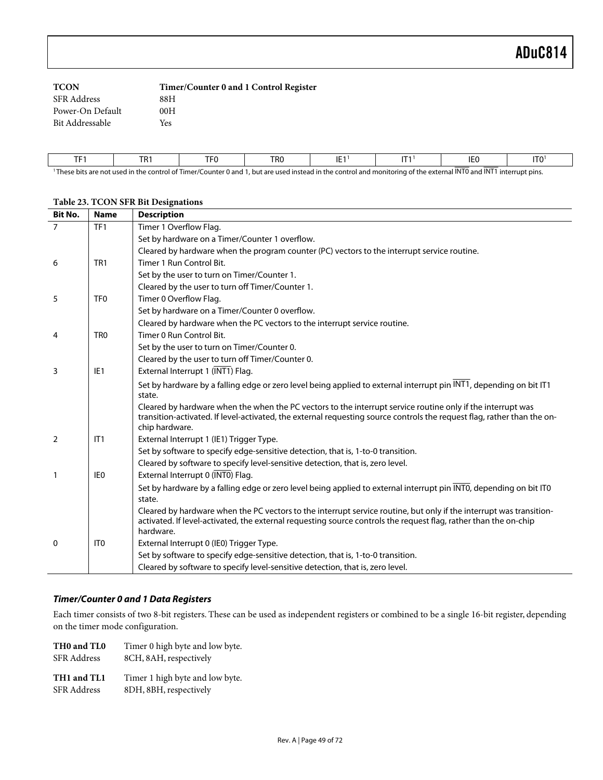| <b>TCON</b>        | Timer/Counter 0 and 1 Control Register |
|--------------------|----------------------------------------|
| <b>SFR</b> Address | 88H                                    |
| Power-On Default   | 00H                                    |
| Bit Addressable    | Yes                                    |
|                    |                                        |

| <b>TEA</b>           | TD:<br>1 N I | TF <sub>0</sub>                        | TR <sub>0</sub> | IE. | $-1$ | IE <sub>0</sub>     | IT <sub>0</sub> |
|----------------------|--------------|----------------------------------------|-----------------|-----|------|---------------------|-----------------|
| $\rightarrow$<br>. . | .            | $\sim$ $-$<br>$\overline{\phantom{a}}$ | .               | .   | . .  | 1.181774<br>. 11170 |                 |

<sup>1</sup>These bits are not used in the control of Timer/Counter 0 and 1, but are used instead in the control and monitoring of the external INT0 and INT1 interrupt pins.

| Bit No. | <b>Name</b>     | <b>Description</b>                                                                                                                                                                                                                                       |
|---------|-----------------|----------------------------------------------------------------------------------------------------------------------------------------------------------------------------------------------------------------------------------------------------------|
| 7       | TF <sub>1</sub> | Timer 1 Overflow Flag.                                                                                                                                                                                                                                   |
|         |                 | Set by hardware on a Timer/Counter 1 overflow.                                                                                                                                                                                                           |
|         |                 | Cleared by hardware when the program counter (PC) vectors to the interrupt service routine.                                                                                                                                                              |
| 6       | TR <sub>1</sub> | Timer 1 Run Control Bit.                                                                                                                                                                                                                                 |
|         |                 | Set by the user to turn on Timer/Counter 1.                                                                                                                                                                                                              |
|         |                 | Cleared by the user to turn off Timer/Counter 1.                                                                                                                                                                                                         |
| 5       | TF <sub>0</sub> | Timer 0 Overflow Flag.                                                                                                                                                                                                                                   |
|         |                 | Set by hardware on a Timer/Counter 0 overflow.                                                                                                                                                                                                           |
|         |                 | Cleared by hardware when the PC vectors to the interrupt service routine.                                                                                                                                                                                |
| 4       | TR <sub>0</sub> | Timer 0 Run Control Bit.                                                                                                                                                                                                                                 |
|         |                 | Set by the user to turn on Timer/Counter 0.                                                                                                                                                                                                              |
|         |                 | Cleared by the user to turn off Timer/Counter 0.                                                                                                                                                                                                         |
| 3       | IE <sub>1</sub> | External Interrupt 1 (INT1) Flag.                                                                                                                                                                                                                        |
|         |                 | Set by hardware by a falling edge or zero level being applied to external interrupt pin INT1, depending on bit IT1<br>state.                                                                                                                             |
|         |                 | Cleared by hardware when the when the PC vectors to the interrupt service routine only if the interrupt was<br>transition-activated. If level-activated, the external requesting source controls the request flag, rather than the on-<br>chip hardware. |
| 2       | IT1             | External Interrupt 1 (IE1) Trigger Type.                                                                                                                                                                                                                 |
|         |                 | Set by software to specify edge-sensitive detection, that is, 1-to-0 transition.                                                                                                                                                                         |
|         |                 | Cleared by software to specify level-sensitive detection, that is, zero level.                                                                                                                                                                           |
| 1       | IE <sub>0</sub> | External Interrupt 0 (INTO) Flag.                                                                                                                                                                                                                        |
|         |                 | Set by hardware by a falling edge or zero level being applied to external interrupt pin INTO, depending on bit ITO                                                                                                                                       |
|         |                 | state.                                                                                                                                                                                                                                                   |
|         |                 | Cleared by hardware when the PC vectors to the interrupt service routine, but only if the interrupt was transition-<br>activated. If level-activated, the external requesting source controls the request flag, rather than the on-chip<br>hardware.     |
| 0       | IT <sub>0</sub> | External Interrupt 0 (IE0) Trigger Type.                                                                                                                                                                                                                 |
|         |                 | Set by software to specify edge-sensitive detection, that is, 1-to-0 transition.                                                                                                                                                                         |
|         |                 | Cleared by software to specify level-sensitive detection, that is, zero level.                                                                                                                                                                           |

## **Table 23. TCON SFR Bit Designations**

#### **Timer/Counter 0 and 1 Data Registers**

Each timer consists of two 8-bit registers. These can be used as independent registers or combined to be a single 16-bit register, depending on the timer mode configuration.

| THO and TLO        | Timer 0 high byte and low byte. |
|--------------------|---------------------------------|
| <b>SFR</b> Address | 8CH, 8AH, respectively          |
| TH1 and TL1        | Timer 1 high byte and low byte. |

SFR Address 8DH, 8BH, respectively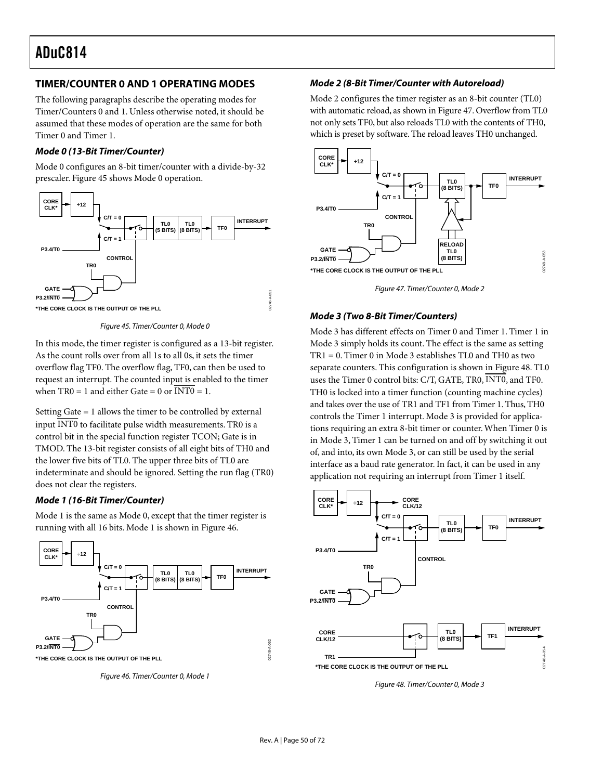### **TIMER/COUNTER 0 AND 1 OPERATING MODES**

The following paragraphs describe the operating modes for Timer/Counters 0 and 1. Unless otherwise noted, it should be assumed that these modes of operation are the same for both Timer 0 and Timer 1.

#### **Mode 0 (13-Bit Timer/Counter)**

Mode 0 configures an 8-bit timer/counter with a divide-by-32 prescaler. [Figure 45 s](#page-49-0)hows Mode 0 operation.

<span id="page-49-0"></span>

Figure 45. Timer/Counter 0, Mode 0

In this mode, the timer register is configured as a 13-bit register. As the count rolls over from all 1s to all 0s, it sets the timer overflow flag TF0. The overflow flag, TF0, can then be used to request an interrupt. The counted input is enabled to the timer when  $TR0 = 1$  and either Gate = 0 or  $\overline{INT0} = 1$ .

Setting Gate = 1 allows the timer to be controlled by external input INT0 to facilitate pulse width measurements. TR0 is a control bit in the special function register TCON; Gate is in TMOD. The 13-bit register consists of all eight bits of TH0 and the lower five bits of TL0. The upper three bits of TL0 are indeterminate and should be ignored. Setting the run flag (TR0) does not clear the registers.

#### **Mode 1 (16-Bit Timer/Counter)**

<span id="page-49-1"></span>Mode 1 is the same as Mode 0, except that the timer register is running with all 16 bits. Mode 1 is shown in [Figure 46.](#page-49-1)



Figure 46. Timer/Counter 0, Mode 1

#### **Mode 2 (8-Bit Timer/Counter with Autoreload)**

Mode 2 configures the timer register as an 8-bit counter (TL0) with automatic reload, as shown in [Figure 47.](#page-49-2) Overflow from TL0 not only sets TF0, but also reloads TL0 with the contents of TH0, which is preset by software. The reload leaves TH0 unchanged.

<span id="page-49-2"></span>

Figure 47. Timer/Counter 0, Mode 2

#### **Mode 3 (Two 8-Bit Timer/Counters)**

Mode 3 has different effects on Timer 0 and Timer 1. Timer 1 in Mode 3 simply holds its count. The effect is the same as setting TR1 = 0. Timer 0 in Mode 3 establishes TL0 and TH0 as two separate counters. This configuration is shown in [Figure 48.](#page-49-3) TL0 uses the Timer 0 control bits: C/T, GATE, TR0, INT0, and TF0. TH0 is locked into a timer function (counting machine cycles) and takes over the use of TR1 and TF1 from Timer 1. Thus, TH0 controls the Timer 1 interrupt. Mode 3 is provided for applications requiring an extra 8-bit timer or counter. When Timer 0 is in Mode 3, Timer 1 can be turned on and off by switching it out of, and into, its own Mode 3, or can still be used by the serial interface as a baud rate generator. In fact, it can be used in any application not requiring an interrupt from Timer 1 itself.

<span id="page-49-3"></span>

Figure 48. Timer/Counter 0, Mode 3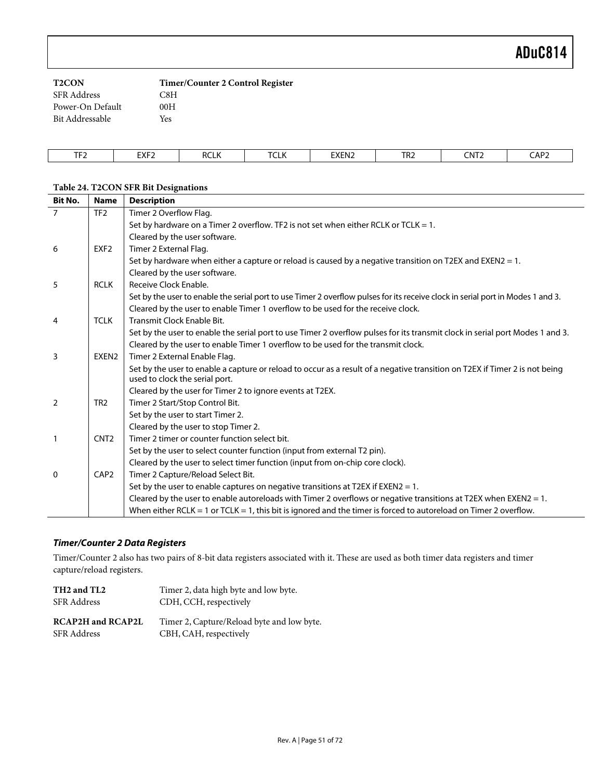| <b>T2CON</b>       | Timer/Counter 2 Control Register |
|--------------------|----------------------------------|
| <b>SFR Address</b> | C8H                              |
| Power-On Default   | 00H                              |
| Bit Addressable    | Yes                              |

| $  -$<br>-<br>. . | <b>CVE3</b><br>ᇊᅎ | RCLN | $\tau$<br>-<br><b>ULN</b> | <b>EXEN2</b> | T22<br>⊾ا ا | าNT′<br><b>JIVIL</b> | CAP2 |
|-------------------|-------------------|------|---------------------------|--------------|-------------|----------------------|------|

#### **Table 24. T2CON SFR Bit Designations**

| <b>Bit No.</b> | <b>Name</b>      | <b>Description</b>                                                                                                                                            |
|----------------|------------------|---------------------------------------------------------------------------------------------------------------------------------------------------------------|
| $\overline{7}$ | TF <sub>2</sub>  | Timer 2 Overflow Flag.                                                                                                                                        |
|                |                  | Set by hardware on a Timer 2 overflow. TF2 is not set when either RCLK or TCLK = 1.                                                                           |
|                |                  | Cleared by the user software.                                                                                                                                 |
| 6              | EXF <sub>2</sub> | Timer 2 External Flag.                                                                                                                                        |
|                |                  | Set by hardware when either a capture or reload is caused by a negative transition on T2EX and EXEN2 = 1.                                                     |
|                |                  | Cleared by the user software.                                                                                                                                 |
| 5              | <b>RCLK</b>      | Receive Clock Enable.                                                                                                                                         |
|                |                  | Set by the user to enable the serial port to use Timer 2 overflow pulses for its receive clock in serial port in Modes 1 and 3.                               |
|                |                  | Cleared by the user to enable Timer 1 overflow to be used for the receive clock.                                                                              |
| 4              | <b>TCLK</b>      | Transmit Clock Enable Bit.                                                                                                                                    |
|                |                  | Set by the user to enable the serial port to use Timer 2 overflow pulses for its transmit clock in serial port Modes 1 and 3.                                 |
|                |                  | Cleared by the user to enable Timer 1 overflow to be used for the transmit clock.                                                                             |
| 3              | EXEN2            | Timer 2 External Enable Flag.                                                                                                                                 |
|                |                  | Set by the user to enable a capture or reload to occur as a result of a negative transition on T2EX if Timer 2 is not being<br>used to clock the serial port. |
|                |                  | Cleared by the user for Timer 2 to ignore events at T2EX.                                                                                                     |
| $\overline{2}$ | TR <sub>2</sub>  | Timer 2 Start/Stop Control Bit.                                                                                                                               |
|                |                  | Set by the user to start Timer 2.                                                                                                                             |
|                |                  | Cleared by the user to stop Timer 2.                                                                                                                          |
| 1              | CNT <sub>2</sub> | Timer 2 timer or counter function select bit.                                                                                                                 |
|                |                  | Set by the user to select counter function (input from external T2 pin).                                                                                      |
|                |                  | Cleared by the user to select timer function (input from on-chip core clock).                                                                                 |
| 0              | CAP <sub>2</sub> | Timer 2 Capture/Reload Select Bit.                                                                                                                            |
|                |                  | Set by the user to enable captures on negative transitions at T2EX if EXEN2 = 1.                                                                              |
|                |                  | Cleared by the user to enable autoreloads with Timer 2 overflows or negative transitions at T2EX when EXEN2 = 1.                                              |
|                |                  | When either RCLK = 1 or TCLK = 1, this bit is ignored and the timer is forced to autoreload on Timer 2 overflow.                                              |

## **Timer/Counter 2 Data Registers**

Timer/Counter 2 also has two pairs of 8-bit data registers associated with it. These are used as both timer data registers and timer capture/reload registers.

| TH <sub>2</sub> and T <sub>L<sub>2</sub></sub> | Timer 2, data high byte and low byte.      |
|------------------------------------------------|--------------------------------------------|
| <b>SFR Address</b>                             | CDH, CCH, respectively                     |
| <b>RCAP2H</b> and <b>RCAP2L</b>                | Timer 2, Capture/Reload byte and low byte. |
| <b>SFR Address</b>                             |                                            |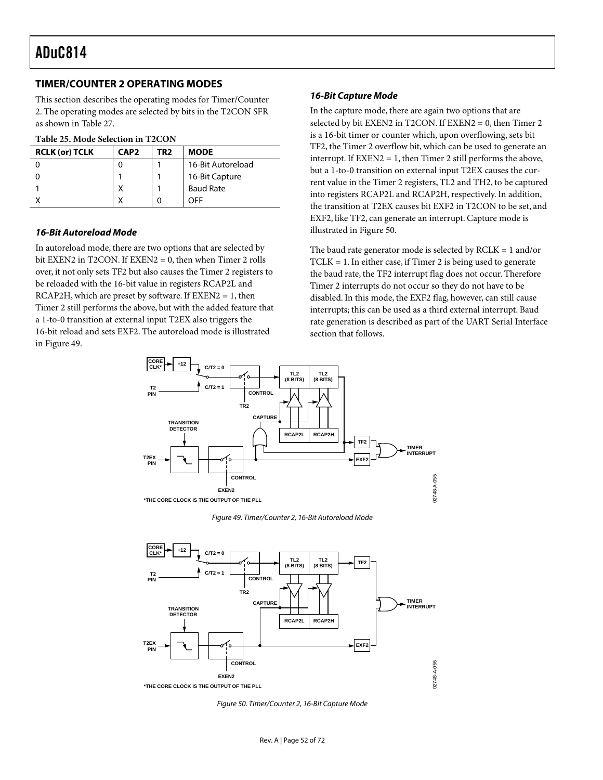### **TIMER/COUNTER 2 OPERATING MODES**

This section describes the operating modes for Timer/Counter 2. The operating modes are selected by bits in the T2CON SFR as shown in [Table 27.](#page-54-0)

#### **Table 25. Mode Selection in T2CON**

| <b>RCLK (or) TCLK</b> | CAP <sub>2</sub> | TR2 | <b>MODE</b>       |
|-----------------------|------------------|-----|-------------------|
|                       |                  |     | 16-Bit Autoreload |
|                       |                  |     | 16-Bit Capture    |
|                       | х                |     | <b>Baud Rate</b>  |
|                       | ν                |     | OFF               |

#### **16-Bit Autoreload Mode**

In autoreload mode, there are two options that are selected by bit EXEN2 in T2CON. If EXEN2 = 0, then when Timer 2 rolls over, it not only sets TF2 but also causes the Timer 2 registers to be reloaded with the 16-bit value in registers RCAP2L and  $RCAP2H$ , which are preset by software. If  $EXEN2 = 1$ , then Timer 2 still performs the above, but with the added feature that a 1-to-0 transition at external input T2EX also triggers the 16-bit reload and sets EXF2. The autoreload mode is illustrated in [Figure 49.](#page-51-0)

#### **16-Bit Capture Mode**

In the capture mode, there are again two options that are selected by bit EXEN2 in T2CON. If EXEN2 = 0, then Timer 2 is a 16-bit timer or counter which, upon overflowing, sets bit TF2, the Timer 2 overflow bit, which can be used to generate an interrupt. If  $EXEN2 = 1$ , then Timer 2 still performs the above, but a 1-to-0 transition on external input T2EX causes the current value in the Timer 2 registers, TL2 and TH2, to be captured into registers RCAP2L and RCAP2H, respectively. In addition, the transition at T2EX causes bit EXF2 in T2CON to be set, and EXF2, like TF2, can generate an interrupt. Capture mode is illustrated in [Figure 50.](#page-51-1)

The baud rate generator mode is selected by  $RCLK = 1$  and/or TCLK = 1. In either case, if Timer 2 is being used to generate the baud rate, the TF2 interrupt flag does not occur. Therefore Timer 2 interrupts do not occur so they do not have to be disabled. In this mode, the EXF2 flag, however, can still cause interrupts; this can be used as a third external interrupt. Baud rate generation is described as part of the UART Serial Interface section that follows.

<span id="page-51-0"></span>

<span id="page-51-1"></span>Figure 49. Timer/Counter 2, 16-Bit Autoreload Mode



Figure 50. Timer/Counter 2, 16-Bit Capture Mode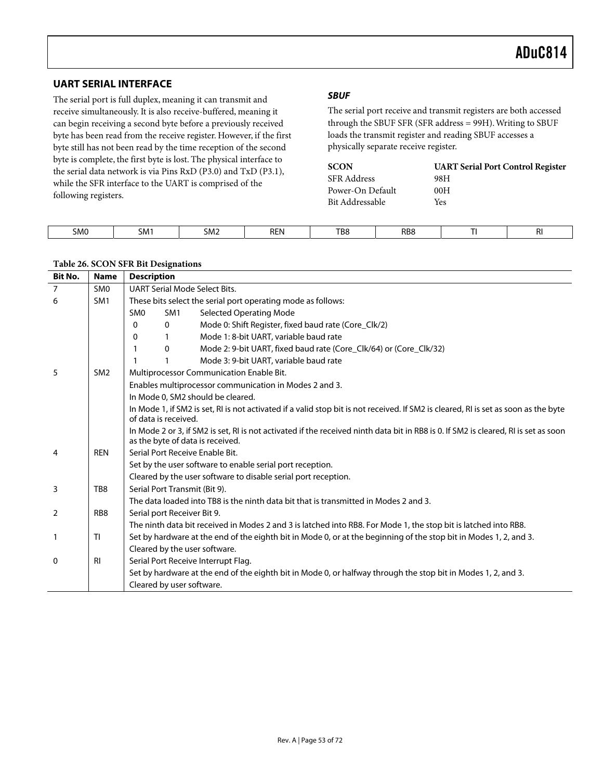## **UART SERIAL INTERFACE**

The serial port is full duplex, meaning it can transmit and receive simultaneously. It is also receive-buffered, meaning it can begin receiving a second byte before a previously received byte has been read from the receive register. However, if the first byte still has not been read by the time reception of the second byte is complete, the first byte is lost. The physical interface to the serial data network is via Pins RxD (P3.0) and TxD (P3.1), while the SFR interface to the UART is comprised of the following registers.

### **SBUF**

The serial port receive and transmit registers are both accessed through the SBUF SFR (SFR address = 99H). Writing to SBUF loads the transmit register and reading SBUF accesses a physically separate receive register.

| <b>SCON</b>        | <b>UART Serial Port Control Register</b> |
|--------------------|------------------------------------------|
| <b>SFR Address</b> | 98H                                      |
| Power-On Default   | 00H                                      |
| Bit Addressable    | Yes                                      |

| <b>REN</b><br>-<br>----<br>SM0<br>TB8<br>RB <sub>8</sub><br><b>SMT</b><br>⊾ו∨וכ<br>$-$ | ΠI. |
|----------------------------------------------------------------------------------------|-----|

#### **Table 26. SCON SFR Bit Designations**

| <b>Bit No.</b> | <b>Name</b>     | <b>Description</b> |                             |                                                                                                                                                                         |
|----------------|-----------------|--------------------|-----------------------------|-------------------------------------------------------------------------------------------------------------------------------------------------------------------------|
| $\overline{7}$ | SM <sub>0</sub> |                    |                             | <b>UART Serial Mode Select Bits.</b>                                                                                                                                    |
| 6              | SM <sub>1</sub> |                    |                             | These bits select the serial port operating mode as follows:                                                                                                            |
|                |                 | SM <sub>0</sub>    | SM <sub>1</sub>             | <b>Selected Operating Mode</b>                                                                                                                                          |
|                |                 | 0                  | $\mathbf 0$                 | Mode 0: Shift Register, fixed baud rate (Core_Clk/2)                                                                                                                    |
|                |                 | 0                  |                             | Mode 1: 8-bit UART, variable baud rate                                                                                                                                  |
|                |                 |                    | $\mathbf 0$                 | Mode 2: 9-bit UART, fixed baud rate (Core_Clk/64) or (Core_Clk/32)                                                                                                      |
|                |                 |                    |                             | Mode 3: 9-bit UART, variable baud rate                                                                                                                                  |
| 5              | SM <sub>2</sub> |                    |                             | Multiprocessor Communication Enable Bit.                                                                                                                                |
|                |                 |                    |                             | Enables multiprocessor communication in Modes 2 and 3.                                                                                                                  |
|                |                 |                    |                             | In Mode 0, SM2 should be cleared.                                                                                                                                       |
|                |                 |                    | of data is received.        | In Mode 1, if SM2 is set, RI is not activated if a valid stop bit is not received. If SM2 is cleared, RI is set as soon as the byte                                     |
|                |                 |                    |                             | In Mode 2 or 3, if SM2 is set, RI is not activated if the received ninth data bit in RB8 is 0. If SM2 is cleared, RI is set as soon<br>as the byte of data is received. |
| 4              | <b>REN</b>      |                    |                             | Serial Port Receive Enable Bit.                                                                                                                                         |
|                |                 |                    |                             | Set by the user software to enable serial port reception.                                                                                                               |
|                |                 |                    |                             | Cleared by the user software to disable serial port reception.                                                                                                          |
| 3              | TB8             |                    |                             | Serial Port Transmit (Bit 9).                                                                                                                                           |
|                |                 |                    |                             | The data loaded into TB8 is the ninth data bit that is transmitted in Modes 2 and 3.                                                                                    |
| 2              | RB <sub>8</sub> |                    | Serial port Receiver Bit 9. |                                                                                                                                                                         |
|                |                 |                    |                             | The ninth data bit received in Modes 2 and 3 is latched into RB8. For Mode 1, the stop bit is latched into RB8.                                                         |
|                | <b>TI</b>       |                    |                             | Set by hardware at the end of the eighth bit in Mode 0, or at the beginning of the stop bit in Modes 1, 2, and 3.                                                       |
|                |                 |                    |                             | Cleared by the user software.                                                                                                                                           |
| 0              | <b>RI</b>       |                    |                             | Serial Port Receive Interrupt Flag.                                                                                                                                     |
|                |                 |                    |                             | Set by hardware at the end of the eighth bit in Mode 0, or halfway through the stop bit in Modes 1, 2, and 3.                                                           |
|                |                 |                    | Cleared by user software.   |                                                                                                                                                                         |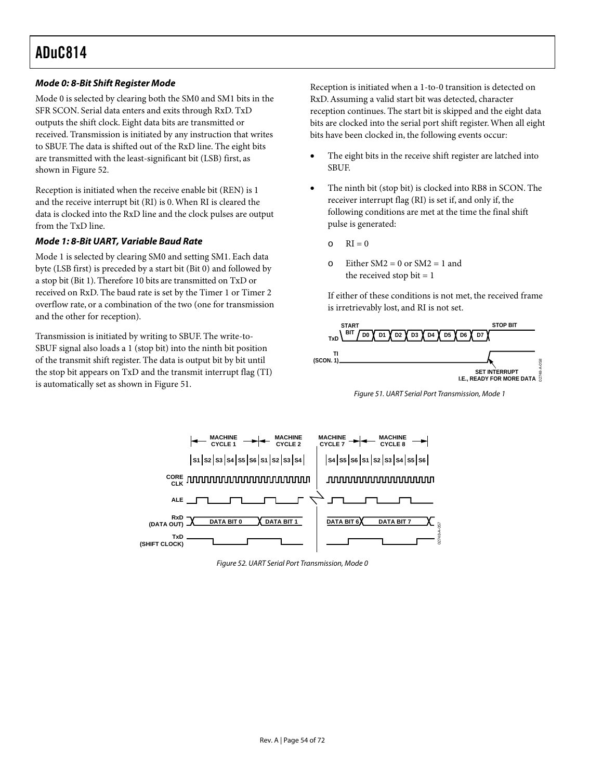### **Mode 0: 8-Bit Shift Register Mode**

Mode 0 is selected by clearing both the SM0 and SM1 bits in the SFR SCON. Serial data enters and exits through RxD. TxD outputs the shift clock. Eight data bits are transmitted or received. Transmission is initiated by any instruction that writes to SBUF. The data is shifted out of the RxD line. The eight bits are transmitted with the least-significant bit (LSB) first, as shown in [Figure 52.](#page-53-0)

Reception is initiated when the receive enable bit (REN) is 1 and the receive interrupt bit (RI) is 0. When RI is cleared the data is clocked into the RxD line and the clock pulses are output from the TxD line.

#### **Mode 1: 8-Bit UART, Variable Baud Rate**

Mode 1 is selected by clearing SM0 and setting SM1. Each data byte (LSB first) is preceded by a start bit (Bit 0) and followed by a stop bit (Bit 1). Therefore 10 bits are transmitted on TxD or received on RxD. The baud rate is set by the Timer 1 or Timer 2 overflow rate, or a combination of the two (one for transmission and the other for reception).

Transmission is initiated by writing to SBUF. The write-to-SBUF signal also loads a 1 (stop bit) into the ninth bit position of the transmit shift register. The data is output bit by bit until the stop bit appears on TxD and the transmit interrupt flag (TI) is automatically set as shown in [Figure 51.](#page-53-1)

Reception is initiated when a 1-to-0 transition is detected on RxD. Assuming a valid start bit was detected, character reception continues. The start bit is skipped and the eight data bits are clocked into the serial port shift register. When all eight bits have been clocked in, the following events occur:

- The eight bits in the receive shift register are latched into SBUF.
- The ninth bit (stop bit) is clocked into RB8 in SCON. The receiver interrupt flag (RI) is set if, and only if, the following conditions are met at the time the final shift pulse is generated:
	- $\circ$  RI = 0
	- $\circ$  Either SM2 = 0 or SM2 = 1 and the received stop bit  $= 1$

<span id="page-53-1"></span>If either of these conditions is not met, the received frame is irretrievably lost, and RI is not set.



Figure 51. UART Serial Port Transmission, Mode 1

<span id="page-53-0"></span>

Figure 52. UART Serial Port Transmission, Mode 0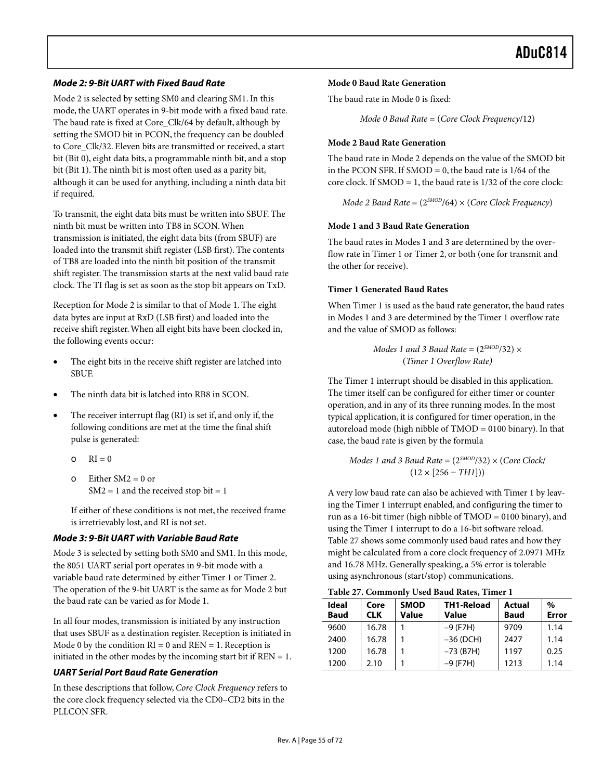#### **Mode 2: 9-Bit UART with Fixed Baud Rate**

Mode 2 is selected by setting SM0 and clearing SM1. In this mode, the UART operates in 9-bit mode with a fixed baud rate. The baud rate is fixed at Core\_Clk/64 by default, although by setting the SMOD bit in PCON, the frequency can be doubled to Core\_Clk/32. Eleven bits are transmitted or received, a start bit (Bit 0), eight data bits, a programmable ninth bit, and a stop bit (Bit 1). The ninth bit is most often used as a parity bit, although it can be used for anything, including a ninth data bit if required.

To transmit, the eight data bits must be written into SBUF. The ninth bit must be written into TB8 in SCON. When transmission is initiated, the eight data bits (from SBUF) are loaded into the transmit shift register (LSB first). The contents of TB8 are loaded into the ninth bit position of the transmit shift register. The transmission starts at the next valid baud rate clock. The TI flag is set as soon as the stop bit appears on TxD.

Reception for Mode 2 is similar to that of Mode 1. The eight data bytes are input at RxD (LSB first) and loaded into the receive shift register. When all eight bits have been clocked in, the following events occur:

- The eight bits in the receive shift register are latched into SBUF.
- The ninth data bit is latched into RB8 in SCON.
- The receiver interrupt flag (RI) is set if, and only if, the following conditions are met at the time the final shift pulse is generated:
	- $\Omega$  RI = 0
	- $\circ$  Either SM2 = 0 or  $SM2 = 1$  and the received stop bit = 1

If either of these conditions is not met, the received frame is irretrievably lost, and RI is not set.

#### **Mode 3: 9-Bit UART with Variable Baud Rate**

Mode 3 is selected by setting both SM0 and SM1. In this mode, the 8051 UART serial port operates in 9-bit mode with a variable baud rate determined by either Timer 1 or Timer 2. The operation of the 9-bit UART is the same as for Mode 2 but the baud rate can be varied as for Mode 1.

In all four modes, transmission is initiated by any instruction that uses SBUF as a destination register. Reception is initiated in Mode 0 by the condition  $RI = 0$  and  $REN = 1$ . Reception is initiated in the other modes by the incoming start bit if  $REN = 1$ .

#### **UART Serial Port Baud Rate Generation**

In these descriptions that follow, *Core Clock Frequency* refers to the core clock frequency selected via the CD0–CD2 bits in the PLLCON SFR.

#### **Mode 0 Baud Rate Generation**

The baud rate in Mode 0 is fixed:

*Mode 0 Baud Rate* = (*Core Clock Frequency*/12)

#### **Mode 2 Baud Rate Generation**

The baud rate in Mode 2 depends on the value of the SMOD bit in the PCON SFR. If  $SMOD = 0$ , the baud rate is  $1/64$  of the core clock. If SMOD = 1, the baud rate is 1/32 of the core clock:

*Mode 2 Baud Rate* = (2*SMOD*/64) × (*Core Clock Frequency*)

#### **Mode 1 and 3 Baud Rate Generation**

The baud rates in Modes 1 and 3 are determined by the overflow rate in Timer 1 or Timer 2, or both (one for transmit and the other for receive).

#### **Timer 1 Generated Baud Rates**

When Timer 1 is used as the baud rate generator, the baud rates in Modes 1 and 3 are determined by the Timer 1 overflow rate and the value of SMOD as follows:

> *Modes 1 and 3 Baud Rate* =  $(2^{SMOD}/32) \times$ (*Timer 1 Overflow Rate)*

The Timer 1 interrupt should be disabled in this application. The timer itself can be configured for either timer or counter operation, and in any of its three running modes. In the most typical application, it is configured for timer operation, in the autoreload mode (high nibble of TMOD = 0100 binary). In that case, the baud rate is given by the formula

#### *Modes 1 and 3 Baud Rate* = (2*SMOD*/32) × (*Core Clock*/  $(12 \times [256 - TH1]))$

A very low baud rate can also be achieved with Timer 1 by leaving the Timer 1 interrupt enabled, and configuring the timer to run as a 16-bit timer (high nibble of TMOD = 0100 binary), and using the Timer 1 interrupt to do a 16-bit software reload. [Table 27 s](#page-54-0)hows some commonly used baud rates and how they might be calculated from a core clock frequency of 2.0971 MHz and 16.78 MHz. Generally speaking, a 5% error is tolerable using asynchronous (start/stop) communications.

<span id="page-54-0"></span>**Table 27. Commonly Used Baud Rates, Timer 1** 

| Ideal<br><b>Baud</b> | Core<br><b>CLK</b> | <b>SMOD</b><br>Value | TH1-Reload<br>Value | Actual<br><b>Baud</b> | %<br>Error |
|----------------------|--------------------|----------------------|---------------------|-----------------------|------------|
| 9600                 | 16.78              |                      | $-9$ (F7H)          | 9709                  | 1.14       |
| 2400                 | 16.78              |                      | $-36$ (DCH)         | 2427                  | 1.14       |
| 1200                 | 16.78              |                      | $-73$ (B7H)         | 1197                  | 0.25       |
| 1200                 | 2.10               |                      | $-9$ (F7H)          | 1213                  | 1.14       |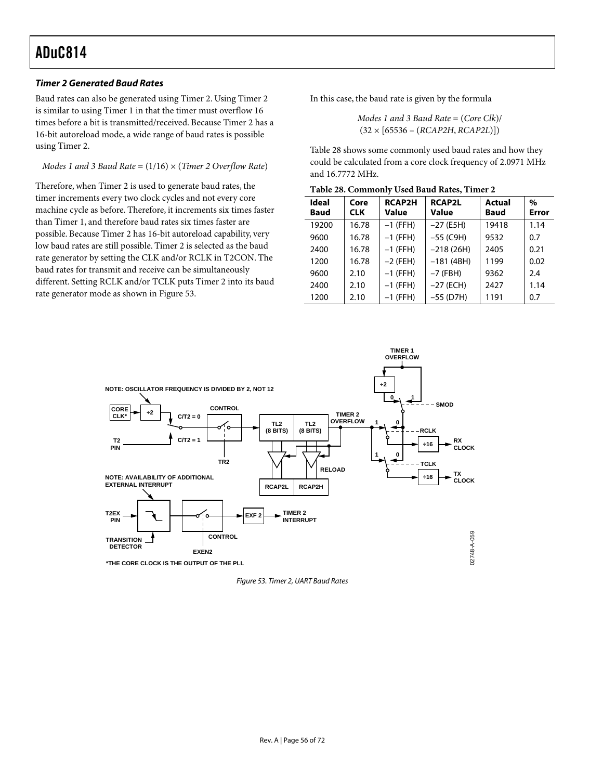#### **Timer 2 Generated Baud Rates**

Baud rates can also be generated using Timer 2. Using Timer 2 is similar to using Timer 1 in that the timer must overflow 16 times before a bit is transmitted/received. Because Timer 2 has a 16-bit autoreload mode, a wide range of baud rates is possible using Timer 2.

#### *Modes 1 and 3 Baud Rate* = (1/16) × (*Timer 2 Overflow Rate*)

Therefore, when Timer 2 is used to generate baud rates, the timer increments every two clock cycles and not every core machine cycle as before. Therefore, it increments six times faster than Timer 1, and therefore baud rates six times faster are possible. Because Timer 2 has 16-bit autoreload capability, very low baud rates are still possible. Timer 2 is selected as the baud rate generator by setting the CLK and/or RCLK in T2CON. The baud rates for transmit and receive can be simultaneously different. Setting RCLK and/or TCLK puts Timer 2 into its baud rate generator mode as shown in [Figure 53.](#page-55-0)

In this case, the baud rate is given by the formula

*Modes 1 and 3 Baud Rate* = (*Core Clk*)/ (32 × [65536 – (*RCAP2H*, *RCAP2L*)])

[Table 28 s](#page-55-1)hows some commonly used baud rates and how they could be calculated from a core clock frequency of 2.0971 MHz and 16.7772 MHz.

| Ideal<br><b>Baud</b> | Core<br><b>CLK</b> | <b>RCAP2H</b><br>Value | <b>RCAP2L</b><br>Value | Actual<br><b>Baud</b> | $\%$<br><b>Error</b> |
|----------------------|--------------------|------------------------|------------------------|-----------------------|----------------------|
| 19200                | 16.78              | $-1$ (FFH)             | $-27$ (E5H)            | 19418                 | 1.14                 |
| 9600                 | 16.78              | $-1$ (FFH)             | $-55$ (C9H)            | 9532                  | 0.7                  |
| 2400                 | 16.78              | $-1$ (FFH)             | $-218(26H)$            | 2405                  | 0.21                 |
| 1200                 | 16.78              | $-2$ (FEH)             | $-181(4BH)$            | 1199                  | 0.02                 |
| 9600                 | 2.10               | $-1$ (FFH)             | $-7$ (FBH)             | 9362                  | 2.4                  |
| 2400                 | 2.10               | $-1$ (FFH)             | $-27$ (ECH)            | 2427                  | 1.14                 |
| 1200                 | 2.10               | $-1$ (FFH)             | $-55$ (D7H)            | 1191                  | 0.7                  |

<span id="page-55-1"></span>**Table 28. Commonly Used Baud Rates, Timer 2** 

**TIMER 1**

<span id="page-55-0"></span>

Figure 53. Timer 2, UART Baud Rates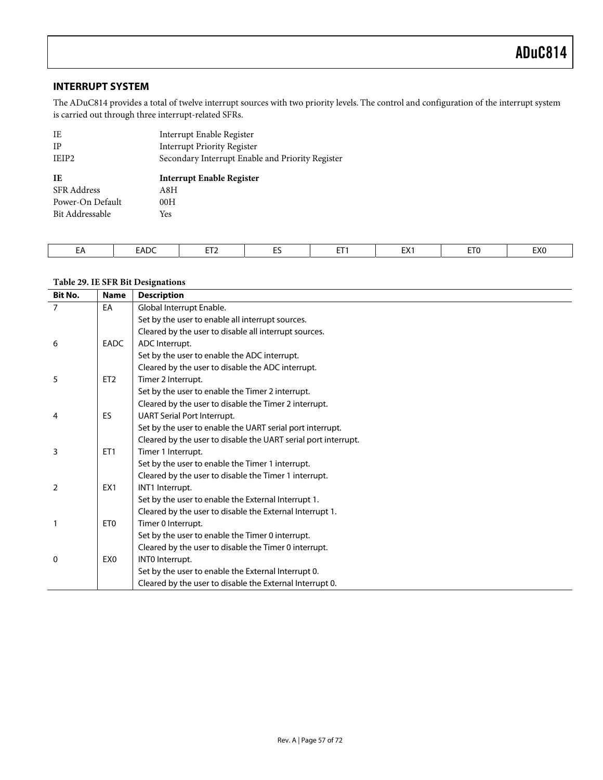### **INTERRUPT SYSTEM**

The ADuC814 provides a total of twelve interrupt sources with two priority levels. The control and configuration of the interrupt system is carried out through three interrupt-related SFRs.

| IE                 | Interrupt Enable Register                        |
|--------------------|--------------------------------------------------|
| IΡ                 | Interrupt Priority Register                      |
| IEIP <sub>2</sub>  | Secondary Interrupt Enable and Priority Register |
|                    |                                                  |
| IE                 | <b>Interrupt Enable Register</b>                 |
| <b>SFR</b> Address | A8H                                              |
| Power-On Default   | 00H                                              |

| <b>EADC</b><br>$-$<br>- -<br><b>ETC</b><br>--<br>EXC<br>$T_{\rm M}$<br>$- -$<br>- ^<br><b>LA.</b><br>--<br>-- |  |
|---------------------------------------------------------------------------------------------------------------|--|
|---------------------------------------------------------------------------------------------------------------|--|

### **Table 29. IE SFR Bit Designations**

| <b>Bit No.</b> | <b>Name</b>     | <b>Description</b>                                             |
|----------------|-----------------|----------------------------------------------------------------|
| 7              | EA              | Global Interrupt Enable.                                       |
|                |                 | Set by the user to enable all interrupt sources.               |
|                |                 | Cleared by the user to disable all interrupt sources.          |
| 6              | <b>EADC</b>     | ADC Interrupt.                                                 |
|                |                 | Set by the user to enable the ADC interrupt.                   |
|                |                 | Cleared by the user to disable the ADC interrupt.              |
| 5              | ET <sub>2</sub> | Timer 2 Interrupt.                                             |
|                |                 | Set by the user to enable the Timer 2 interrupt.               |
|                |                 | Cleared by the user to disable the Timer 2 interrupt.          |
| 4              | ES              | <b>UART Serial Port Interrupt.</b>                             |
|                |                 | Set by the user to enable the UART serial port interrupt.      |
|                |                 | Cleared by the user to disable the UART serial port interrupt. |
| 3              | ET <sub>1</sub> | Timer 1 Interrupt.                                             |
|                |                 | Set by the user to enable the Timer 1 interrupt.               |
|                |                 | Cleared by the user to disable the Timer 1 interrupt.          |
| $\overline{2}$ | EX <sub>1</sub> | INT1 Interrupt.                                                |
|                |                 | Set by the user to enable the External Interrupt 1.            |
|                |                 | Cleared by the user to disable the External Interrupt 1.       |
| 1              | ET <sub>0</sub> | Timer 0 Interrupt.                                             |
|                |                 | Set by the user to enable the Timer 0 interrupt.               |
|                |                 | Cleared by the user to disable the Timer 0 interrupt.          |
| 0              | EX <sub>0</sub> | INTO Interrupt.                                                |
|                |                 | Set by the user to enable the External Interrupt 0.            |
|                |                 | Cleared by the user to disable the External Interrupt 0.       |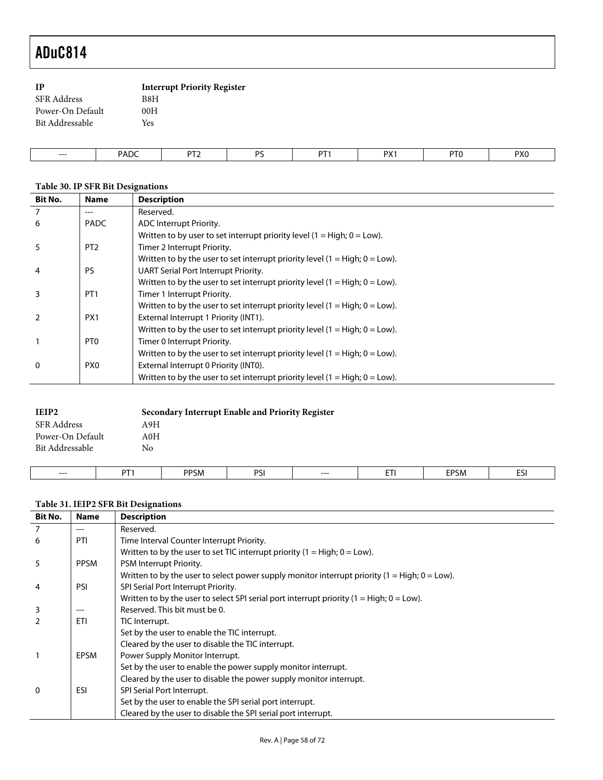| <b>IP</b>          | <b>Interrupt Priority Register</b> |
|--------------------|------------------------------------|
| <b>SFR</b> Address | B8H                                |
| Power-On Default   | 00H                                |
| Bit Addressable    | Yes                                |
|                    |                                    |

| --- | <b>FADY</b> | $- -$ | D.C | $-$ | nv.<br>$\cdots$ | DT0 | PX0 |
|-----|-------------|-------|-----|-----|-----------------|-----|-----|
|     |             |       |     |     |                 |     |     |

## **Table 30. IP SFR Bit Designations**

| <b>Bit No.</b> | <b>Name</b>     | <b>Description</b>                                                             |
|----------------|-----------------|--------------------------------------------------------------------------------|
| $\overline{7}$ | $---$           | Reserved.                                                                      |
| 6              | <b>PADC</b>     | ADC Interrupt Priority.                                                        |
|                |                 | Written to by user to set interrupt priority level $(1 = High; 0 = Low)$ .     |
| 5              | PT <sub>2</sub> | Timer 2 Interrupt Priority.                                                    |
|                |                 | Written to by the user to set interrupt priority level $(1 = High; 0 = Low)$ . |
| 4              | PS              | UART Serial Port Interrupt Priority.                                           |
|                |                 | Written to by the user to set interrupt priority level $(1 = High; 0 = Low)$ . |
| 3              | PT <sub>1</sub> | Timer 1 Interrupt Priority.                                                    |
|                |                 | Written to by the user to set interrupt priority level $(1 = High; 0 = Low)$ . |
|                | PX1             | External Interrupt 1 Priority (INT1).                                          |
|                |                 | Written to by the user to set interrupt priority level $(1 = High; 0 = Low)$ . |
|                | PT <sub>0</sub> | Timer 0 Interrupt Priority.                                                    |
|                |                 | Written to by the user to set interrupt priority level $(1 = High; 0 = Low)$ . |
| $\mathbf{0}$   | PX <sub>0</sub> | External Interrupt 0 Priority (INT0).                                          |
|                |                 | Written to by the user to set interrupt priority level $(1 = High; 0 = Low)$ . |

| SFR Address<br>A9H      |
|-------------------------|
|                         |
| Power-On Default<br>A0H |
| Bit Addressable<br>No   |

| --- | $-$ | <b>PPSM</b> | DCI<br>ັ | --- | --<br>. | EDCM<br>SN.<br>- | $ -$<br>되 |
|-----|-----|-------------|----------|-----|---------|------------------|-----------|
|     |     |             |          |     |         |                  |           |

## **Table 31. IEIP2 SFR Bit Designations**

 $\overline{\phantom{a}}$ 

| <b>Bit No.</b> | <b>Name</b> | <b>Description</b>                                                                               |
|----------------|-------------|--------------------------------------------------------------------------------------------------|
|                |             | Reserved.                                                                                        |
| 6              | PTI         | Time Interval Counter Interrupt Priority.                                                        |
|                |             | Written to by the user to set TIC interrupt priority $(1 = High; 0 = Low)$ .                     |
| 5              | <b>PPSM</b> | PSM Interrupt Priority.                                                                          |
|                |             | Written to by the user to select power supply monitor interrupt priority $(1 = High; 0 = Low)$ . |
| 4              | <b>PSI</b>  | SPI Serial Port Interrupt Priority.                                                              |
|                |             | Written to by the user to select SPI serial port interrupt priority $(1 = High; 0 = Low)$ .      |
| 3              |             | Reserved. This bit must be 0.                                                                    |
| $\mathcal{P}$  | <b>ETI</b>  | TIC Interrupt.                                                                                   |
|                |             | Set by the user to enable the TIC interrupt.                                                     |
|                |             | Cleared by the user to disable the TIC interrupt.                                                |
|                | <b>EPSM</b> | Power Supply Monitor Interrupt.                                                                  |
|                |             | Set by the user to enable the power supply monitor interrupt.                                    |
|                |             | Cleared by the user to disable the power supply monitor interrupt.                               |
| $\Omega$       | ESI         | SPI Serial Port Interrupt.                                                                       |
|                |             | Set by the user to enable the SPI serial port interrupt.                                         |
|                |             | Cleared by the user to disable the SPI serial port interrupt.                                    |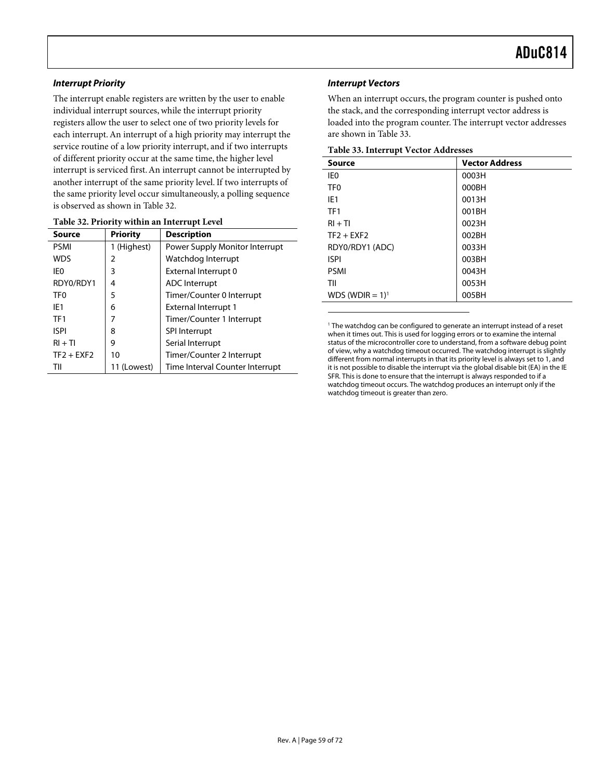#### **Interrupt Priority**

The interrupt enable registers are written by the user to enable individual interrupt sources, while the interrupt priority registers allow the user to select one of two priority levels for each interrupt. An interrupt of a high priority may interrupt the service routine of a low priority interrupt, and if two interrupts of different priority occur at the same time, the higher level interrupt is serviced first. An interrupt cannot be interrupted by another interrupt of the same priority level. If two interrupts of the same priority level occur simultaneously, a polling sequence is observed as shown in [Table 32.](#page-58-1)

| <b>Source</b>   | <b>Priority</b> | <b>Description</b>              |
|-----------------|-----------------|---------------------------------|
| <b>PSMI</b>     | 1 (Highest)     | Power Supply Monitor Interrupt  |
| <b>WDS</b>      | 2               | Watchdog Interrupt              |
| IE0             | 3               | External Interrupt 0            |
| RDY0/RDY1       | 4               | <b>ADC</b> Interrupt            |
| TF <sub>0</sub> | 5               | Timer/Counter 0 Interrupt       |
| IE <sub>1</sub> | 6               | <b>External Interrupt 1</b>     |
| TF1             | 7               | Timer/Counter 1 Interrupt       |
| <b>ISPI</b>     | 8               | <b>SPI Interrupt</b>            |
| $RI + TI$       | 9               | Serial Interrupt                |
| $TF2 + EXF2$    | 10              | Timer/Counter 2 Interrupt       |
| TII             | 11 (Lowest)     | Time Interval Counter Interrupt |

#### <span id="page-58-1"></span>**Table 32. Priority within an Interrupt Level**

#### **Interrupt Vectors**

 $\overline{a}$ 

When an interrupt occurs, the program counter is pushed onto the stack, and the corresponding interrupt vector address is loaded into the program counter. The interrupt vector addresses are shown in [Table 33.](#page-58-0)

<span id="page-58-0"></span>**Table 33. Interrupt Vector Addresses** 

| ∵ ∎<br><b>Source</b>           | <b>Vector Address</b> |
|--------------------------------|-----------------------|
| IE <sub>0</sub>                | 0003H                 |
| TF <sub>0</sub>                | 000BH                 |
| IE <sub>1</sub>                | 0013H                 |
| TF <sub>1</sub>                | 001BH                 |
| $RI + TI$                      | 0023H                 |
| $TF2 + EXF2$                   | 002BH                 |
| RDY0/RDY1 (ADC)                | 0033H                 |
| <b>ISPI</b>                    | 003BH                 |
| <b>PSMI</b>                    | 0043H                 |
| TII                            | 0053H                 |
| WDS (WDIR = $1$ ) <sup>1</sup> | 005BH                 |

<sup>1</sup> The watchdog can be configured to generate an interrupt instead of a reset when it times out. This is used for logging errors or to examine the internal status of the microcontroller core to understand, from a software debug point of view, why a watchdog timeout occurred. The watchdog interrupt is slightly different from normal interrupts in that its priority level is always set to 1, and it is not possible to disable the interrupt via the global disable bit (EA) in the IE SFR. This is done to ensure that the interrupt is always responded to if a watchdog timeout occurs. The watchdog produces an interrupt only if the watchdog timeout is greater than zero.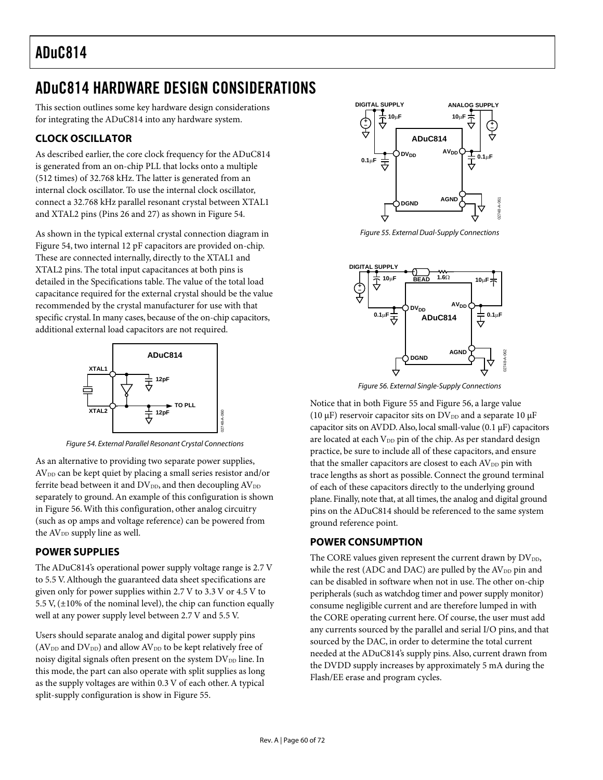## ADuC814 HARDWARE DESIGN CONSIDERATIONS

This section outlines some key hardware design considerations for integrating the ADuC814 into any hardware system.

## **CLOCK OSCILLATOR**

As described earlier, the core clock frequency for the ADuC814 is generated from an on-chip PLL that locks onto a multiple (512 times) of 32.768 kHz. The latter is generated from an internal clock oscillator. To use the internal clock oscillator, connect a 32.768 kHz parallel resonant crystal between XTAL1 and XTAL2 pins (Pins 26 and 27) as shown in [Figure 54.](#page-59-0) 

As shown in the typical external crystal connection diagram in [Figure 54,](#page-59-0) two internal 12 pF capacitors are provided on-chip. These are connected internally, directly to the XTAL1 and XTAL2 pins. The total input capacitances at both pins is detailed in the Specifications table. The value of the total load capacitance required for the external crystal should be the value recommended by the crystal manufacturer for use with that specific crystal. In many cases, because of the on-chip capacitors, additional external load capacitors are not required.

<span id="page-59-0"></span>

Figure 54. External Parallel Resonant Crystal Connections

As an alternative to providing two separate power supplies,  $AV<sub>DD</sub>$  can be kept quiet by placing a small series resistor and/or ferrite bead between it and  $DV_{DD}$ , and then decoupling  $AV_{DD}$ separately to ground. An example of this configuration is shown in [Figure 56.](#page-59-1) With this configuration, other analog circuitry (such as op amps and voltage reference) can be powered from the  $AV<sub>DD</sub>$  supply line as well.

## **POWER SUPPLIES**

The ADuC814's operational power supply voltage range is 2.7 V to 5.5 V. Although the guaranteed data sheet specifications are given only for power supplies within 2.7 V to 3.3 V or 4.5 V to 5.5 V,  $(\pm 10\%$  of the nominal level), the chip can function equally well at any power supply level between 2.7 V and 5.5 V.

Users should separate analog and digital power supply pins  $(AV<sub>DD</sub> and DV<sub>DD</sub>)$  and allow  $AV<sub>DD</sub>$  to be kept relatively free of noisy digital signals often present on the system DV<sub>DD</sub> line. In this mode, the part can also operate with split supplies as long as the supply voltages are within 0.3 V of each other. A typical split-supply configuration is show in [Figure 55.](#page-59-2)

<span id="page-59-2"></span>

Figure 55. External Dual-Supply Connections

<span id="page-59-1"></span>

Figure 56. External Single-Supply Connections

Notice that in both [Figure 55 a](#page-59-2)nd [Figure 56,](#page-59-1) a large value (10  $\mu$ F) reservoir capacitor sits on DV<sub>DD</sub> and a separate 10  $\mu$ F capacitor sits on AVDD. Also, local small-value  $(0.1 \,\mu\text{F})$  capacitors are located at each  $V_{DD}$  pin of the chip. As per standard design practice, be sure to include all of these capacitors, and ensure that the smaller capacitors are closest to each  $AV<sub>DD</sub>$  pin with trace lengths as short as possible. Connect the ground terminal of each of these capacitors directly to the underlying ground plane. Finally, note that, at all times, the analog and digital ground pins on the ADuC814 should be referenced to the same system ground reference point.

## **POWER CONSUMPTION**

The CORE values given represent the current drawn by DVDD, while the rest (ADC and DAC) are pulled by the  $AV<sub>DD</sub>$  pin and can be disabled in software when not in use. The other on-chip peripherals (such as watchdog timer and power supply monitor) consume negligible current and are therefore lumped in with the CORE operating current here. Of course, the user must add any currents sourced by the parallel and serial I/O pins, and that sourced by the DAC, in order to determine the total current needed at the ADuC814's supply pins. Also, current drawn from the DVDD supply increases by approximately 5 mA during the Flash/EE erase and program cycles.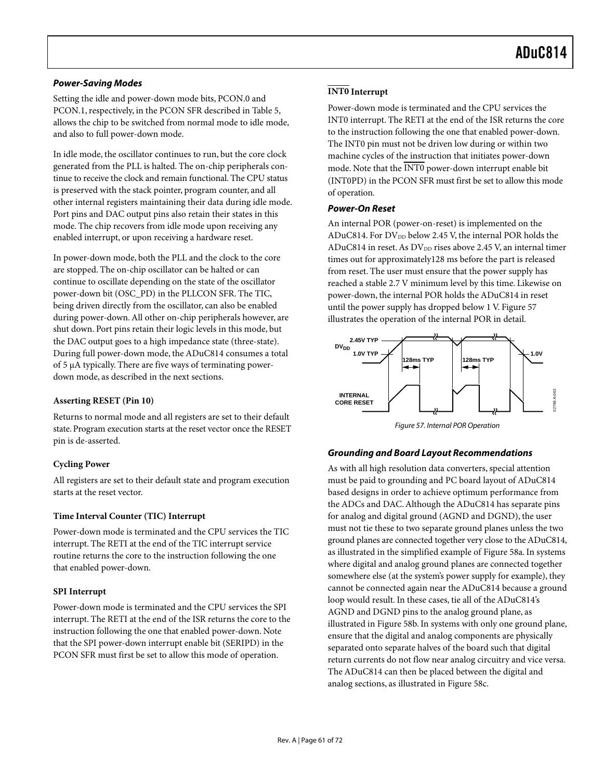#### **Power-Saving Modes**

Setting the idle and power-down mode bits, PCON.0 and PCON.1, respectively, in the PCON SFR described in [Table 5,](#page-18-0)  allows the chip to be switched from normal mode to idle mode, and also to full power-down mode.

In idle mode, the oscillator continues to run, but the core clock generated from the PLL is halted. The on-chip peripherals continue to receive the clock and remain functional. The CPU status is preserved with the stack pointer, program counter, and all other internal registers maintaining their data during idle mode. Port pins and DAC output pins also retain their states in this mode. The chip recovers from idle mode upon receiving any enabled interrupt, or upon receiving a hardware reset.

In power-down mode, both the PLL and the clock to the core are stopped. The on-chip oscillator can be halted or can continue to oscillate depending on the state of the oscillator power-down bit (OSC\_PD) in the PLLCON SFR. The TIC, being driven directly from the oscillator, can also be enabled during power-down. All other on-chip peripherals however, are shut down. Port pins retain their logic levels in this mode, but the DAC output goes to a high impedance state (three-state). During full power-down mode, the ADuC814 consumes a total of 5 µA typically. There are five ways of terminating powerdown mode, as described in the next sections.

#### **Asserting RESET (Pin 10)**

Returns to normal mode and all registers are set to their default state. Program execution starts at the reset vector once the RESET pin is de-asserted.

#### **Cycling Power**

All registers are set to their default state and program execution starts at the reset vector.

#### **Time Interval Counter (TIC) Interrupt**

Power-down mode is terminated and the CPU services the TIC interrupt. The RETI at the end of the TIC interrupt service routine returns the core to the instruction following the one that enabled power-down.

#### **SPI Interrupt**

Power-down mode is terminated and the CPU services the SPI interrupt. The RETI at the end of the ISR returns the core to the instruction following the one that enabled power-down. Note that the SPI power-down interrupt enable bit (SERIPD) in the PCON SFR must first be set to allow this mode of operation.

## **INT0 Interrupt**

Power-down mode is terminated and the CPU services the INT0 interrupt. The RETI at the end of the ISR returns the core to the instruction following the one that enabled power-down. The INT0 pin must not be driven low during or within two machine cycles of the instruction that initiates power-down mode. Note that the INT0 power-down interrupt enable bit (INT0PD) in the PCON SFR must first be set to allow this mode of operation.

#### **Power-On Reset**

An internal POR (power-on-reset) is implemented on the ADuC814. For  $DV_{DD}$  below 2.45 V, the internal POR holds the ADuC814 in reset. As  $\rm{DV_{\textrm{DD}}}$  rises above 2.45 V, an internal timer times out for approximately128 ms before the part is released from reset. The user must ensure that the power supply has reached a stable 2.7 V minimum level by this time. Likewise on power-down, the internal POR holds the ADuC814 in reset until the power supply has dropped below 1 V. [Figure 57](#page-60-0)  illustrates the operation of the internal POR in detail.

<span id="page-60-0"></span>

Figure 57. Internal POR Operation

#### **Grounding and Board Layout Recommendations**

As with all high resolution data converters, special attention must be paid to grounding and PC board layout of ADuC814 based designs in order to achieve optimum performance from the ADCs and DAC. Although the ADuC814 has separate pins for analog and digital ground (AGND and DGND), the user must not tie these to two separate ground planes unless the two ground planes are connected together very close to the ADuC814, as illustrated in the simplified example of [Figure 58a](#page-61-0). In systems where digital and analog ground planes are connected together somewhere else (at the system's power supply for example), they cannot be connected again near the ADuC814 because a ground loop would result. In these cases, tie all of the ADuC814's AGND and DGND pins to the analog ground plane, as illustrated in [Figure 58b](#page-61-0). In systems with only one ground plane, ensure that the digital and analog components are physically separated onto separate halves of the board such that digital return currents do not flow near analog circuitry and vice versa. The ADuC814 can then be placed between the digital and analog sections, as illustrated in [Figure 58c](#page-61-0).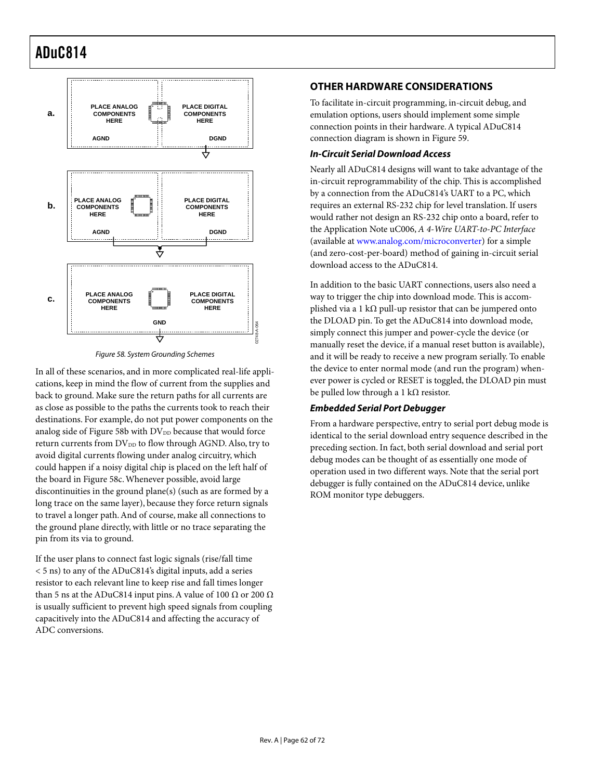<span id="page-61-0"></span>

Figure 58. System Grounding Schemes

In all of these scenarios, and in more complicated real-life applications, keep in mind the flow of current from the supplies and back to ground. Make sure the return paths for all currents are as close as possible to the paths the currents took to reach their destinations. For example, do not put power components on the analog side of [Figure 58b](#page-61-0) with  $DV_{DD}$  because that would force return currents from  $DV_{DD}$  to flow through AGND. Also, try to avoid digital currents flowing under analog circuitry, which could happen if a noisy digital chip is placed on the left half of the board in [Figure 58c](#page-61-0). Whenever possible, avoid large discontinuities in the ground plane(s) (such as are formed by a long trace on the same layer), because they force return signals to travel a longer path. And of course, make all connections to the ground plane directly, with little or no trace separating the pin from its via to ground.

If the user plans to connect fast logic signals (rise/fall time < 5 ns) to any of the ADuC814's digital inputs, add a series resistor to each relevant line to keep rise and fall times longer than 5 ns at the ADuC814 input pins. A value of 100  $\Omega$  or 200  $\Omega$ is usually sufficient to prevent high speed signals from coupling capacitively into the ADuC814 and affecting the accuracy of ADC conversions.

## **OTHER HARDWARE CONSIDERATIONS**

To facilitate in-circuit programming, in-circuit debug, and emulation options, users should implement some simple connection points in their hardware. A typical ADuC814 connection diagram is shown in [Figure 59.](#page-62-0)

#### **In-Circuit Serial Download Access**

Nearly all ADuC814 designs will want to take advantage of the in-circuit reprogrammability of the chip. This is accomplished by a connection from the ADuC814's UART to a PC, which requires an external RS-232 chip for level translation. If users would rather not design an RS-232 chip onto a board, refer to the Application Note uC006, *A 4-Wire UART-to-PC Interface* (available at [www.analog.com/microconverter\)](http://www.analog.com/microconverter) for a simple (and zero-cost-per-board) method of gaining in-circuit serial download access to the ADuC814.

In addition to the basic UART connections, users also need a way to trigger the chip into download mode. This is accomplished via a 1 k $\Omega$  pull-up resistor that can be jumpered onto the DLOAD pin. To get the ADuC814 into download mode, simply connect this jumper and power-cycle the device (or manually reset the device, if a manual reset button is available), and it will be ready to receive a new program serially. To enable the device to enter normal mode (and run the program) whenever power is cycled or RESET is toggled, the DLOAD pin must be pulled low through a 1 k $\Omega$  resistor.

#### **Embedded Serial Port Debugger**

From a hardware perspective, entry to serial port debug mode is identical to the serial download entry sequence described in the preceding section. In fact, both serial download and serial port debug modes can be thought of as essentially one mode of operation used in two different ways. Note that the serial port debugger is fully contained on the ADuC814 device, unlike ROM monitor type debuggers.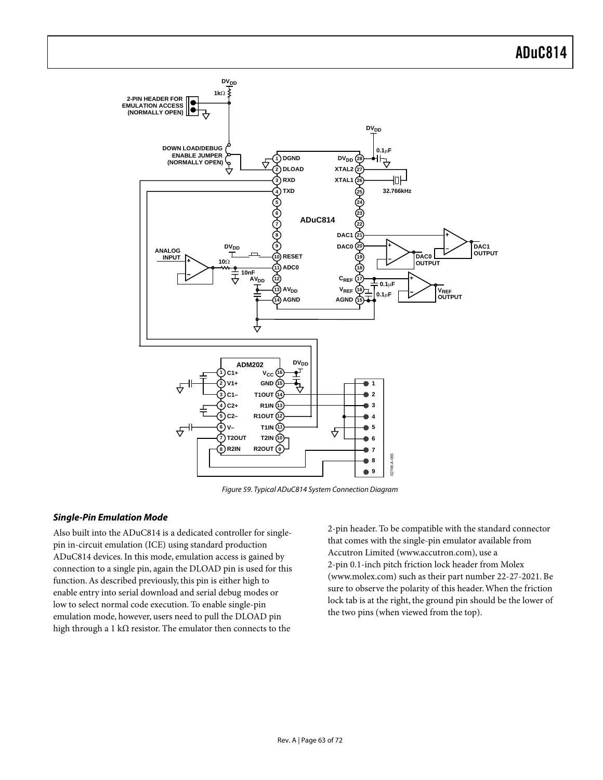<span id="page-62-0"></span>

Figure 59. Typical ADuC814 System Connection Diagram

#### **Single-Pin Emulation Mode**

Also built into the ADuC814 is a dedicated controller for singlepin in-circuit emulation (ICE) using standard production ADuC814 devices. In this mode, emulation access is gained by connection to a single pin, again the DLOAD pin is used for this function. As described previously, this pin is either high to enable entry into serial download and serial debug modes or low to select normal code execution. To enable single-pin emulation mode, however, users need to pull the DLOAD pin high through a 1 kΩ resistor. The emulator then connects to the

2-pin header. To be compatible with the standard connector that comes with the single-pin emulator available from Accutron Limited (www.accutron.com), use a 2-pin 0.1-inch pitch friction lock header from Molex (www.molex.com) such as their part number 22-27-2021. Be sure to observe the polarity of this header. When the friction lock tab is at the right, the ground pin should be the lower of the two pins (when viewed from the top).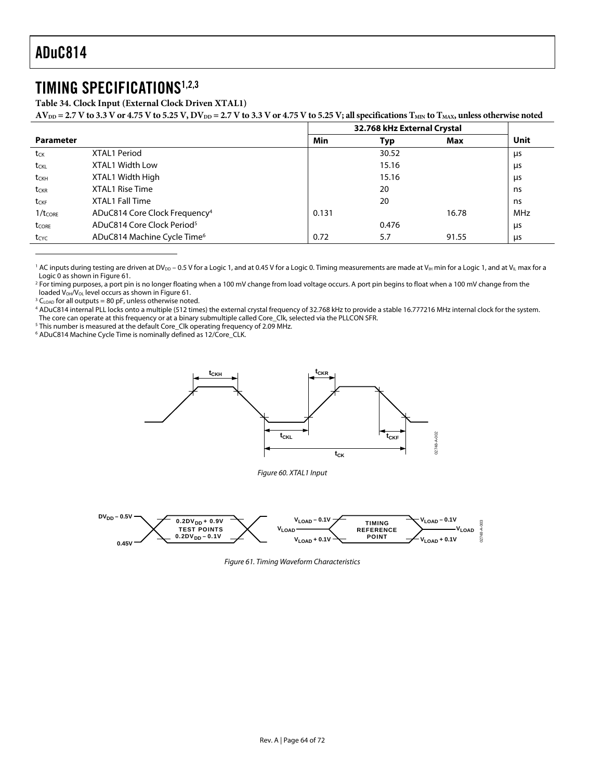$\overline{a}$ 

## TIMING SPECIFICATIONS[1,](#page-63-1)[2,](#page-63-2)[3](#page-63-3)

**Table 34. Clock Input (External Clock Driven XTAL1)** 

 $AV_{DD} = 2.7 V$  to 3.3 V or 4.75 V to 5.25 V,  $DV_{DD} = 2.7 V$  to 3.3 V or 4.75 V to 5.25 V; all specifications  $T_{MIN}$  to  $T_{MAX}$ , unless otherwise noted

|                     |                                           |       | 32.768 kHz External Crystal |       |            |
|---------------------|-------------------------------------------|-------|-----------------------------|-------|------------|
| <b>Parameter</b>    |                                           | Min   | Typ                         | Max   | Unit       |
| tck                 | XTAL1 Period                              |       | 30.52                       |       | μs         |
| t <sub>CKL</sub>    | <b>XTAL1 Width Low</b>                    |       | 15.16                       |       | μs         |
| t <sub>CKH</sub>    | XTAL1 Width High                          |       | 15.16                       |       | μs         |
| t <sub>CKR</sub>    | XTAL1 Rise Time                           |       | 20                          |       | ns         |
| t <sub>CKF</sub>    | XTAL1 Fall Time                           |       | 20                          |       | ns         |
| $1/t_{\text{CORE}}$ | ADuC814 Core Clock Frequency <sup>4</sup> | 0.131 |                             | 16.78 | <b>MHz</b> |
| tcore               | ADuC814 Core Clock Period <sup>5</sup>    |       | 0.476                       |       | μs         |
| $t_{\text{CYC}}$    | ADuC814 Machine Cycle Time <sup>6</sup>   | 0.72  | 5.7                         | 91.55 | μs         |

<span id="page-63-1"></span> $^1$  AC inputs during testing are driven at DV $_{\rm DD}$  – 0.5 V for a Logic 1, and at 0.45 V for a Logic 0. Timing measurements are made at V $_{\rm H}$  min for a Logic 1, and at V $_{\rm L}$  max for a Logic 0 as shown in Figure 61.

<span id="page-63-2"></span><sup>2</sup> For timing purposes, a port pin is no longer floating when a 100 mV change from load voltage occurs. A port pin begins to float when a 100 mV change from the loaded  $V_{OH}/V_{OL}$  level occurs as shown in Figure 61.

<span id="page-63-3"></span> $3 C_{LOAD}$  for all outputs = 80 pF, unless otherwise noted.

<span id="page-63-4"></span> ADuC814 internal PLL locks onto a multiple (512 times) the external crystal frequency of 32.768 kHz to provide a stable 16.777216 MHz internal clock for the system. The core can operate at this frequency or at a binary submultiple called Core\_Clk, selected via the PLLCON SFR.

<span id="page-63-5"></span><sup>5</sup> This number is measured at the default Core\_Clk operating frequency of 2.09 MHz.

6 ADuC814 Machine Cycle Time is nominally defined as 12/Core\_CLK.

<span id="page-63-0"></span>



Figure 61. Timing Waveform Characteristics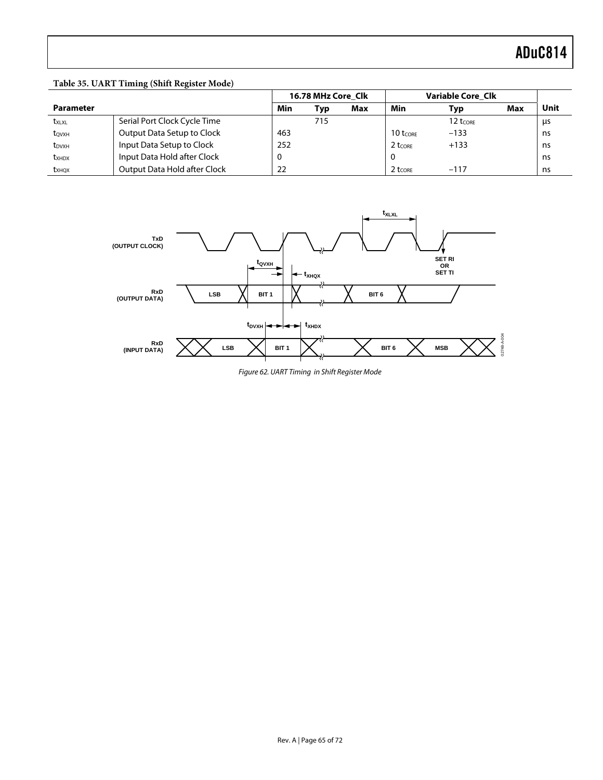#### **Table 35. UART Timing (Shift Register Mode)**

|                            |                              |     | 16.78 MHz Core Clk |     |                        | <b>Variable Core Clk</b> |     |      |
|----------------------------|------------------------------|-----|--------------------|-----|------------------------|--------------------------|-----|------|
| <b>Parameter</b>           |                              | Min | Typ                | Max | Min                    | Typ                      | Max | Unit |
| txlxl                      | Serial Port Clock Cycle Time |     | 715                |     |                        | 12 t <sub>CORE</sub>     |     | μs   |
| tovxh                      | Output Data Setup to Clock   | 463 |                    |     | $10$ t <sub>core</sub> | $-133$                   |     | ns   |
| t <sub>DVXH</sub>          | Input Data Setup to Clock    | 252 |                    |     | $2$ t <sub>CORE</sub>  | $+133$                   |     | ns   |
| <b>t</b> x <sub>HD</sub> x | Input Data Hold after Clock  | υ   |                    |     |                        |                          |     | ns   |
| <b>t</b> x <sub>HOX</sub>  | Output Data Hold after Clock | 22  |                    |     | $2$ t <sub>core</sub>  | $-117$                   |     | ns   |



Figure 62. UART Timing in Shift Register Mode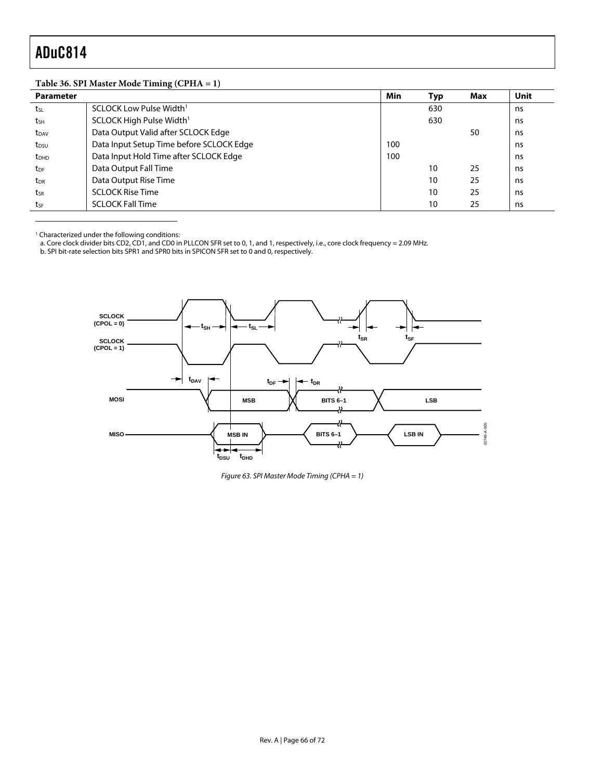$\overline{a}$ 

### **Table 36. SPI Master Mode Timing (CPHA = 1)**

| <b>Parameter</b> |                                          | Min | Typ | Max | <b>Unit</b> |
|------------------|------------------------------------------|-----|-----|-----|-------------|
| tsL              | SCLOCK Low Pulse Width <sup>1</sup>      |     | 630 |     | ns          |
| t <sub>SH</sub>  | SCLOCK High Pulse Width <sup>1</sup>     |     | 630 |     | ns          |
| t <sub>DAV</sub> | Data Output Valid after SCLOCK Edge      |     |     | 50  | ns          |
| $t_{DSU}$        | Data Input Setup Time before SCLOCK Edge | 100 |     |     | ns          |
| t <sub>DHD</sub> | Data Input Hold Time after SCLOCK Edge   | 100 |     |     | ns          |
| $t_{DF}$         | Data Output Fall Time                    |     | 10  | 25  | ns          |
| t <sub>DR</sub>  | Data Output Rise Time                    |     | 10  | 25  | ns          |
| tsr              | <b>SCLOCK Rise Time</b>                  |     | 10  | 25  | ns          |
| tsF              | <b>SCLOCK Fall Time</b>                  |     | 10  | 25  | ns          |

1 Characterized under the following conditions:

a. Core clock divider bits CD2, CD1, and CD0 in PLLCON SFR set to 0, 1, and 1, respectively, i.e., core clock frequency = 2.09 MHz.

b. SPI bit-rate selection bits SPR1 and SPR0 bits in SPICON SFR set to 0 and 0, respectively.

<span id="page-65-0"></span>

Figure 63. SPI Master Mode Timing (CPHA = 1)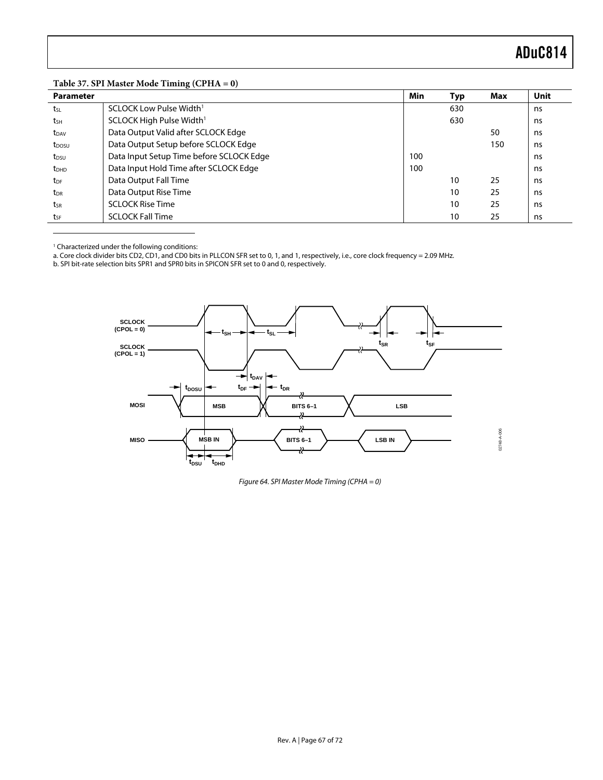|  |  | Table 37. SPI Master Mode Timing (CPHA = 0) |  |
|--|--|---------------------------------------------|--|
|--|--|---------------------------------------------|--|

| <b>Parameter</b>  |                                          | Min | Тур | Max | Unit |
|-------------------|------------------------------------------|-----|-----|-----|------|
| tsL               | SCLOCK Low Pulse Width <sup>1</sup>      |     | 630 |     | ns   |
| $t_{SH}$          | SCLOCK High Pulse Width <sup>1</sup>     |     | 630 |     | ns   |
| t <sub>DAV</sub>  | Data Output Valid after SCLOCK Edge      |     |     | 50  | ns   |
| t <sub>DOSU</sub> | Data Output Setup before SCLOCK Edge     |     |     | 150 | ns   |
| t <sub>DSU</sub>  | Data Input Setup Time before SCLOCK Edge | 100 |     |     | ns   |
| $t_{DHD}$         | Data Input Hold Time after SCLOCK Edge   | 100 |     |     | ns   |
| t <sub>DF</sub>   | Data Output Fall Time                    |     | 10  | 25  | ns   |
| $t_{DR}$          | Data Output Rise Time                    |     | 10  | 25  | ns   |
| tsr               | <b>SCLOCK Rise Time</b>                  |     | 10  | 25  | ns   |
| tsF               | <b>SCLOCK Fall Time</b>                  |     | 10  | 25  | ns   |

<span id="page-66-1"></span><sup>1</sup> Characterized under the following conditions:

<span id="page-66-0"></span> $\overline{a}$ 

a. Core clock divider bits CD2, CD1, and CD0 bits in PLLCON SFR set to 0, 1, and 1, respectively, i.e., core clock frequency = 2.09 MHz.

b. SPI bit-rate selection bits SPR1 and SPR0 bits in SPICON SFR set to 0 and 0, respectively.



Figure 64. SPI Master Mode Timing (CPHA = 0)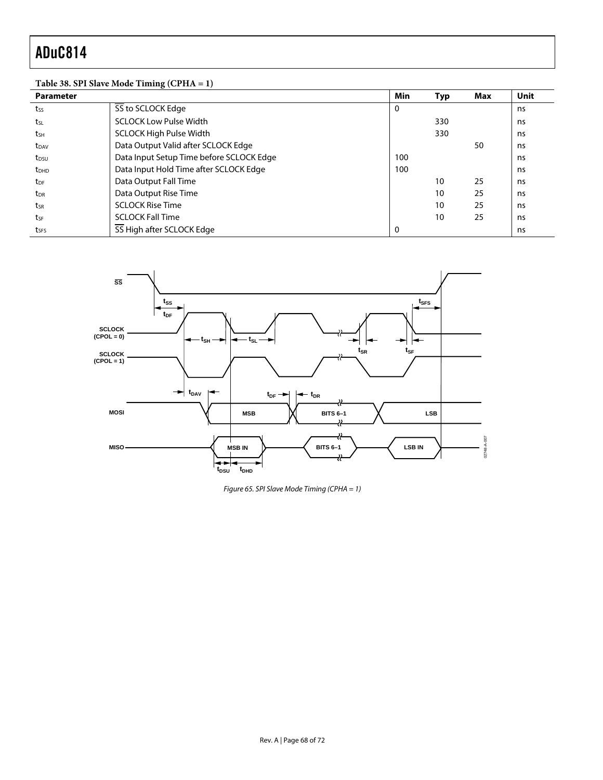### **Table 38. SPI Slave Mode Timing (CPHA = 1)**

| <b>Parameter</b>        |                                          | Min | Typ | Max | Unit |
|-------------------------|------------------------------------------|-----|-----|-----|------|
| tss                     | SS to SCLOCK Edge                        | 0   |     |     | ns   |
| tsL                     | <b>SCLOCK Low Pulse Width</b>            |     | 330 |     | ns   |
| tsh                     | <b>SCLOCK High Pulse Width</b>           |     | 330 |     | ns   |
| t <sub>DAV</sub>        | Data Output Valid after SCLOCK Edge      |     |     | 50  | ns   |
| t <sub>DSU</sub>        | Data Input Setup Time before SCLOCK Edge | 100 |     |     | ns   |
| <b>t</b> <sub>DHD</sub> | Data Input Hold Time after SCLOCK Edge   | 100 |     |     | ns   |
| t <sub>DF</sub>         | Data Output Fall Time                    |     | 10  | 25  | ns   |
| t <sub>DR</sub>         | Data Output Rise Time                    |     | 10  | 25  | ns   |
| tsr                     | <b>SCLOCK Rise Time</b>                  |     | 10  | 25  | ns   |
| tsF                     | <b>SCLOCK Fall Time</b>                  |     | 10  | 25  | ns   |
| tses                    | SS High after SCLOCK Edge                | 0   |     |     | ns   |



Figure 65. SPI Slave Mode Timing (CPHA = 1)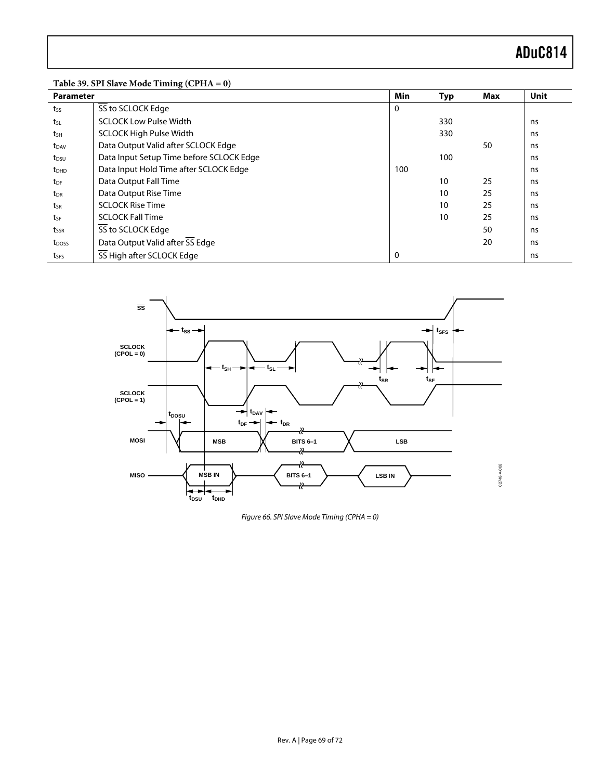| <b>Parameter</b>        |                                          | Min | <b>Typ</b> | Max | Unit |
|-------------------------|------------------------------------------|-----|------------|-----|------|
| tss                     | SS to SCLOCK Edge                        | 0   |            |     |      |
| tsL                     | <b>SCLOCK Low Pulse Width</b>            |     | 330        |     | ns   |
| tsh                     | <b>SCLOCK High Pulse Width</b>           |     | 330        |     | ns   |
| t <sub>DAV</sub>        | Data Output Valid after SCLOCK Edge      |     |            | 50  | ns   |
| t <sub>DSU</sub>        | Data Input Setup Time before SCLOCK Edge |     | 100        |     | ns   |
| <b>t</b> <sub>DHD</sub> | Data Input Hold Time after SCLOCK Edge   | 100 |            |     | ns   |
| t <sub>DF</sub>         | Data Output Fall Time                    |     | 10         | 25  | ns   |
| t <sub>DR</sub>         | Data Output Rise Time                    |     | 10         | 25  | ns   |
| tsr                     | <b>SCLOCK Rise Time</b>                  |     | 10         | 25  | ns   |
| tsF                     | <b>SCLOCK Fall Time</b>                  |     | 10         | 25  | ns   |
| t <sub>ssr</sub>        | SS to SCLOCK Edge                        |     |            | 50  | ns   |
| t <sub>DOSS</sub>       | Data Output Valid after SS Edge          |     |            | 20  | ns   |
| tses                    | SS High after SCLOCK Edge                | 0   |            |     | ns   |



Figure 66. SPI Slave Mode Timing (CPHA = 0)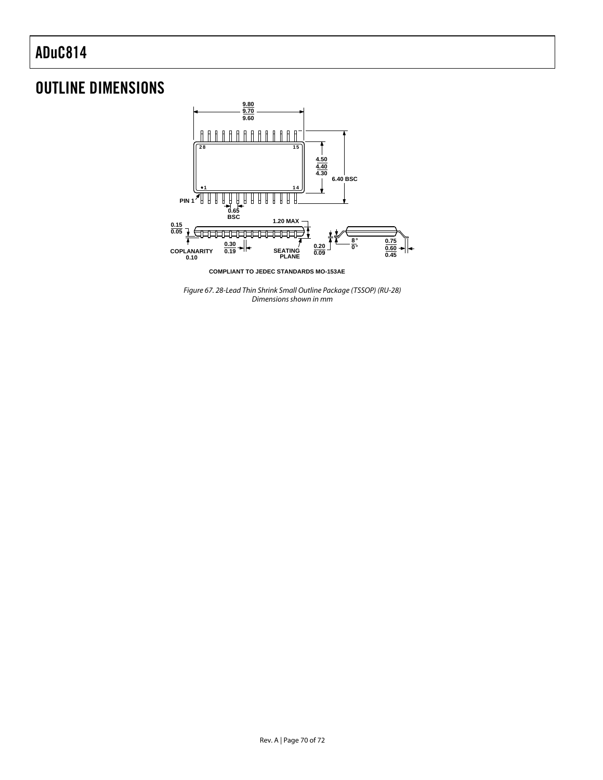## OUTLINE DIMENSIONS



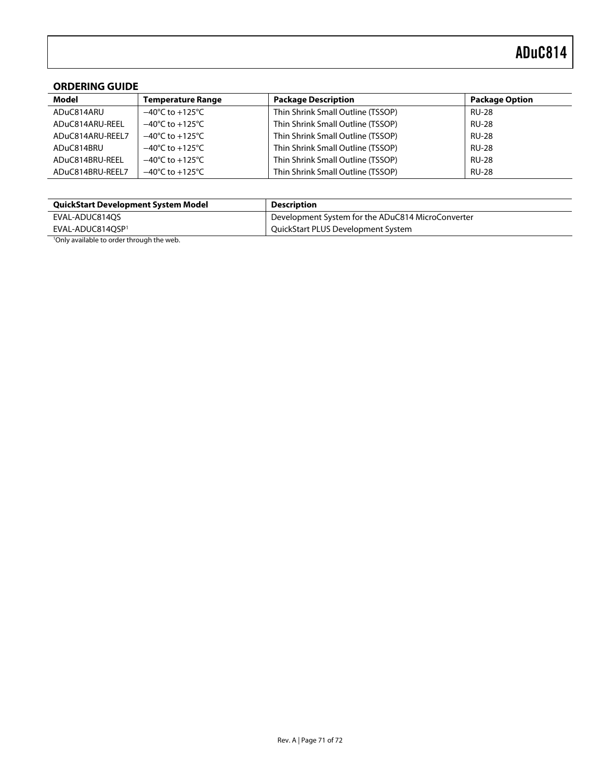#### **ORDERING GUIDE**

| Model            | <b>Temperature Range</b>            | <b>Package Description</b>        | <b>Package Option</b> |
|------------------|-------------------------------------|-----------------------------------|-----------------------|
| ADuC814ARU       | $-40^{\circ}$ C to $+125^{\circ}$ C | Thin Shrink Small Outline (TSSOP) | <b>RU-28</b>          |
| ADuC814ARU-REEL  | $-40^{\circ}$ C to $+125^{\circ}$ C | Thin Shrink Small Outline (TSSOP) | <b>RU-28</b>          |
| ADuC814ARU-REEL7 | $-40^{\circ}$ C to $+125^{\circ}$ C | Thin Shrink Small Outline (TSSOP) | <b>RU-28</b>          |
| ADuC814BRU       | $-40^{\circ}$ C to $+125^{\circ}$ C | Thin Shrink Small Outline (TSSOP) | <b>RU-28</b>          |
| ADuC814BRU-REEL  | $-40^{\circ}$ C to $+125^{\circ}$ C | Thin Shrink Small Outline (TSSOP) | <b>RU-28</b>          |
| ADuC814BRU-REEL7 | $-40^{\circ}$ C to $+125^{\circ}$ C | Thin Shrink Small Outline (TSSOP) | <b>RU-28</b>          |

| <b>QuickStart Development System Model</b>            | <b>Description</b>                                |
|-------------------------------------------------------|---------------------------------------------------|
| EVAL-ADUC814OS                                        | Development System for the ADuC814 MicroConverter |
| EVAL-ADUC814OSP <sup>1</sup>                          | QuickStart PLUS Development System                |
| <sup>1</sup> Only available to order through the web. |                                                   |